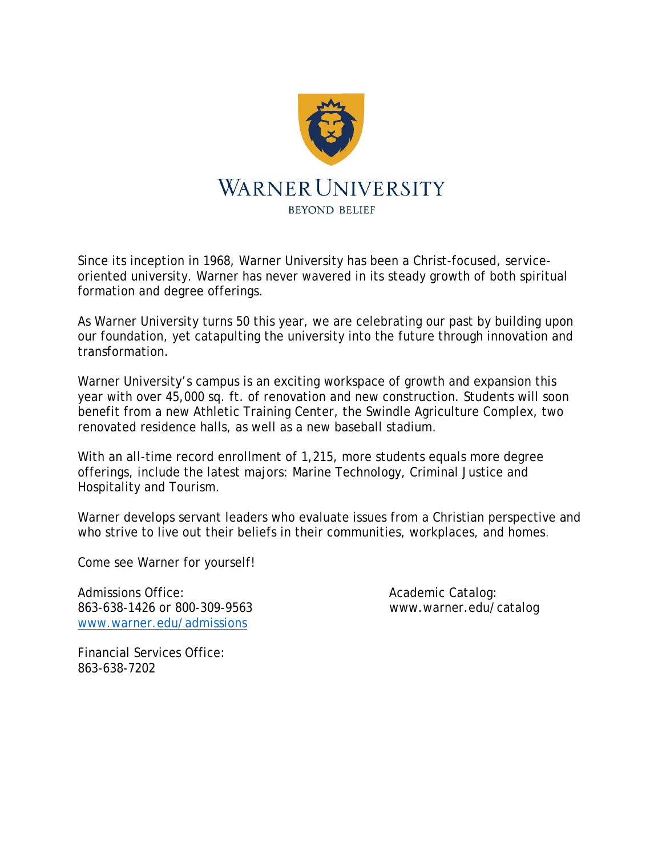

Since its inception in 1968, Warner University has been a Christ-focused, serviceoriented university. Warner has never wavered in its steady growth of both spiritual formation and degree offerings.

As Warner University turns 50 this year, we are celebrating our past by building upon our foundation, yet catapulting the university into the future through innovation and transformation.

Warner University's campus is an exciting workspace of growth and expansion this year with over 45,000 sq. ft. of renovation and new construction. Students will soon benefit from a new Athletic Training Center, the Swindle Agriculture Complex, two renovated residence halls, as well as a new baseball stadium.

With an all-time record enrollment of 1,215, more students equals more degree offerings, include the latest majors: Marine Technology, Criminal Justice and Hospitality and Tourism.

Warner develops servant leaders who evaluate issues from a Christian perspective and who strive to live out their beliefs in their communities, workplaces, and homes.

Come see Warner for yourself!

Admissions Office: Academic Catalog: Academic Catalog: 863-638-1426 or 800-309-9563 www.warner.edu/catalog www.warner.edu/admissions

Financial Services Office: 863-638-7202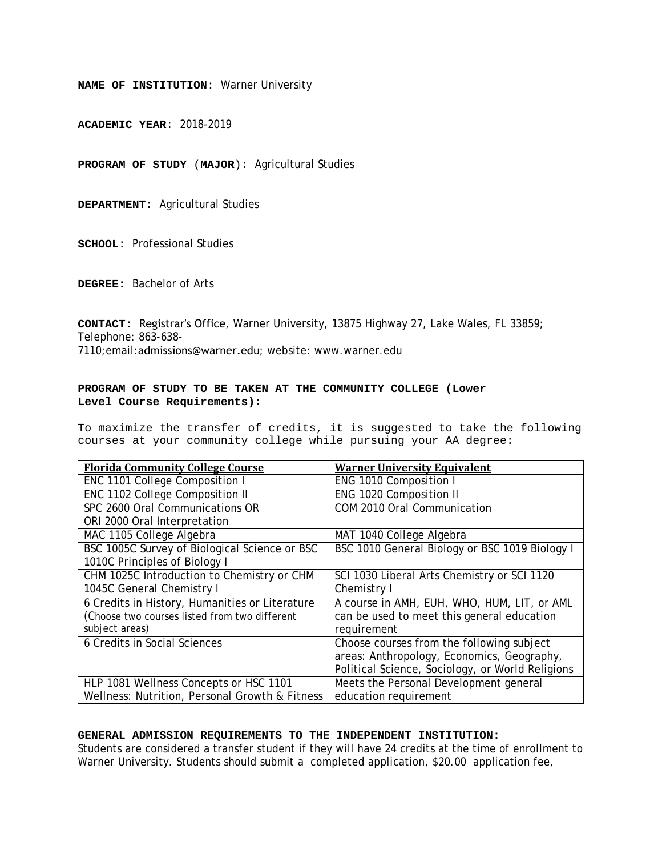**ACADEMIC YEAR**: 2018-2019

**PROGRAM OF STUDY** (**MAJOR**): Agricultural Studies

**DEPARTMENT:** Agricultural Studies

**SCHOOL**: Professional Studies

**DEGREE:** Bachelor of Arts

**CONTACT:** Registrar's Office, Warner University, 13875 Highway 27, Lake Wales, FL 33859; Telephone: 863-638- 7110;email:admissions@warner.edu; website: www.warner.edu

#### **PROGRAM OF STUDY TO BE TAKEN AT THE COMMUNITY COLLEGE (Lower Level Course Requirements):**

To maximize the transfer of credits, it is suggested to take the following courses at your community college while pursuing your AA degree:

| <b>Florida Community College Course</b>        | <b>Warner University Equivalent</b>              |
|------------------------------------------------|--------------------------------------------------|
| ENC 1101 College Composition I                 | ENG 1010 Composition I                           |
| ENC 1102 College Composition II                | ENG 1020 Composition II                          |
| SPC 2600 Oral Communications OR                | COM 2010 Oral Communication                      |
| ORI 2000 Oral Interpretation                   |                                                  |
| MAC 1105 College Algebra                       | MAT 1040 College Algebra                         |
| BSC 1005C Survey of Biological Science or BSC  | BSC 1010 General Biology or BSC 1019 Biology I   |
| 1010C Principles of Biology I                  |                                                  |
| CHM 1025C Introduction to Chemistry or CHM     | SCI 1030 Liberal Arts Chemistry or SCI 1120      |
| 1045C General Chemistry I                      | Chemistry I                                      |
| 6 Credits in History, Humanities or Literature | A course in AMH, EUH, WHO, HUM, LIT, or AML      |
| (Choose two courses listed from two different  | can be used to meet this general education       |
| subject areas)                                 | requirement                                      |
| 6 Credits in Social Sciences                   | Choose courses from the following subject        |
|                                                | areas: Anthropology, Economics, Geography,       |
|                                                | Political Science, Sociology, or World Religions |
| HLP 1081 Wellness Concepts or HSC 1101         | Meets the Personal Development general           |
| Wellness: Nutrition, Personal Growth & Fitness | education requirement                            |

#### **GENERAL ADMISSION REQUIREMENTS TO THE INDEPENDENT INSTITUTION:**

Students are considered a transfer student if they will have 24 credits at the time of enrollment to Warner University. Students should submit a completed application, \$20.00 application fee,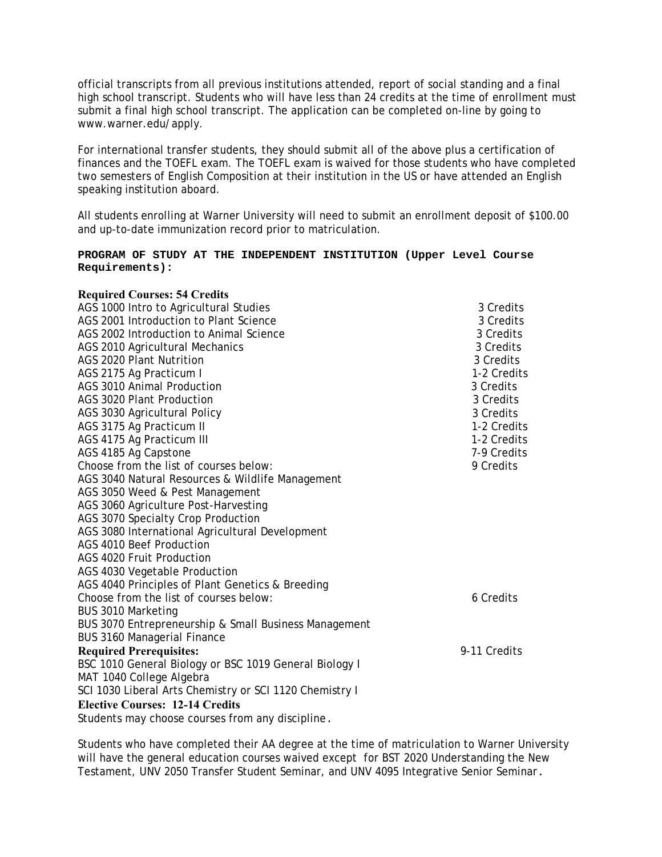official transcripts from all previous institutions attended, report of social standing and a final high school transcript. Students who will have less than 24 credits at the time of enrollment must submit a final high school transcript. The application can be completed on-line by going to www.warner.edu/apply.

For international transfer students, they should submit all of the above plus a certification of finances and the TOEFL exam. The TOEFL exam is waived for those students who have completed two semesters of English Composition at their institution in the US or have attended an English speaking institution aboard.

All students enrolling at Warner University will need to submit an enrollment deposit of \$100.00 and up-to-date immunization record prior to matriculation.

#### **PROGRAM OF STUDY AT THE INDEPENDENT INSTITUTION (Upper Level Course Requirements):**

| <b>Required Courses: 54 Credits</b>                     |              |
|---------------------------------------------------------|--------------|
| AGS 1000 Intro to Agricultural Studies                  | 3 Credits    |
| AGS 2001 Introduction to Plant Science                  | 3 Credits    |
| AGS 2002 Introduction to Animal Science                 | 3 Credits    |
| AGS 2010 Agricultural Mechanics                         | 3 Credits    |
| AGS 2020 Plant Nutrition                                | 3 Credits    |
| AGS 2175 Ag Practicum I                                 | 1-2 Credits  |
| <b>AGS 3010 Animal Production</b>                       | 3 Credits    |
| AGS 3020 Plant Production                               | 3 Credits    |
| AGS 3030 Agricultural Policy                            | 3 Credits    |
| AGS 3175 Ag Practicum II                                | 1-2 Credits  |
| AGS 4175 Ag Practicum III                               | 1-2 Credits  |
| AGS 4185 Ag Capstone                                    | 7-9 Credits  |
| Choose from the list of courses below:                  | 9 Credits    |
| AGS 3040 Natural Resources & Wildlife Management        |              |
| AGS 3050 Weed & Pest Management                         |              |
| AGS 3060 Agriculture Post-Harvesting                    |              |
| AGS 3070 Specialty Crop Production                      |              |
| AGS 3080 International Agricultural Development         |              |
| AGS 4010 Beef Production                                |              |
| AGS 4020 Fruit Production                               |              |
| AGS 4030 Vegetable Production                           |              |
| AGS 4040 Principles of Plant Genetics & Breeding        |              |
| Choose from the list of courses below:                  | 6 Credits    |
| BUS 3010 Marketing                                      |              |
| BUS 3070 Entrepreneurship & Small Business Management   |              |
| <b>BUS 3160 Managerial Finance</b>                      |              |
| <b>Required Prerequisites:</b>                          | 9-11 Credits |
| BSC 1010 General Biology or BSC 1019 General Biology I  |              |
| MAT 1040 College Algebra                                |              |
| SCI 1030 Liberal Arts Chemistry or SCI 1120 Chemistry I |              |
| <b>Elective Courses: 12-14 Credits</b>                  |              |
| Students may choose courses from any discipline.        |              |

Students who have completed their AA degree at the time of matriculation to Warner University will have the general education courses waived except for BST 2020 Understanding the New Testament, UNV 2050 Transfer Student Seminar, and UNV 4095 Integrative Senior Seminar.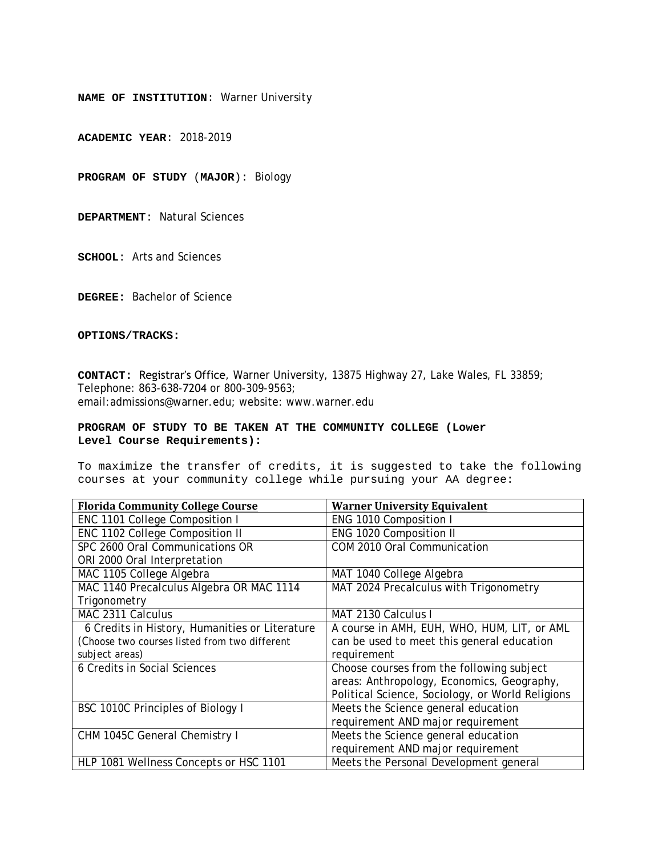**ACADEMIC YEAR**: 2018-2019

**PROGRAM OF STUDY** (**MAJOR**): Biology

**DEPARTMENT**: Natural Sciences

**SCHOOL**: Arts and Sciences

**DEGREE:** Bachelor of Science

**OPTIONS/TRACKS:**

**CONTACT:** Registrar's Office, Warner University, 13875 Highway 27, Lake Wales, FL 33859; Telephone: 863-638-7204 or 800-309-9563; email:admissions@warner.edu; website: www.warner.edu

#### **PROGRAM OF STUDY TO BE TAKEN AT THE COMMUNITY COLLEGE (Lower Level Course Requirements):**

| <b>Florida Community College Course</b>        | <b>Warner University Equivalent</b>              |
|------------------------------------------------|--------------------------------------------------|
| ENC 1101 College Composition I                 | ENG 1010 Composition I                           |
| ENC 1102 College Composition II                | ENG 1020 Composition II                          |
| SPC 2600 Oral Communications OR                | COM 2010 Oral Communication                      |
| ORI 2000 Oral Interpretation                   |                                                  |
| MAC 1105 College Algebra                       | MAT 1040 College Algebra                         |
| MAC 1140 Precalculus Algebra OR MAC 1114       | MAT 2024 Precalculus with Trigonometry           |
| Trigonometry                                   |                                                  |
| MAC 2311 Calculus                              | MAT 2130 Calculus I                              |
| 6 Credits in History, Humanities or Literature | A course in AMH, EUH, WHO, HUM, LIT, or AML      |
| (Choose two courses listed from two different  | can be used to meet this general education       |
| subject areas)                                 | requirement                                      |
| 6 Credits in Social Sciences                   | Choose courses from the following subject        |
|                                                | areas: Anthropology, Economics, Geography,       |
|                                                | Political Science, Sociology, or World Religions |
| BSC 1010C Principles of Biology I              | Meets the Science general education              |
|                                                | requirement AND major requirement                |
| CHM 1045C General Chemistry I                  | Meets the Science general education              |
|                                                | requirement AND major requirement                |
| HLP 1081 Wellness Concepts or HSC 1101         | Meets the Personal Development general           |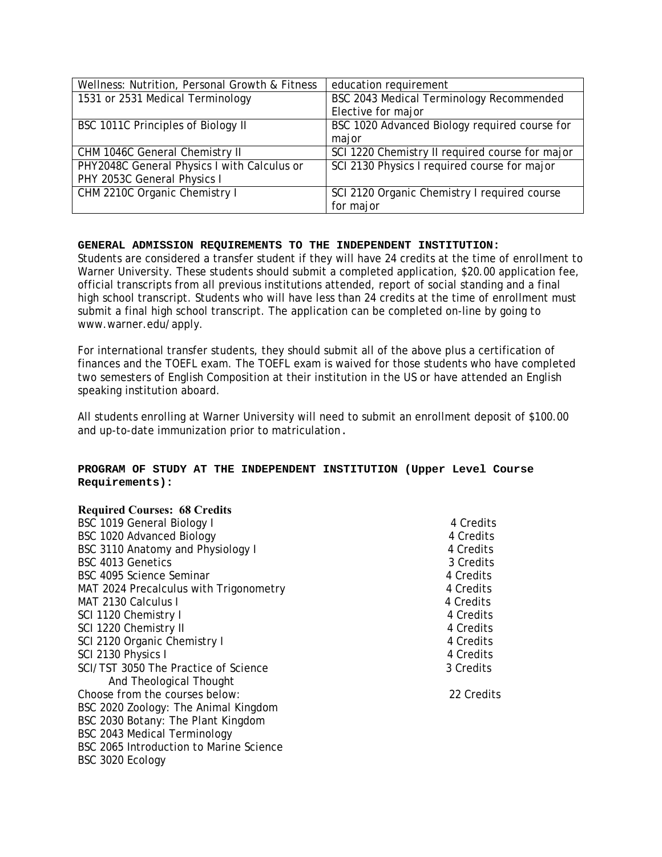| Wellness: Nutrition, Personal Growth & Fitness | education requirement                           |
|------------------------------------------------|-------------------------------------------------|
| 1531 or 2531 Medical Terminology               | BSC 2043 Medical Terminology Recommended        |
|                                                | Elective for major                              |
| BSC 1011C Principles of Biology II             | BSC 1020 Advanced Biology required course for   |
|                                                | major                                           |
| CHM 1046C General Chemistry II                 | SCI 1220 Chemistry II required course for major |
| PHY2048C General Physics I with Calculus or    | SCI 2130 Physics I required course for major    |
| PHY 2053C General Physics I                    |                                                 |
| CHM 2210C Organic Chemistry I                  | SCI 2120 Organic Chemistry I required course    |
|                                                | for major                                       |

Students are considered a transfer student if they will have 24 credits at the time of enrollment to Warner University. These students should submit a completed application, \$20.00 application fee, official transcripts from all previous institutions attended, report of social standing and a final high school transcript. Students who will have less than 24 credits at the time of enrollment must submit a final high school transcript. The application can be completed on-line by going to www.warner.edu/apply.

For international transfer students, they should submit all of the above plus a certification of finances and the TOEFL exam. The TOEFL exam is waived for those students who have completed two semesters of English Composition at their institution in the US or have attended an English speaking institution aboard.

All students enrolling at Warner University will need to submit an enrollment deposit of \$100.00 and up-to-date immunization prior to matriculation.

# **PROGRAM OF STUDY AT THE INDEPENDENT INSTITUTION (Upper Level Course Requirements):**

| <b>Required Courses: 68 Credits</b>     |            |
|-----------------------------------------|------------|
| BSC 1019 General Biology I              | 4 Credits  |
| BSC 1020 Advanced Biology               | 4 Credits  |
| BSC 3110 Anatomy and Physiology I       | 4 Credits  |
| BSC 4013 Genetics                       | 3 Credits  |
| BSC 4095 Science Seminar                | 4 Credits  |
| MAT 2024 Precalculus with Trigonometry  | 4 Credits  |
| MAT 2130 Calculus I                     | 4 Credits  |
| SCI 1120 Chemistry I                    | 4 Credits  |
| SCI 1220 Chemistry II                   | 4 Credits  |
| SCI 2120 Organic Chemistry I            | 4 Credits  |
| SCI 2130 Physics I                      | 4 Credits  |
| SCI/TST 3050 The Practice of Science    | 3 Credits  |
| And Theological Thought                 |            |
| Choose from the courses below:          | 22 Credits |
| BSC 2020 Zoology: The Animal Kingdom    |            |
| BSC 2030 Botany: The Plant Kingdom      |            |
| BSC 2043 Medical Terminology            |            |
| BSC 2065 Introduction to Marine Science |            |
| BSC 3020 Ecology                        |            |
|                                         |            |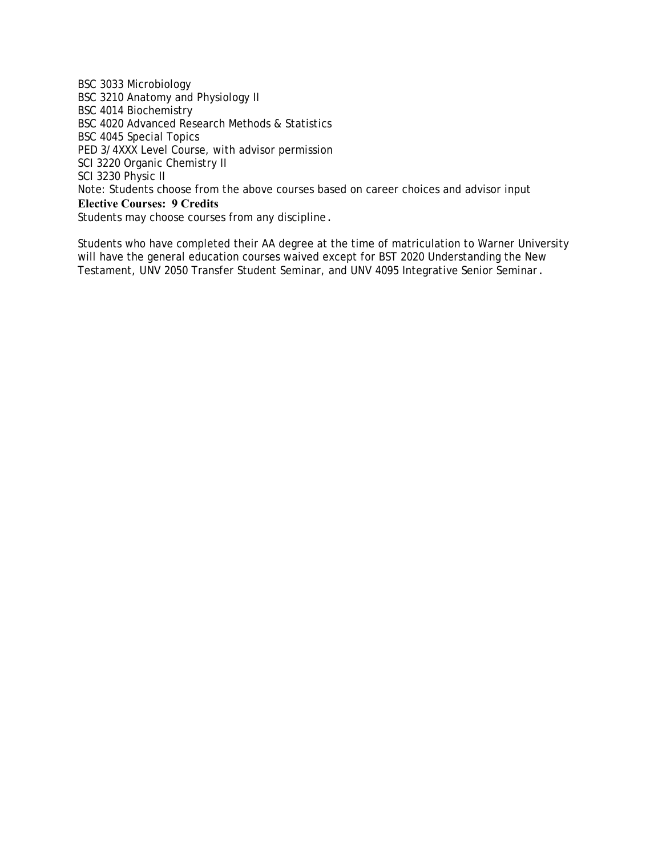BSC 3033 Microbiology BSC 3210 Anatomy and Physiology II BSC 4014 Biochemistry BSC 4020 Advanced Research Methods & Statistics BSC 4045 Special Topics PED 3/4XXX Level Course, with advisor permission SCI 3220 Organic Chemistry II SCI 3230 Physic II Note: Students choose from the above courses based on career choices and advisor input **Elective Courses: 9 Credits** Students may choose courses from any discipline.

Students who have completed their AA degree at the time of matriculation to Warner University will have the general education courses waived except for BST 2020 Understanding the New Testament, UNV 2050 Transfer Student Seminar, and UNV 4095 Integrative Senior Seminar.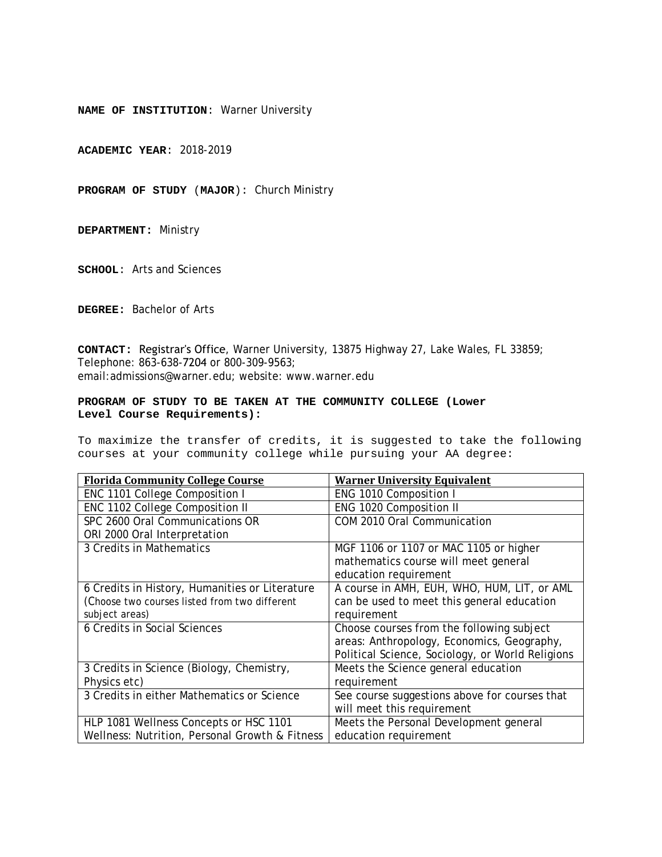**ACADEMIC YEAR**: 2018-2019

**PROGRAM OF STUDY** (**MAJOR**): Church Ministry

**DEPARTMENT:** Ministry

**SCHOOL**: Arts and Sciences

**DEGREE:** Bachelor of Arts

**CONTACT:** Registrar's Office, Warner University, 13875 Highway 27, Lake Wales, FL 33859; Telephone: 863-638-7204 or 800-309-9563; email:admissions@warner.edu; website: www.warner.edu

#### **PROGRAM OF STUDY TO BE TAKEN AT THE COMMUNITY COLLEGE (Lower Level Course Requirements):**

| <b>Florida Community College Course</b>        | <b>Warner University Equivalent</b>              |
|------------------------------------------------|--------------------------------------------------|
| ENC 1101 College Composition I                 | ENG 1010 Composition I                           |
| ENC 1102 College Composition II                | ENG 1020 Composition II                          |
| SPC 2600 Oral Communications OR                | COM 2010 Oral Communication                      |
| ORI 2000 Oral Interpretation                   |                                                  |
| 3 Credits in Mathematics                       | MGF 1106 or 1107 or MAC 1105 or higher           |
|                                                | mathematics course will meet general             |
|                                                | education requirement                            |
| 6 Credits in History, Humanities or Literature | A course in AMH, EUH, WHO, HUM, LIT, or AML      |
| (Choose two courses listed from two different  | can be used to meet this general education       |
| subject areas)                                 | requirement                                      |
| <b>6 Credits in Social Sciences</b>            | Choose courses from the following subject        |
|                                                | areas: Anthropology, Economics, Geography,       |
|                                                | Political Science, Sociology, or World Religions |
| 3 Credits in Science (Biology, Chemistry,      | Meets the Science general education              |
| Physics etc)                                   | requirement                                      |
| 3 Credits in either Mathematics or Science     | See course suggestions above for courses that    |
|                                                | will meet this requirement                       |
| HLP 1081 Wellness Concepts or HSC 1101         | Meets the Personal Development general           |
| Wellness: Nutrition, Personal Growth & Fitness | education requirement                            |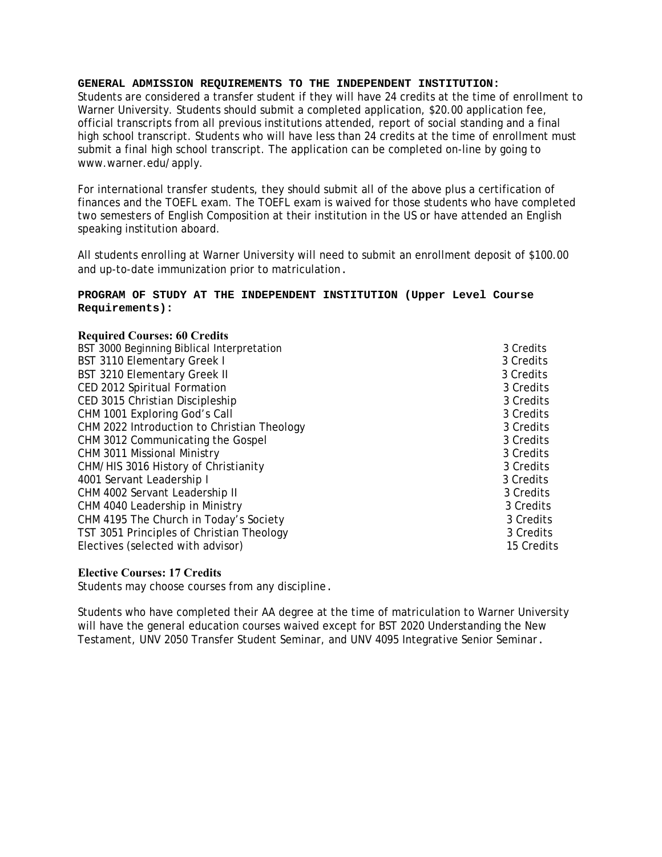Students are considered a transfer student if they will have 24 credits at the time of enrollment to Warner University. Students should submit a completed application, \$20.00 application fee, official transcripts from all previous institutions attended, report of social standing and a final high school transcript. Students who will have less than 24 credits at the time of enrollment must submit a final high school transcript. The application can be completed on-line by going to www.warner.edu/apply.

For international transfer students, they should submit all of the above plus a certification of finances and the TOEFL exam. The TOEFL exam is waived for those students who have completed two semesters of English Composition at their institution in the US or have attended an English speaking institution aboard.

All students enrolling at Warner University will need to submit an enrollment deposit of \$100.00 and up-to-date immunization prior to matriculation.

# **PROGRAM OF STUDY AT THE INDEPENDENT INSTITUTION (Upper Level Course Requirements):**

# **Required Courses: 60 Credits**

| BST 3000 Beginning Biblical Interpretation  | 3 Credits  |
|---------------------------------------------|------------|
| BST 3110 Elementary Greek I                 | 3 Credits  |
| BST 3210 Elementary Greek II                | 3 Credits  |
| CED 2012 Spiritual Formation                | 3 Credits  |
| CED 3015 Christian Discipleship             | 3 Credits  |
| CHM 1001 Exploring God's Call               | 3 Credits  |
| CHM 2022 Introduction to Christian Theology | 3 Credits  |
| CHM 3012 Communicating the Gospel           | 3 Credits  |
| <b>CHM 3011 Missional Ministry</b>          | 3 Credits  |
| CHM/HIS 3016 History of Christianity        | 3 Credits  |
| 4001 Servant Leadership I                   | 3 Credits  |
| CHM 4002 Servant Leadership II              | 3 Credits  |
| CHM 4040 Leadership in Ministry             | 3 Credits  |
| CHM 4195 The Church in Today's Society      | 3 Credits  |
| TST 3051 Principles of Christian Theology   | 3 Credits  |
| Electives (selected with advisor)           | 15 Credits |

# **Elective Courses: 17 Credits**

Students may choose courses from any discipline.

Students who have completed their AA degree at the time of matriculation to Warner University will have the general education courses waived except for BST 2020 Understanding the New Testament, UNV 2050 Transfer Student Seminar, and UNV 4095 Integrative Senior Seminar.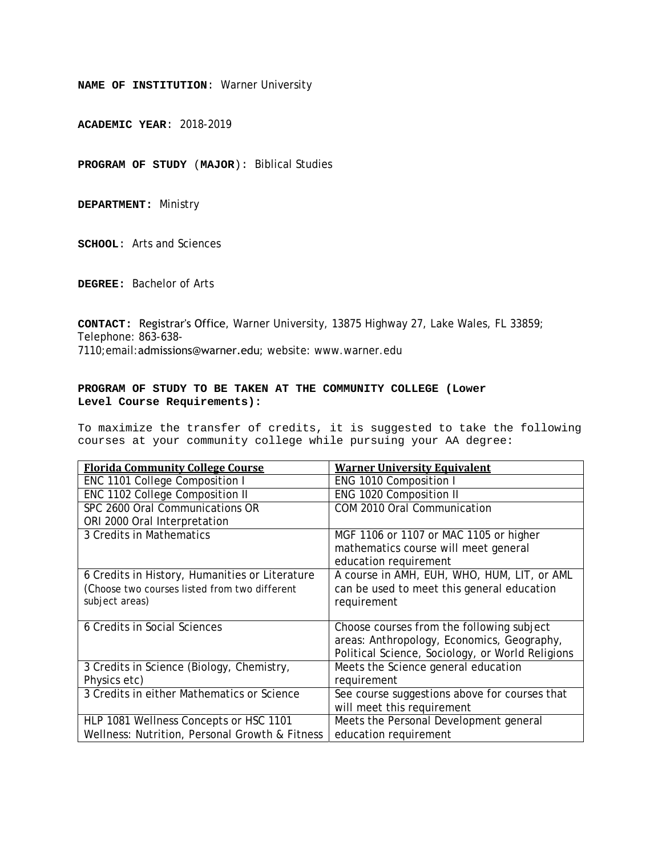**ACADEMIC YEAR**: 2018-2019

**PROGRAM OF STUDY** (**MAJOR**): Biblical Studies

**DEPARTMENT:** Ministry

**SCHOOL**: Arts and Sciences

**DEGREE:** Bachelor of Arts

**CONTACT:** Registrar's Office, Warner University, 13875 Highway 27, Lake Wales, FL 33859; Telephone: 863-638- 7110;email:admissions@warner.edu; website: www.warner.edu

#### **PROGRAM OF STUDY TO BE TAKEN AT THE COMMUNITY COLLEGE (Lower Level Course Requirements):**

| <b>Florida Community College Course</b>        | <b>Warner University Equivalent</b>              |
|------------------------------------------------|--------------------------------------------------|
| ENC 1101 College Composition I                 | ENG 1010 Composition I                           |
| ENC 1102 College Composition II                | ENG 1020 Composition II                          |
| SPC 2600 Oral Communications OR                | COM 2010 Oral Communication                      |
| ORI 2000 Oral Interpretation                   |                                                  |
| 3 Credits in Mathematics                       | MGF 1106 or 1107 or MAC 1105 or higher           |
|                                                | mathematics course will meet general             |
|                                                | education requirement                            |
| 6 Credits in History, Humanities or Literature | A course in AMH, EUH, WHO, HUM, LIT, or AML      |
| (Choose two courses listed from two different  | can be used to meet this general education       |
| subject areas)                                 | requirement                                      |
|                                                |                                                  |
| 6 Credits in Social Sciences                   | Choose courses from the following subject        |
|                                                | areas: Anthropology, Economics, Geography,       |
|                                                | Political Science, Sociology, or World Religions |
| 3 Credits in Science (Biology, Chemistry,      | Meets the Science general education              |
| Physics etc)                                   | requirement                                      |
| 3 Credits in either Mathematics or Science     | See course suggestions above for courses that    |
|                                                | will meet this requirement                       |
| HLP 1081 Wellness Concepts or HSC 1101         | Meets the Personal Development general           |
| Wellness: Nutrition, Personal Growth & Fitness | education requirement                            |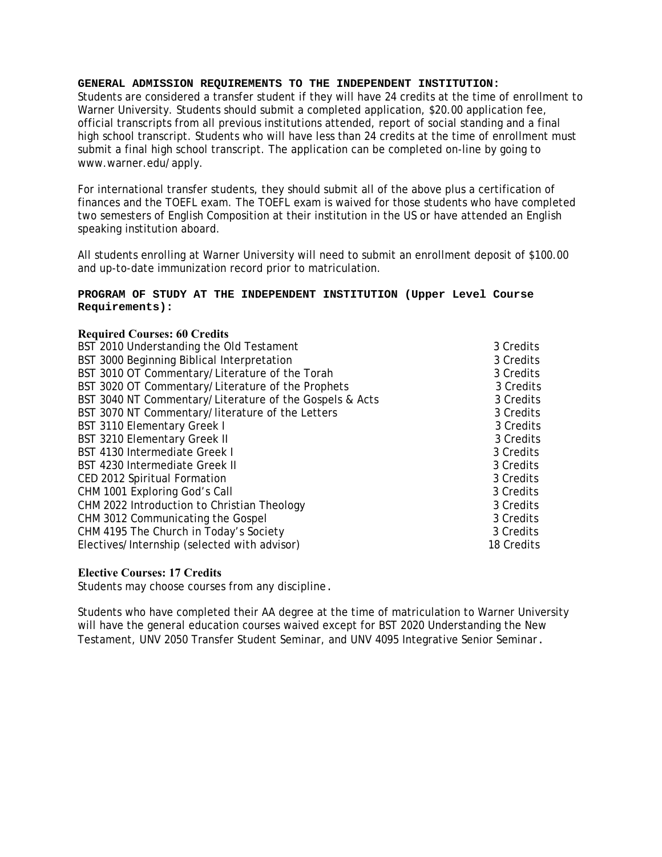Students are considered a transfer student if they will have 24 credits at the time of enrollment to Warner University. Students should submit a completed application, \$20.00 application fee, official transcripts from all previous institutions attended, report of social standing and a final high school transcript. Students who will have less than 24 credits at the time of enrollment must submit a final high school transcript. The application can be completed on-line by going to www.warner.edu/apply.

For international transfer students, they should submit all of the above plus a certification of finances and the TOEFL exam. The TOEFL exam is waived for those students who have completed two semesters of English Composition at their institution in the US or have attended an English speaking institution aboard.

All students enrolling at Warner University will need to submit an enrollment deposit of \$100.00 and up-to-date immunization record prior to matriculation.

#### **PROGRAM OF STUDY AT THE INDEPENDENT INSTITUTION (Upper Level Course Requirements):**

# **Required Courses: 60 Credits**

| BST 2010 Understanding the Old Testament                | 3 Credits  |
|---------------------------------------------------------|------------|
| BST 3000 Beginning Biblical Interpretation              | 3 Credits  |
| BST 3010 OT Commentary/Literature of the Torah          | 3 Credits  |
| BST 3020 OT Commentary/Literature of the Prophets       | 3 Credits  |
| BST 3040 NT Commentary/Literature of the Gospels & Acts | 3 Credits  |
| BST 3070 NT Commentary/literature of the Letters        | 3 Credits  |
| BST 3110 Elementary Greek I                             | 3 Credits  |
| BST 3210 Elementary Greek II                            | 3 Credits  |
| <b>BST 4130 Intermediate Greek I</b>                    | 3 Credits  |
| <b>BST 4230 Intermediate Greek II</b>                   | 3 Credits  |
| CED 2012 Spiritual Formation                            | 3 Credits  |
| CHM 1001 Exploring God's Call                           | 3 Credits  |
| CHM 2022 Introduction to Christian Theology             | 3 Credits  |
| CHM 3012 Communicating the Gospel                       | 3 Credits  |
| CHM 4195 The Church in Today's Society                  | 3 Credits  |
| Electives/Internship (selected with advisor)            | 18 Credits |
|                                                         |            |

# **Elective Courses: 17 Credits**

Students may choose courses from any discipline.

Students who have completed their AA degree at the time of matriculation to Warner University will have the general education courses waived except for BST 2020 Understanding the New Testament, UNV 2050 Transfer Student Seminar, and UNV 4095 Integrative Senior Seminar.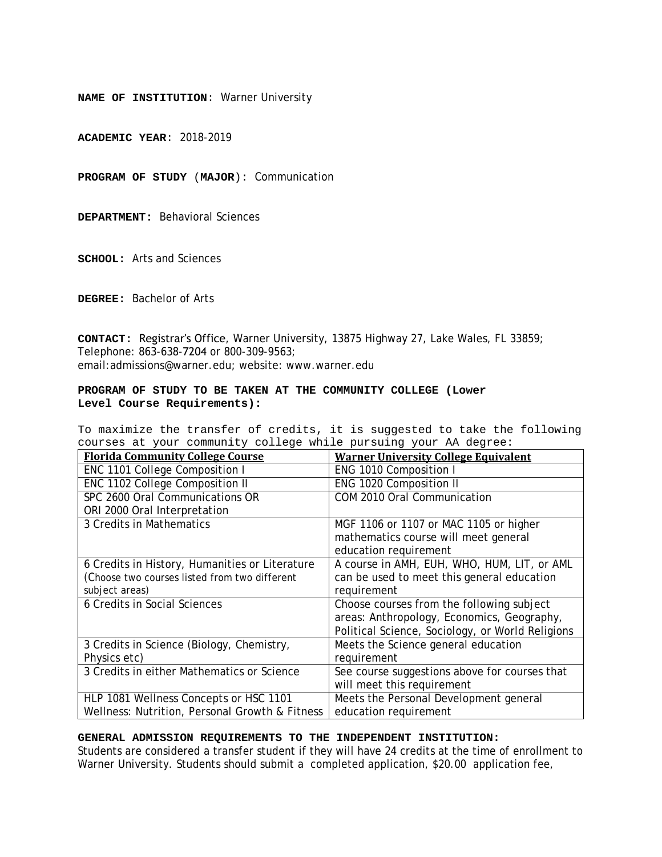**ACADEMIC YEAR**: 2018-2019

**PROGRAM OF STUDY** (**MAJOR**): Communication

**DEPARTMENT:** Behavioral Sciences

**SCHOOL:** Arts and Sciences

**DEGREE:** Bachelor of Arts

**CONTACT:** Registrar's Office, Warner University, 13875 Highway 27, Lake Wales, FL 33859; Telephone: 863-638-7204 or 800-309-9563; email:admissions@warner.edu; website: www.warner.edu

#### **PROGRAM OF STUDY TO BE TAKEN AT THE COMMUNITY COLLEGE (Lower Level Course Requirements):**

To maximize the transfer of credits, it is suggested to take the following courses at your community college while pursuing your AA degree:

| <b>Florida Community College Course</b>        | <b>Warner University College Equivalent</b>      |
|------------------------------------------------|--------------------------------------------------|
| ENC 1101 College Composition I                 | ENG 1010 Composition I                           |
| ENC 1102 College Composition II                | ENG 1020 Composition II                          |
| SPC 2600 Oral Communications OR                | COM 2010 Oral Communication                      |
| ORI 2000 Oral Interpretation                   |                                                  |
| 3 Credits in Mathematics                       | MGF 1106 or 1107 or MAC 1105 or higher           |
|                                                | mathematics course will meet general             |
|                                                | education requirement                            |
| 6 Credits in History, Humanities or Literature | A course in AMH, EUH, WHO, HUM, LIT, or AML      |
| (Choose two courses listed from two different  | can be used to meet this general education       |
| subject areas)                                 | requirement                                      |
| 6 Credits in Social Sciences                   | Choose courses from the following subject        |
|                                                | areas: Anthropology, Economics, Geography,       |
|                                                | Political Science, Sociology, or World Religions |
| 3 Credits in Science (Biology, Chemistry,      | Meets the Science general education              |
| Physics etc)                                   | requirement                                      |
| 3 Credits in either Mathematics or Science     | See course suggestions above for courses that    |
|                                                | will meet this requirement                       |
| HLP 1081 Wellness Concepts or HSC 1101         | Meets the Personal Development general           |
| Wellness: Nutrition, Personal Growth & Fitness | education requirement                            |

# **GENERAL ADMISSION REQUIREMENTS TO THE INDEPENDENT INSTITUTION:**

Students are considered a transfer student if they will have 24 credits at the time of enrollment to Warner University. Students should submit a completed application, \$20.00 application fee,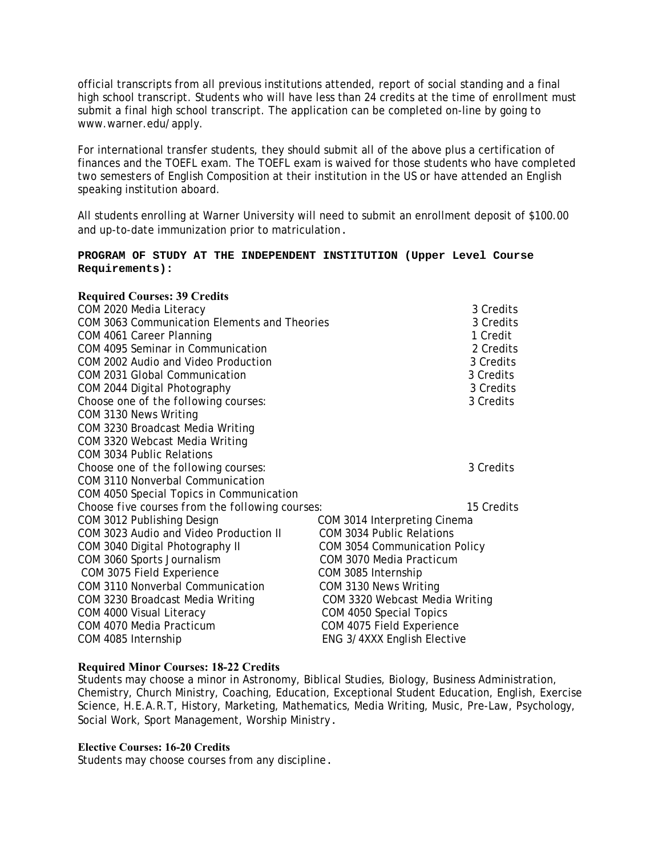official transcripts from all previous institutions attended, report of social standing and a final high school transcript. Students who will have less than 24 credits at the time of enrollment must submit a final high school transcript. The application can be completed on-line by going to www.warner.edu/apply.

For international transfer students, they should submit all of the above plus a certification of finances and the TOEFL exam. The TOEFL exam is waived for those students who have completed two semesters of English Composition at their institution in the US or have attended an English speaking institution aboard.

All students enrolling at Warner University will need to submit an enrollment deposit of \$100.00 and up-to-date immunization prior to matriculation.

#### **PROGRAM OF STUDY AT THE INDEPENDENT INSTITUTION (Upper Level Course Requirements):**

# **Required Courses: 39 Credits**  COM 2020 Media Literacy 3 Credits COM 3063 Communication Elements and Theories 3 Credits 3 Credits COM 4061 Career Planning 2 2008 1 Credit COM 4095 Seminar in Communication 2 Credits COM 2002 Audio and Video Production 3 Credits COM 2031 Global Communication 3 Credits COM 2044 Digital Photography 3 Credits *Choose one of the following courses:* 3 Credits COM 3130 News Writing COM 3230 Broadcast Media Writing COM 3320 Webcast Media Writing COM 3034 Public Relations *Choose one of the following courses:* 3 Credits COM 3110 Nonverbal Communication COM 4050 Special Topics in Communication *Choose five courses from the following courses:* 15 Credits COM 3012 Publishing Design COM 3014 Interpreting Cinema COM 3023 Audio and Video Production II COM 3034 Public Relations COM 3040 Digital Photography II COM 3054 Communication Policy COM 3060 Sports Journalism COM 3070 Media Practicum COM 3075 Field Experience COM 3085 Internship COM 3110 Nonverbal Communication COM 3130 News Writing COM 3230 Broadcast Media Writing COM 3320 Webcast Media Writing COM 4000 Visual Literacy COM 4050 Special Topics COM 4070 Media Practicum COM 4075 Field Experience COM 4085 Internship ENG 3/4XXX English Elective

# **Required Minor Courses: 18-22 Credits**

Students may choose a minor in Astronomy, Biblical Studies, Biology, Business Administration, Chemistry, Church Ministry, Coaching, Education, Exceptional Student Education, English, Exercise Science, H.E.A.R.T, History, Marketing, Mathematics, Media Writing, Music, Pre-Law, Psychology, Social Work, Sport Management, Worship Ministry.

#### **Elective Courses: 16-20 Credits**

Students may choose courses from any discipline.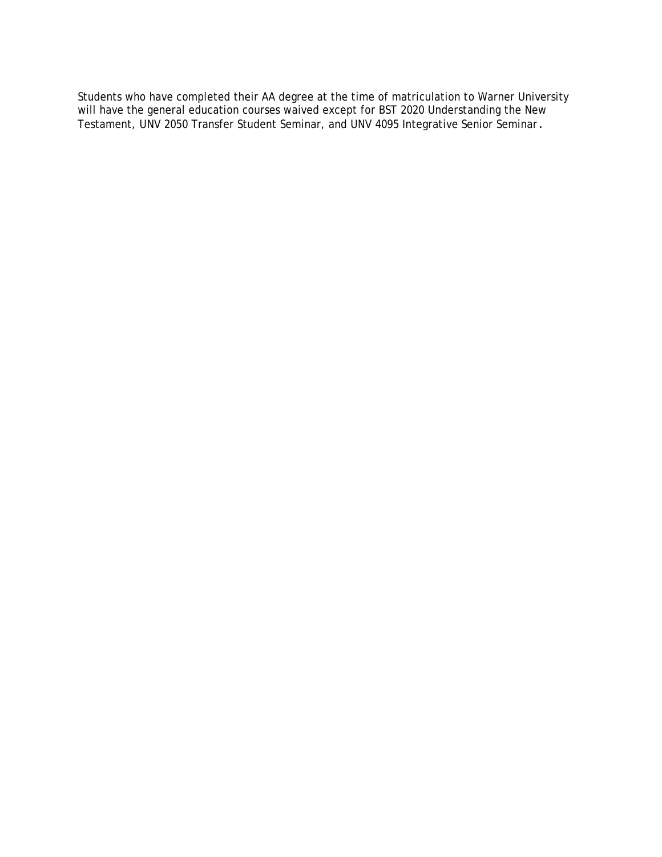Students who have completed their AA degree at the time of matriculation to Warner University will have the general education courses waived except for BST 2020 Understanding the New Testament, UNV 2050 Transfer Student Seminar, and UNV 4095 Integrative Senior Seminar.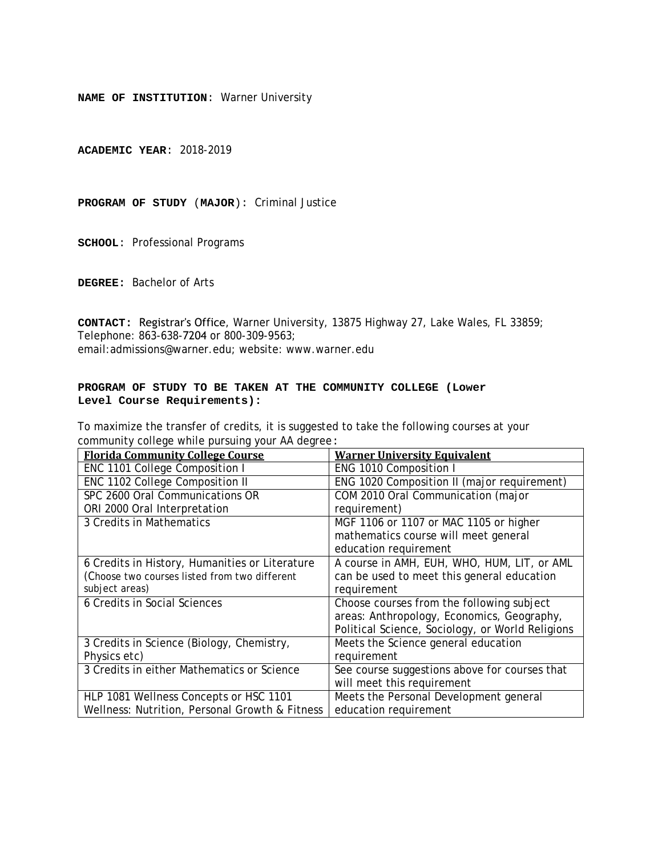**ACADEMIC YEAR**: 2018-2019

**PROGRAM OF STUDY** (**MAJOR**): Criminal Justice

**SCHOOL**: Professional Programs

**DEGREE:** Bachelor of Arts

**CONTACT:** Registrar's Office, Warner University, 13875 Highway 27, Lake Wales, FL 33859; Telephone: 863-638-7204 or 800-309-9563; email:admissions@warner.edu; website: www.warner.edu

# **PROGRAM OF STUDY TO BE TAKEN AT THE COMMUNITY COLLEGE (Lower Level Course Requirements):**

| <b>Florida Community College Course</b>        | <b>Warner University Equivalent</b>              |
|------------------------------------------------|--------------------------------------------------|
| ENC 1101 College Composition I                 | ENG 1010 Composition I                           |
| ENC 1102 College Composition II                | ENG 1020 Composition II (major requirement)      |
| SPC 2600 Oral Communications OR                | COM 2010 Oral Communication (major               |
| ORI 2000 Oral Interpretation                   | requirement)                                     |
| 3 Credits in Mathematics                       | MGF 1106 or 1107 or MAC 1105 or higher           |
|                                                | mathematics course will meet general             |
|                                                | education requirement                            |
| 6 Credits in History, Humanities or Literature | A course in AMH, EUH, WHO, HUM, LIT, or AML      |
| (Choose two courses listed from two different  | can be used to meet this general education       |
| subject areas)                                 | requirement                                      |
| 6 Credits in Social Sciences                   | Choose courses from the following subject        |
|                                                | areas: Anthropology, Economics, Geography,       |
|                                                | Political Science, Sociology, or World Religions |
| 3 Credits in Science (Biology, Chemistry,      | Meets the Science general education              |
| Physics etc)                                   | requirement                                      |
| 3 Credits in either Mathematics or Science     | See course suggestions above for courses that    |
|                                                | will meet this requirement                       |
| HLP 1081 Wellness Concepts or HSC 1101         | Meets the Personal Development general           |
| Wellness: Nutrition, Personal Growth & Fitness | education requirement                            |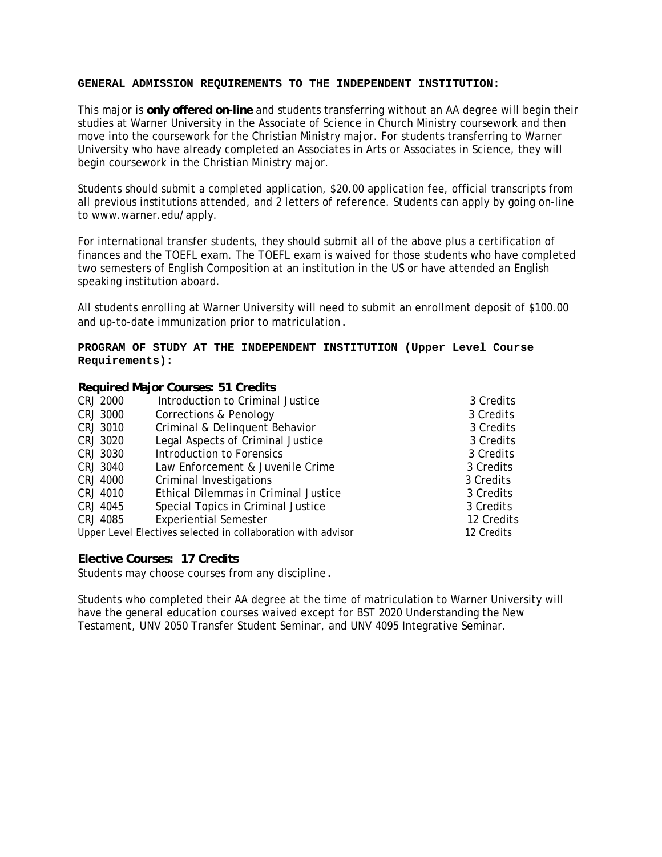This major is **only offered on-line** and students transferring without an AA degree will begin their studies at Warner University in the Associate of Science in Church Ministry coursework and then move into the coursework for the Christian Ministry major. For students transferring to Warner University who have already completed an Associates in Arts or Associates in Science, they will begin coursework in the Christian Ministry major.

Students should submit a completed application, \$20.00 application fee, official transcripts from all previous institutions attended, and 2 letters of reference. Students can apply by going on-line to www.warner.edu/apply.

For international transfer students, they should submit all of the above plus a certification of finances and the TOEFL exam. The TOEFL exam is waived for those students who have completed two semesters of English Composition at an institution in the US or have attended an English speaking institution aboard.

All students enrolling at Warner University will need to submit an enrollment deposit of \$100.00 and up-to-date immunization prior to matriculation.

#### **PROGRAM OF STUDY AT THE INDEPENDENT INSTITUTION (Upper Level Course Requirements):**

#### **Required Major Courses: 51 Credits**

| <b>CRJ 2000</b> | Introduction to Criminal Justice                             | 3 Credits  |
|-----------------|--------------------------------------------------------------|------------|
| CRJ 3000        | Corrections & Penology                                       | 3 Credits  |
| CRJ 3010        | Criminal & Delinquent Behavior                               | 3 Credits  |
| CRJ 3020        | Legal Aspects of Criminal Justice                            | 3 Credits  |
| CRJ 3030        | Introduction to Forensics                                    | 3 Credits  |
| CRJ 3040        | Law Enforcement & Juvenile Crime                             | 3 Credits  |
| <b>CRJ 4000</b> | Criminal Investigations                                      | 3 Credits  |
| CRJ 4010        | Ethical Dilemmas in Criminal Justice                         | 3 Credits  |
| CRJ 4045        | Special Topics in Criminal Justice                           | 3 Credits  |
| CRJ 4085        | <b>Experiential Semester</b>                                 | 12 Credits |
|                 | Upper Level Electives selected in collaboration with advisor | 12 Credits |

#### **Elective Courses: 17 Credits**

Students may choose courses from any discipline.

Students who completed their AA degree at the time of matriculation to Warner University will have the general education courses waived except for BST 2020 Understanding the New Testament, UNV 2050 Transfer Student Seminar, and UNV 4095 Integrative Seminar.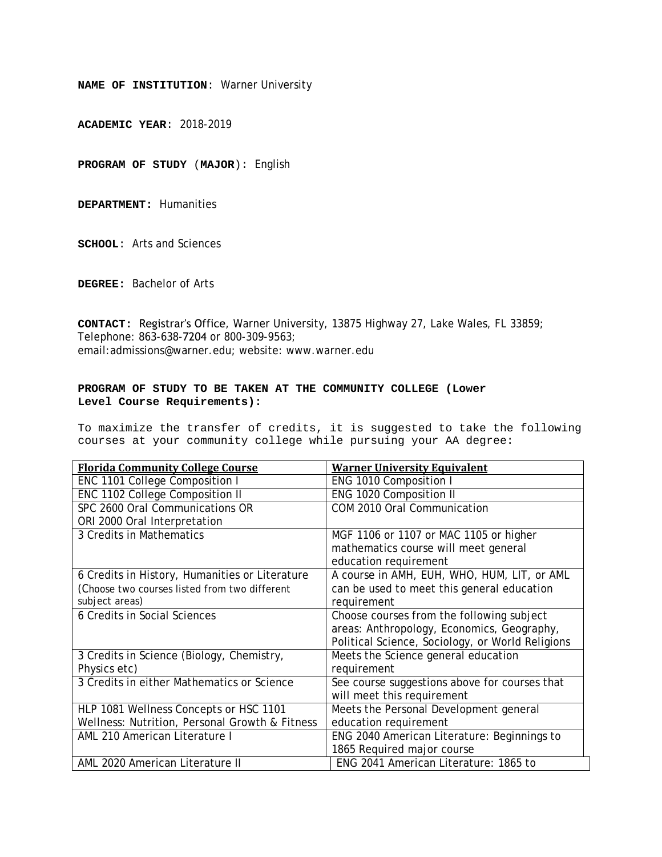**ACADEMIC YEAR**: 2018-2019

**PROGRAM OF STUDY** (**MAJOR**): English

**DEPARTMENT:** Humanities

**SCHOOL**: Arts and Sciences

**DEGREE:** Bachelor of Arts

**CONTACT:** Registrar's Office, Warner University, 13875 Highway 27, Lake Wales, FL 33859; Telephone: 863-638-7204 or 800-309-9563; email:admissions@warner.edu; website: www.warner.edu

#### **PROGRAM OF STUDY TO BE TAKEN AT THE COMMUNITY COLLEGE (Lower Level Course Requirements):**

| <b>Florida Community College Course</b>        | <b>Warner University Equivalent</b>              |
|------------------------------------------------|--------------------------------------------------|
| ENC 1101 College Composition I                 | ENG 1010 Composition I                           |
| ENC 1102 College Composition II                | ENG 1020 Composition II                          |
| SPC 2600 Oral Communications OR                | COM 2010 Oral Communication                      |
| ORI 2000 Oral Interpretation                   |                                                  |
| 3 Credits in Mathematics                       | MGF 1106 or 1107 or MAC 1105 or higher           |
|                                                | mathematics course will meet general             |
|                                                | education requirement                            |
| 6 Credits in History, Humanities or Literature | A course in AMH, EUH, WHO, HUM, LIT, or AML      |
| (Choose two courses listed from two different  | can be used to meet this general education       |
| subject areas)                                 | requirement                                      |
| 6 Credits in Social Sciences                   | Choose courses from the following subject        |
|                                                | areas: Anthropology, Economics, Geography,       |
|                                                | Political Science, Sociology, or World Religions |
| 3 Credits in Science (Biology, Chemistry,      | Meets the Science general education              |
| Physics etc)                                   | requirement                                      |
| 3 Credits in either Mathematics or Science     | See course suggestions above for courses that    |
|                                                | will meet this requirement                       |
| HLP 1081 Wellness Concepts or HSC 1101         | Meets the Personal Development general           |
| Wellness: Nutrition, Personal Growth & Fitness | education requirement                            |
| AML 210 American Literature I                  | ENG 2040 American Literature: Beginnings to      |
|                                                | 1865 Required major course                       |
| AML 2020 American Literature II                | ENG 2041 American Literature: 1865 to            |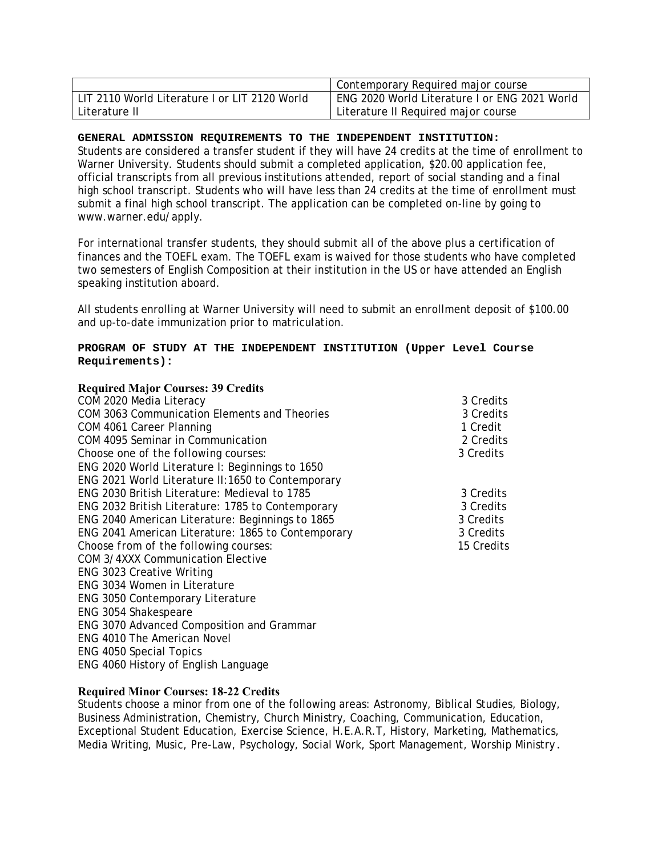|                                               | Contemporary Required major course            |
|-----------------------------------------------|-----------------------------------------------|
| LIT 2110 World Literature I or LIT 2120 World | ENG 2020 World Literature I or ENG 2021 World |
| Literature II                                 | Literature II Required major course           |

Students are considered a transfer student if they will have 24 credits at the time of enrollment to Warner University. Students should submit a completed application, \$20.00 application fee, official transcripts from all previous institutions attended, report of social standing and a final high school transcript. Students who will have less than 24 credits at the time of enrollment must submit a final high school transcript. The application can be completed on-line by going to www.warner.edu/apply.

For international transfer students, they should submit all of the above plus a certification of finances and the TOEFL exam. The TOEFL exam is waived for those students who have completed two semesters of English Composition at their institution in the US or have attended an English speaking institution aboard.

All students enrolling at Warner University will need to submit an enrollment deposit of \$100.00 and up-to-date immunization prior to matriculation.

#### **PROGRAM OF STUDY AT THE INDEPENDENT INSTITUTION (Upper Level Course Requirements):**

| <b>Required Major Courses: 39 Credits</b>          |            |
|----------------------------------------------------|------------|
| COM 2020 Media Literacy                            | 3 Credits  |
| COM 3063 Communication Elements and Theories       | 3 Credits  |
| COM 4061 Career Planning                           | 1 Credit   |
| COM 4095 Seminar in Communication                  | 2 Credits  |
| Choose one of the following courses:               | 3 Credits  |
| ENG 2020 World Literature I: Beginnings to 1650    |            |
| ENG 2021 World Literature II:1650 to Contemporary  |            |
| ENG 2030 British Literature: Medieval to 1785      | 3 Credits  |
| ENG 2032 British Literature: 1785 to Contemporary  | 3 Credits  |
| ENG 2040 American Literature: Beginnings to 1865   | 3 Credits  |
| ENG 2041 American Literature: 1865 to Contemporary | 3 Credits  |
| Choose from of the following courses:              | 15 Credits |
| <b>COM 3/4XXX Communication Elective</b>           |            |
| <b>ENG 3023 Creative Writing</b>                   |            |
| ENG 3034 Women in Literature                       |            |
| ENG 3050 Contemporary Literature                   |            |
| ENG 3054 Shakespeare                               |            |
| ENG 3070 Advanced Composition and Grammar          |            |
| <b>ENG 4010 The American Novel</b>                 |            |
| <b>ENG 4050 Special Topics</b>                     |            |

#### **Required Minor Courses: 18-22 Credits**

ENG 4060 History of English Language

Students choose a minor from one of the following areas: Astronomy, Biblical Studies, Biology, Business Administration, Chemistry, Church Ministry, Coaching, Communication, Education, Exceptional Student Education, Exercise Science, H.E.A.R.T, History, Marketing, Mathematics, Media Writing, Music, Pre-Law, Psychology, Social Work, Sport Management, Worship Ministry.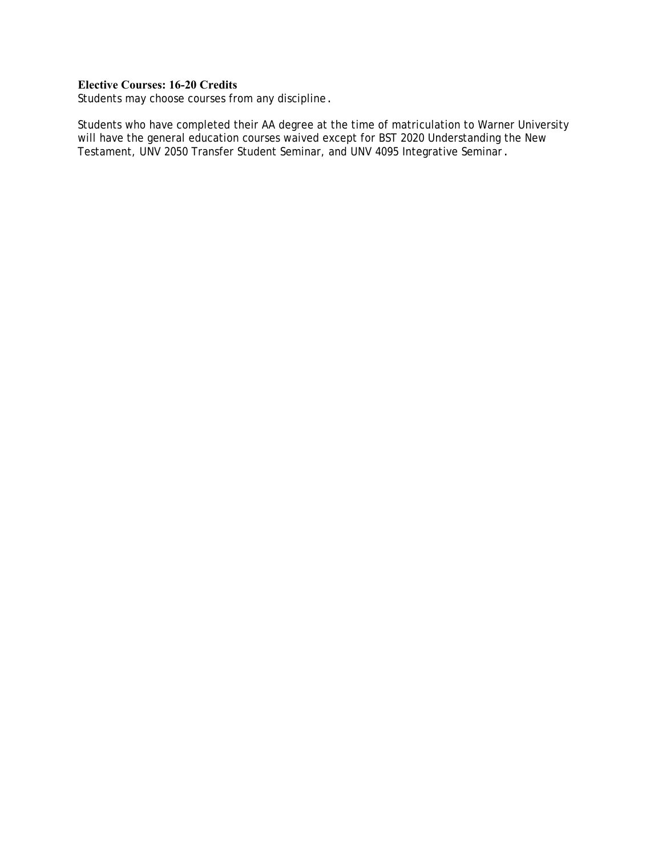# **Elective Courses: 16-20 Credits**

Students may choose courses from any discipline.

Students who have completed their AA degree at the time of matriculation to Warner University will have the general education courses waived except for BST 2020 Understanding the New Testament, UNV 2050 Transfer Student Seminar, and UNV 4095 Integrative Seminar.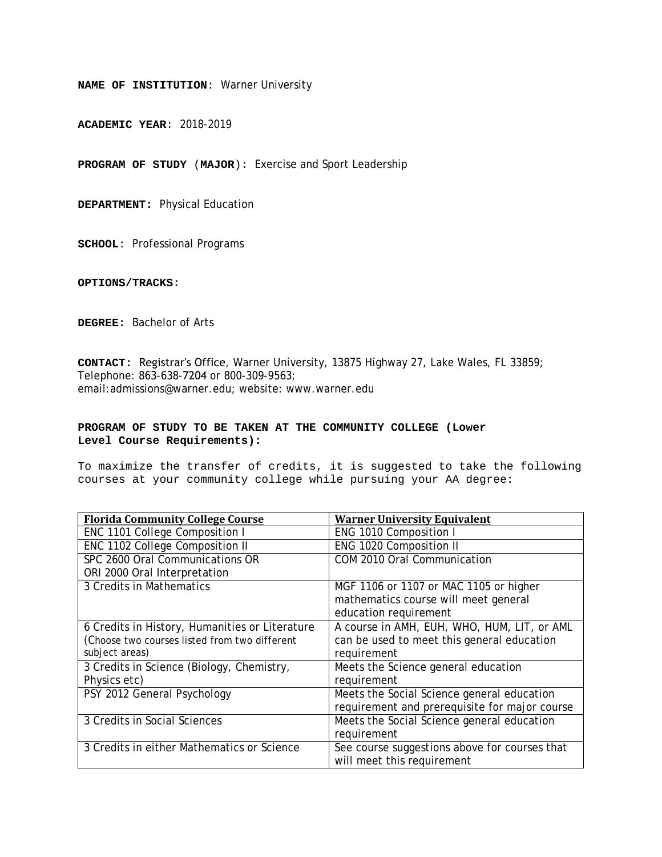**ACADEMIC YEAR**: 2018-2019

**PROGRAM OF STUDY** (**MAJOR**): Exercise and Sport Leadership

**DEPARTMENT:** Physical Education

**SCHOOL**: Professional Programs

**OPTIONS/TRACKS:** 

**DEGREE:** Bachelor of Arts

**CONTACT:** Registrar's Office, Warner University, 13875 Highway 27, Lake Wales, FL 33859; Telephone: 863-638-7204 or 800-309-9563; email:admissions@warner.edu; website: www.warner.edu

#### **PROGRAM OF STUDY TO BE TAKEN AT THE COMMUNITY COLLEGE (Lower Level Course Requirements):**

| <b>Florida Community College Course</b>        | <b>Warner University Equivalent</b>           |
|------------------------------------------------|-----------------------------------------------|
| ENC 1101 College Composition I                 | ENG 1010 Composition I                        |
| ENC 1102 College Composition II                | ENG 1020 Composition II                       |
| SPC 2600 Oral Communications OR                | COM 2010 Oral Communication                   |
| ORI 2000 Oral Interpretation                   |                                               |
| 3 Credits in Mathematics                       | MGF 1106 or 1107 or MAC 1105 or higher        |
|                                                | mathematics course will meet general          |
|                                                | education requirement                         |
| 6 Credits in History, Humanities or Literature | A course in AMH, EUH, WHO, HUM, LIT, or AML   |
| (Choose two courses listed from two different  | can be used to meet this general education    |
| subject areas)                                 | requirement                                   |
| 3 Credits in Science (Biology, Chemistry,      | Meets the Science general education           |
| Physics etc)                                   | requirement                                   |
| PSY 2012 General Psychology                    | Meets the Social Science general education    |
|                                                | requirement and prerequisite for major course |
| 3 Credits in Social Sciences                   | Meets the Social Science general education    |
|                                                | requirement                                   |
| 3 Credits in either Mathematics or Science     | See course suggestions above for courses that |
|                                                | will meet this requirement                    |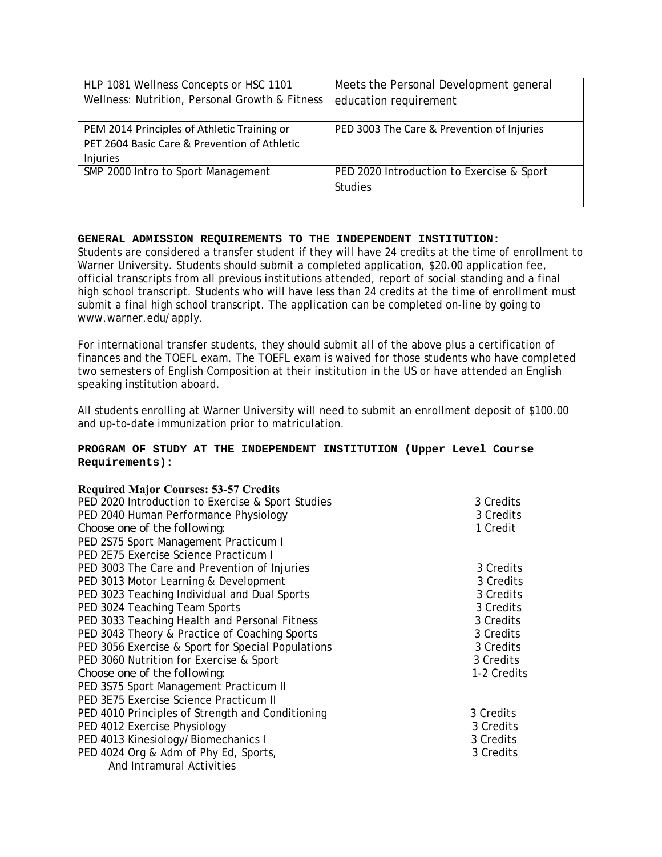| HLP 1081 Wellness Concepts or HSC 1101         | Meets the Personal Development general     |
|------------------------------------------------|--------------------------------------------|
| Wellness: Nutrition, Personal Growth & Fitness | education requirement                      |
|                                                |                                            |
| PEM 2014 Principles of Athletic Training or    | PED 3003 The Care & Prevention of Injuries |
| PET 2604 Basic Care & Prevention of Athletic   |                                            |
| Injuries                                       |                                            |
| SMP 2000 Intro to Sport Management             | PED 2020 Introduction to Exercise & Sport  |
|                                                | <b>Studies</b>                             |
|                                                |                                            |

Students are considered a transfer student if they will have 24 credits at the time of enrollment to Warner University. Students should submit a completed application, \$20.00 application fee, official transcripts from all previous institutions attended, report of social standing and a final high school transcript. Students who will have less than 24 credits at the time of enrollment must submit a final high school transcript. The application can be completed on-line by going to www.warner.edu/apply.

For international transfer students, they should submit all of the above plus a certification of finances and the TOEFL exam. The TOEFL exam is waived for those students who have completed two semesters of English Composition at their institution in the US or have attended an English speaking institution aboard.

All students enrolling at Warner University will need to submit an enrollment deposit of \$100.00 and up-to-date immunization prior to matriculation.

# **PROGRAM OF STUDY AT THE INDEPENDENT INSTITUTION (Upper Level Course Requirements):**

| <b>Required Major Courses: 53-57 Credits</b>      |             |
|---------------------------------------------------|-------------|
| PED 2020 Introduction to Exercise & Sport Studies | 3 Credits   |
| PED 2040 Human Performance Physiology             | 3 Credits   |
| Choose one of the following:                      | 1 Credit    |
| PED 2S75 Sport Management Practicum I             |             |
| PED 2E75 Exercise Science Practicum I             |             |
| PED 3003 The Care and Prevention of Injuries      | 3 Credits   |
| PED 3013 Motor Learning & Development             | 3 Credits   |
| PED 3023 Teaching Individual and Dual Sports      | 3 Credits   |
| PED 3024 Teaching Team Sports                     | 3 Credits   |
| PED 3033 Teaching Health and Personal Fitness     | 3 Credits   |
| PED 3043 Theory & Practice of Coaching Sports     | 3 Credits   |
| PED 3056 Exercise & Sport for Special Populations | 3 Credits   |
| PED 3060 Nutrition for Exercise & Sport           | 3 Credits   |
| Choose one of the following:                      | 1-2 Credits |
| PED 3S75 Sport Management Practicum II            |             |
| PED 3E75 Exercise Science Practicum II            |             |
| PED 4010 Principles of Strength and Conditioning  | 3 Credits   |
| PED 4012 Exercise Physiology                      | 3 Credits   |
| PED 4013 Kinesiology/Biomechanics I               | 3 Credits   |
| PED 4024 Org & Adm of Phy Ed, Sports,             | 3 Credits   |
| And Intramural Activities                         |             |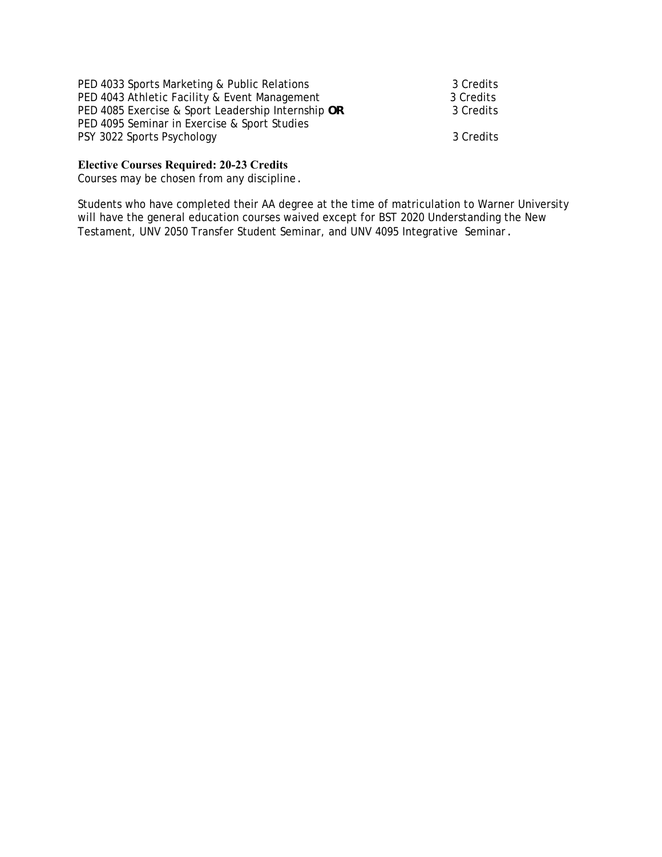| PED 4033 Sports Marketing & Public Relations       | 3 Credits |
|----------------------------------------------------|-----------|
| PED 4043 Athletic Facility & Event Management      | 3 Credits |
| PED 4085 Exercise & Sport Leadership Internship OR | 3 Credits |
| PED 4095 Seminar in Exercise & Sport Studies       |           |
| PSY 3022 Sports Psychology                         | 3 Credits |

# **Elective Courses Required: 20-23 Credits**

Courses may be chosen from any discipline.

Students who have completed their AA degree at the time of matriculation to Warner University will have the general education courses waived except for BST 2020 Understanding the New Testament, UNV 2050 Transfer Student Seminar, and UNV 4095 Integrative Seminar.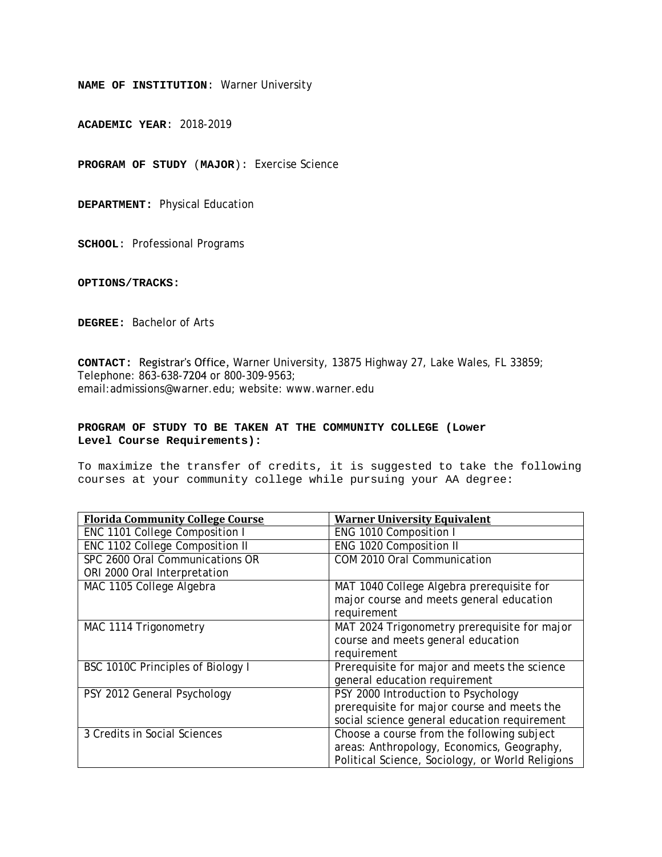**ACADEMIC YEAR**: 2018-2019

**PROGRAM OF STUDY** (**MAJOR**): Exercise Science

**DEPARTMENT:** Physical Education

**SCHOOL**: Professional Programs

**OPTIONS/TRACKS:** 

**DEGREE:** Bachelor of Arts

**CONTACT:** Registrar's Office, Warner University, 13875 Highway 27, Lake Wales, FL 33859; Telephone: 863-638-7204 or 800-309-9563; email:admissions@warner.edu; website: www.warner.edu

#### **PROGRAM OF STUDY TO BE TAKEN AT THE COMMUNITY COLLEGE (Lower Level Course Requirements):**

| <b>Florida Community College Course</b> | <b>Warner University Equivalent</b>              |
|-----------------------------------------|--------------------------------------------------|
| ENC 1101 College Composition I          | ENG 1010 Composition I                           |
| ENC 1102 College Composition II         | ENG 1020 Composition II                          |
| SPC 2600 Oral Communications OR         | COM 2010 Oral Communication                      |
| ORI 2000 Oral Interpretation            |                                                  |
| MAC 1105 College Algebra                | MAT 1040 College Algebra prerequisite for        |
|                                         | major course and meets general education         |
|                                         | requirement                                      |
| MAC 1114 Trigonometry                   | MAT 2024 Trigonometry prerequisite for major     |
|                                         | course and meets general education               |
|                                         | requirement                                      |
| BSC 1010C Principles of Biology I       | Prerequisite for major and meets the science     |
|                                         | general education requirement                    |
| PSY 2012 General Psychology             | PSY 2000 Introduction to Psychology              |
|                                         | prerequisite for major course and meets the      |
|                                         | social science general education requirement     |
| 3 Credits in Social Sciences            | Choose a course from the following subject       |
|                                         | areas: Anthropology, Economics, Geography,       |
|                                         | Political Science, Sociology, or World Religions |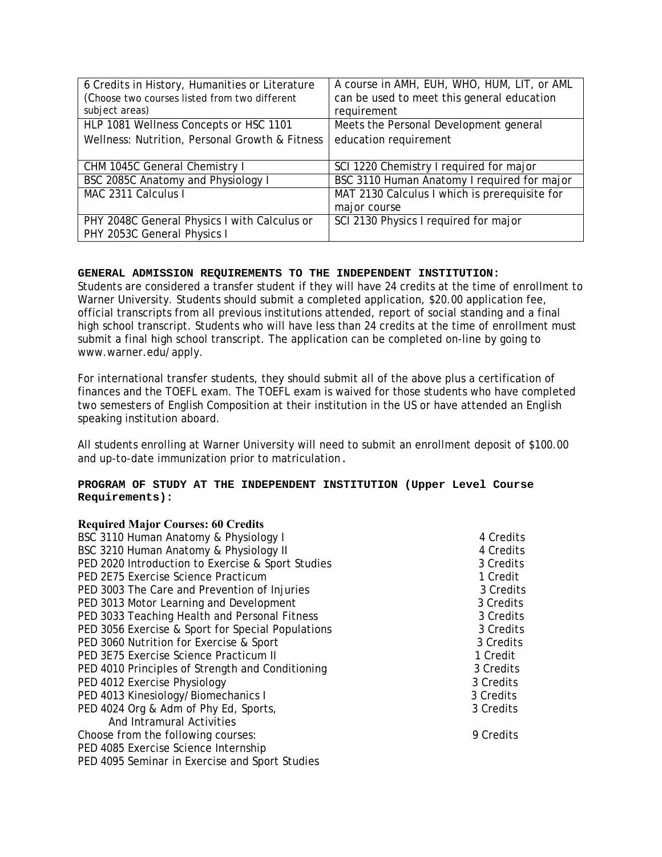| 6 Credits in History, Humanities or Literature<br>(Choose two courses listed from two different | A course in AMH, EUH, WHO, HUM, LIT, or AML<br>can be used to meet this general education |
|-------------------------------------------------------------------------------------------------|-------------------------------------------------------------------------------------------|
| subject areas)                                                                                  | requirement                                                                               |
| HLP 1081 Wellness Concepts or HSC 1101                                                          | Meets the Personal Development general                                                    |
| Wellness: Nutrition, Personal Growth & Fitness                                                  | education requirement                                                                     |
|                                                                                                 |                                                                                           |
| CHM 1045C General Chemistry I                                                                   | SCI 1220 Chemistry I required for major                                                   |
| BSC 2085C Anatomy and Physiology I                                                              | BSC 3110 Human Anatomy I required for major                                               |
| MAC 2311 Calculus I                                                                             | MAT 2130 Calculus I which is prerequisite for                                             |
|                                                                                                 | major course                                                                              |
| PHY 2048C General Physics I with Calculus or                                                    | SCI 2130 Physics I required for major                                                     |
| PHY 2053C General Physics I                                                                     |                                                                                           |

Students are considered a transfer student if they will have 24 credits at the time of enrollment to Warner University. Students should submit a completed application, \$20.00 application fee, official transcripts from all previous institutions attended, report of social standing and a final high school transcript. Students who will have less than 24 credits at the time of enrollment must submit a final high school transcript. The application can be completed on-line by going to www.warner.edu/apply.

For international transfer students, they should submit all of the above plus a certification of finances and the TOEFL exam. The TOEFL exam is waived for those students who have completed two semesters of English Composition at their institution in the US or have attended an English speaking institution aboard.

All students enrolling at Warner University will need to submit an enrollment deposit of \$100.00 and up-to-date immunization prior to matriculation.

# **PROGRAM OF STUDY AT THE INDEPENDENT INSTITUTION (Upper Level Course Requirements):**

| <b>Required Major Courses: 60 Credits</b>         |           |
|---------------------------------------------------|-----------|
| BSC 3110 Human Anatomy & Physiology I             | 4 Credits |
| BSC 3210 Human Anatomy & Physiology II            | 4 Credits |
| PED 2020 Introduction to Exercise & Sport Studies | 3 Credits |
| PED 2E75 Exercise Science Practicum               | 1 Credit  |
| PED 3003 The Care and Prevention of Injuries      | 3 Credits |
| PED 3013 Motor Learning and Development           | 3 Credits |
| PED 3033 Teaching Health and Personal Fitness     | 3 Credits |
| PED 3056 Exercise & Sport for Special Populations | 3 Credits |
| PED 3060 Nutrition for Exercise & Sport           | 3 Credits |
| PED 3E75 Exercise Science Practicum II            | 1 Credit  |
| PED 4010 Principles of Strength and Conditioning  | 3 Credits |
| PED 4012 Exercise Physiology                      | 3 Credits |
| PED 4013 Kinesiology/Biomechanics I               | 3 Credits |
| PED 4024 Org & Adm of Phy Ed, Sports,             | 3 Credits |
| And Intramural Activities                         |           |
| Choose from the following courses:                | 9 Credits |
| PED 4085 Exercise Science Internship              |           |
| PED 4095 Seminar in Exercise and Sport Studies    |           |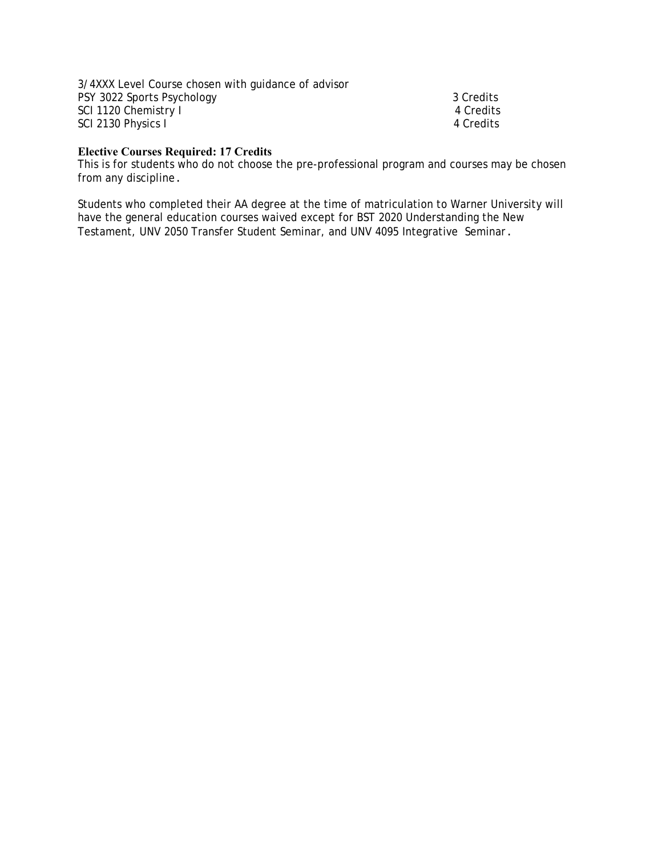3/4XXX Level Course chosen with guidance of advisor PSY 3022 Sports Psychology 3 Credits SCI 1120 Chemistry I 4 Credits SCI 2130 Physics I 4 Credits

# **Elective Courses Required: 17 Credits**

This is for students who do not choose the pre-professional program and courses may be chosen from any discipline.

Students who completed their AA degree at the time of matriculation to Warner University will have the general education courses waived except for BST 2020 Understanding the New Testament, UNV 2050 Transfer Student Seminar, and UNV 4095 Integrative Seminar.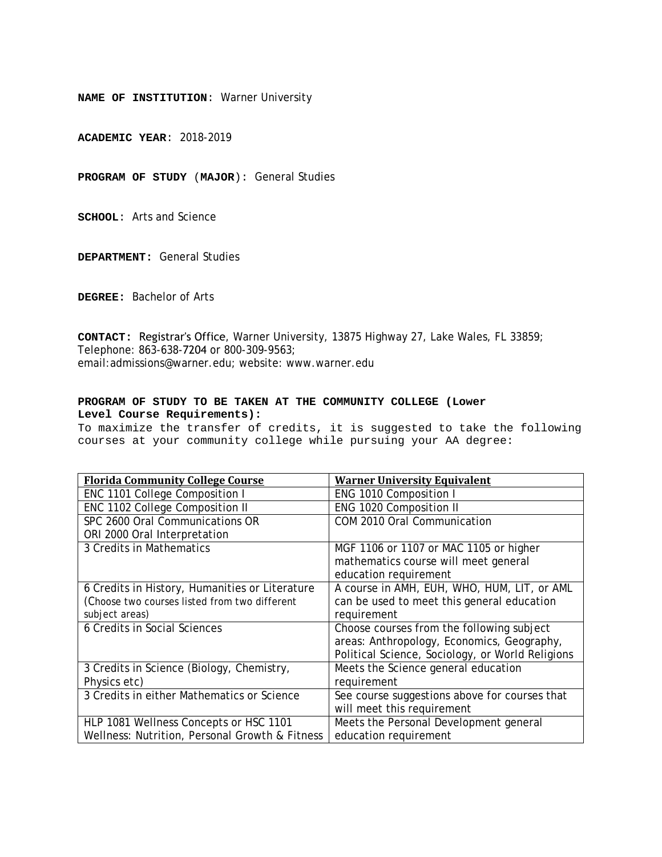**ACADEMIC YEAR**: 2018-2019

**PROGRAM OF STUDY** (**MAJOR**): General Studies

**SCHOOL**: Arts and Science

**DEPARTMENT:** General Studies

**DEGREE:** Bachelor of Arts

**CONTACT:** Registrar's Office, Warner University, 13875 Highway 27, Lake Wales, FL 33859; Telephone: 863-638-7204 or 800-309-9563; email:admissions@warner.edu; website: www.warner.edu

#### **PROGRAM OF STUDY TO BE TAKEN AT THE COMMUNITY COLLEGE (Lower Level Course Requirements):**

| <b>Florida Community College Course</b>        | <b>Warner University Equivalent</b>              |
|------------------------------------------------|--------------------------------------------------|
| ENC 1101 College Composition I                 | ENG 1010 Composition I                           |
| ENC 1102 College Composition II                | ENG 1020 Composition II                          |
| SPC 2600 Oral Communications OR                | COM 2010 Oral Communication                      |
| ORI 2000 Oral Interpretation                   |                                                  |
| 3 Credits in Mathematics                       | MGF 1106 or 1107 or MAC 1105 or higher           |
|                                                | mathematics course will meet general             |
|                                                | education requirement                            |
| 6 Credits in History, Humanities or Literature | A course in AMH, EUH, WHO, HUM, LIT, or AML      |
| (Choose two courses listed from two different  | can be used to meet this general education       |
| subject areas)                                 | requirement                                      |
| 6 Credits in Social Sciences                   | Choose courses from the following subject        |
|                                                | areas: Anthropology, Economics, Geography,       |
|                                                | Political Science, Sociology, or World Religions |
| 3 Credits in Science (Biology, Chemistry,      | Meets the Science general education              |
| Physics etc)                                   | requirement                                      |
| 3 Credits in either Mathematics or Science     | See course suggestions above for courses that    |
|                                                | will meet this requirement                       |
| HLP 1081 Wellness Concepts or HSC 1101         | Meets the Personal Development general           |
| Wellness: Nutrition, Personal Growth & Fitness | education requirement                            |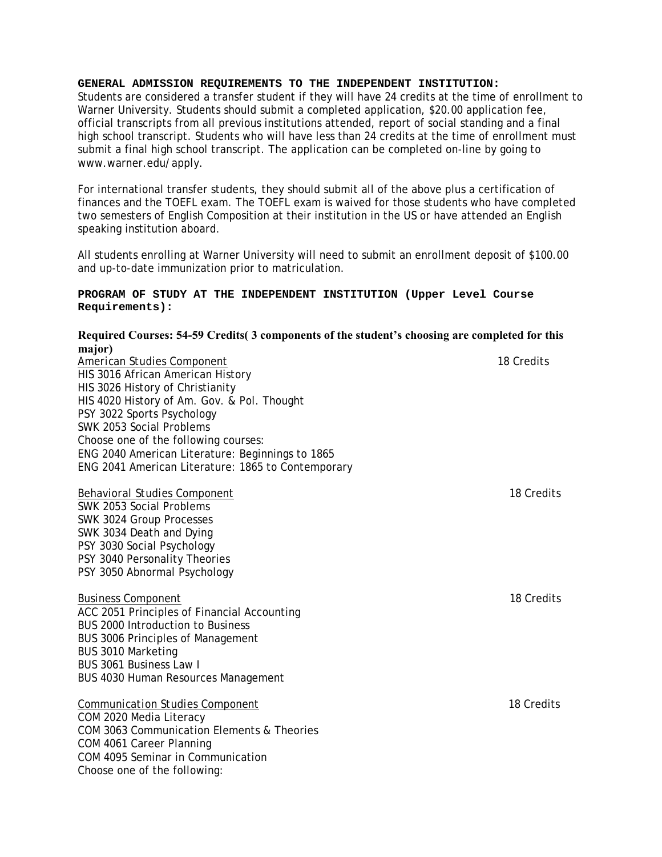Students are considered a transfer student if they will have 24 credits at the time of enrollment to Warner University. Students should submit a completed application, \$20.00 application fee, official transcripts from all previous institutions attended, report of social standing and a final high school transcript. Students who will have less than 24 credits at the time of enrollment must submit a final high school transcript. The application can be completed on-line by going to www.warner.edu/apply.

For international transfer students, they should submit all of the above plus a certification of finances and the TOEFL exam. The TOEFL exam is waived for those students who have completed two semesters of English Composition at their institution in the US or have attended an English speaking institution aboard.

All students enrolling at Warner University will need to submit an enrollment deposit of \$100.00 and up-to-date immunization prior to matriculation.

## **PROGRAM OF STUDY AT THE INDEPENDENT INSTITUTION (Upper Level Course Requirements):**

# **Required Courses: 54-59 Credits( 3 components of the student's choosing are completed for this major)**

*American Studies Component* 18 Credits HIS 3016 African American History HIS 3026 History of Christianity HIS 4020 History of Am. Gov. & Pol. Thought PSY 3022 Sports Psychology SWK 2053 Social Problems Choose one of the following courses: ENG 2040 American Literature: Beginnings to 1865 ENG 2041 American Literature: 1865 to Contemporary

*Behavioral Studies Component*18 Credits SWK 2053 Social Problems SWK 3024 Group Processes SWK 3034 Death and Dying PSY 3030 Social Psychology PSY 3040 Personality Theories PSY 3050 Abnormal Psychology

## *Business Component* 18 Credits ACC 2051 Principles of Financial Accounting BUS 2000 Introduction to Business BUS 3006 Principles of Management BUS 3010 Marketing BUS 3061 Business Law I BUS 4030 Human Resources Management

*Communication Studies Component* 18 Credits COM 2020 Media Literacy COM 3063 Communication Elements & Theories COM 4061 Career Planning COM 4095 Seminar in Communication Choose one of the following: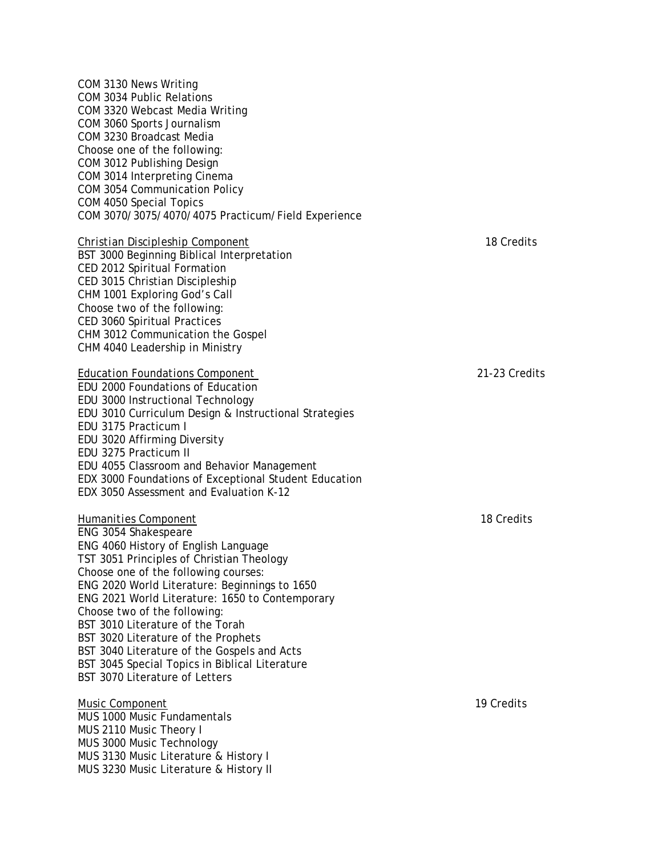| COM 3130 News Writing<br>COM 3034 Public Relations<br>COM 3320 Webcast Media Writing             |               |
|--------------------------------------------------------------------------------------------------|---------------|
| COM 3060 Sports Journalism                                                                       |               |
| COM 3230 Broadcast Media                                                                         |               |
| Choose one of the following:                                                                     |               |
| COM 3012 Publishing Design                                                                       |               |
| COM 3014 Interpreting Cinema                                                                     |               |
| COM 3054 Communication Policy                                                                    |               |
| COM 4050 Special Topics<br>COM 3070/3075/4070/4075 Practicum/Field Experience                    |               |
| Christian Discipleship Component                                                                 | 18 Credits    |
| BST 3000 Beginning Biblical Interpretation                                                       |               |
| CED 2012 Spiritual Formation                                                                     |               |
| CED 3015 Christian Discipleship                                                                  |               |
| CHM 1001 Exploring God's Call                                                                    |               |
| Choose two of the following:                                                                     |               |
| CED 3060 Spiritual Practices                                                                     |               |
| CHM 3012 Communication the Gospel                                                                |               |
| CHM 4040 Leadership in Ministry                                                                  |               |
| <b>Education Foundations Component</b>                                                           | 21-23 Credits |
| EDU 2000 Foundations of Education                                                                |               |
| EDU 3000 Instructional Technology                                                                |               |
| EDU 3010 Curriculum Design & Instructional Strategies                                            |               |
| EDU 3175 Practicum I                                                                             |               |
| EDU 3020 Affirming Diversity                                                                     |               |
| EDU 3275 Practicum II                                                                            |               |
| EDU 4055 Classroom and Behavior Management                                                       |               |
| EDX 3000 Foundations of Exceptional Student Education                                            |               |
| EDX 3050 Assessment and Evaluation K-12                                                          |               |
| <b>Humanities Component</b>                                                                      | 18 Credits    |
| ENG 3054 Shakespeare                                                                             |               |
| ENG 4060 History of English Language                                                             |               |
| TST 3051 Principles of Christian Theology                                                        |               |
| Choose one of the following courses:                                                             |               |
| ENG 2020 World Literature: Beginnings to 1650<br>ENG 2021 World Literature: 1650 to Contemporary |               |
| Choose two of the following:                                                                     |               |
| BST 3010 Literature of the Torah                                                                 |               |
| BST 3020 Literature of the Prophets                                                              |               |
| BST 3040 Literature of the Gospels and Acts                                                      |               |
| BST 3045 Special Topics in Biblical Literature                                                   |               |
| BST 3070 Literature of Letters                                                                   |               |
| <b>Music Component</b>                                                                           | 19 Credits    |
| MUS 1000 Music Fundamentals                                                                      |               |
| MUS 2110 Music Theory I                                                                          |               |
| MUS 3000 Music Technology                                                                        |               |
| MUS 3130 Music Literature & History I                                                            |               |

MUS 3230 Music Literature & History II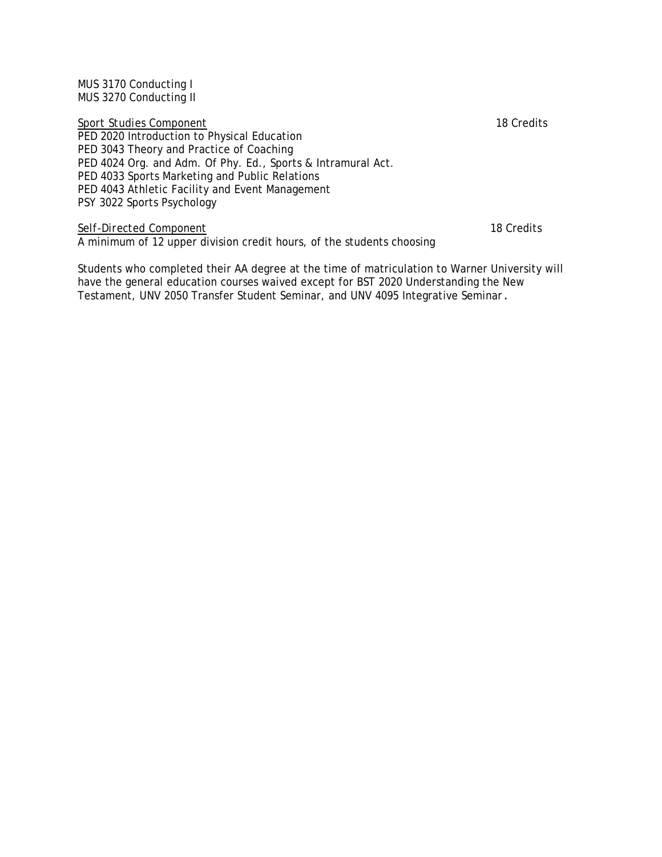MUS 3170 Conducting I MUS 3270 Conducting II

*Sport Studies Component* 18 Credits

PED 2020 Introduction to Physical Education PED 3043 Theory and Practice of Coaching PED 4024 Org. and Adm. Of Phy. Ed., Sports & Intramural Act. PED 4033 Sports Marketing and Public Relations PED 4043 Athletic Facility and Event Management PSY 3022 Sports Psychology

# *Self-Directed Component* 18 Credits

A minimum of 12 upper division credit hours, of the students choosing

Students who completed their AA degree at the time of matriculation to Warner University will have the general education courses waived except for BST 2020 Understanding the New Testament, UNV 2050 Transfer Student Seminar, and UNV 4095 Integrative Seminar.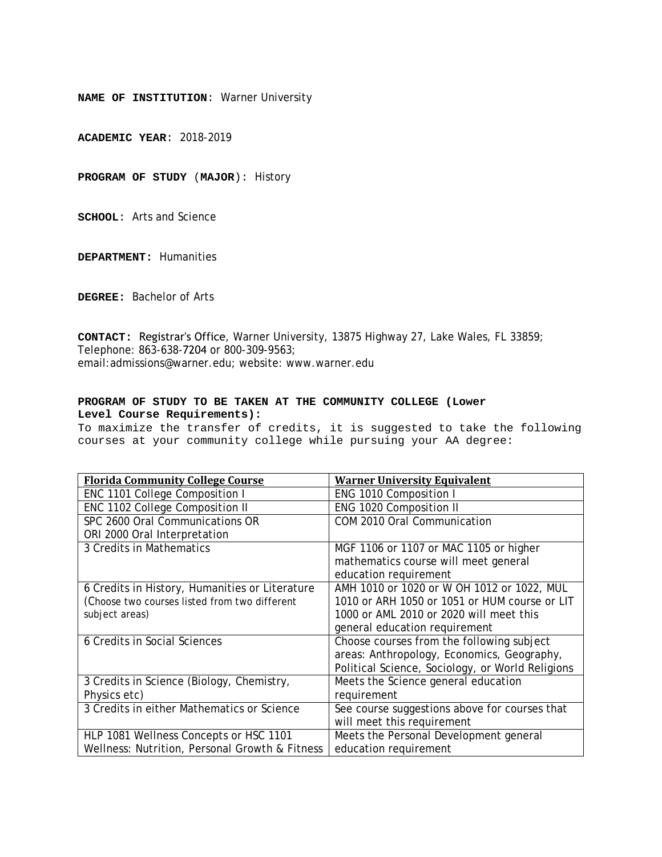**ACADEMIC YEAR**: 2018-2019

**PROGRAM OF STUDY** (**MAJOR**): History

**SCHOOL**: Arts and Science

**DEPARTMENT:** Humanities

**DEGREE:** Bachelor of Arts

**CONTACT:** Registrar's Office, Warner University, 13875 Highway 27, Lake Wales, FL 33859; Telephone: 863-638-7204 or 800-309-9563; email:admissions@warner.edu; website: www.warner.edu

#### **PROGRAM OF STUDY TO BE TAKEN AT THE COMMUNITY COLLEGE (Lower Level Course Requirements):**

| <b>Florida Community College Course</b>        | <b>Warner University Equivalent</b>              |
|------------------------------------------------|--------------------------------------------------|
| ENC 1101 College Composition I                 | ENG 1010 Composition I                           |
| ENC 1102 College Composition II                | ENG 1020 Composition II                          |
| SPC 2600 Oral Communications OR                | COM 2010 Oral Communication                      |
| ORI 2000 Oral Interpretation                   |                                                  |
| 3 Credits in Mathematics                       | MGF 1106 or 1107 or MAC 1105 or higher           |
|                                                | mathematics course will meet general             |
|                                                | education requirement                            |
| 6 Credits in History, Humanities or Literature | AMH 1010 or 1020 or W OH 1012 or 1022, MUL       |
| (Choose two courses listed from two different  | 1010 or ARH 1050 or 1051 or HUM course or LIT    |
| subject areas)                                 | 1000 or AML 2010 or 2020 will meet this          |
|                                                | general education requirement                    |
| 6 Credits in Social Sciences                   | Choose courses from the following subject        |
|                                                | areas: Anthropology, Economics, Geography,       |
|                                                | Political Science, Sociology, or World Religions |
| 3 Credits in Science (Biology, Chemistry,      | Meets the Science general education              |
| Physics etc)                                   | requirement                                      |
| 3 Credits in either Mathematics or Science     | See course suggestions above for courses that    |
|                                                | will meet this requirement                       |
| HLP 1081 Wellness Concepts or HSC 1101         | Meets the Personal Development general           |
| Wellness: Nutrition, Personal Growth & Fitness | education requirement                            |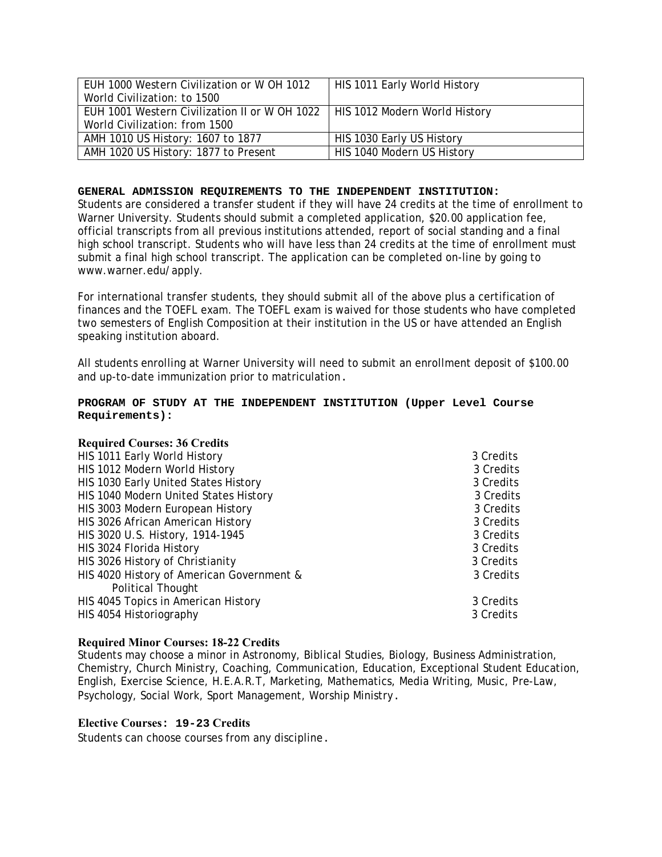| EUH 1000 Western Civilization or W OH 1012    | HIS 1011 Early World History  |
|-----------------------------------------------|-------------------------------|
| World Civilization: to 1500                   |                               |
| EUH 1001 Western Civilization II or W OH 1022 | HIS 1012 Modern World History |
| World Civilization: from 1500                 |                               |
| AMH 1010 US History: 1607 to 1877             | HIS 1030 Early US History     |
| AMH 1020 US History: 1877 to Present          | HIS 1040 Modern US History    |

Students are considered a transfer student if they will have 24 credits at the time of enrollment to Warner University. Students should submit a completed application, \$20.00 application fee, official transcripts from all previous institutions attended, report of social standing and a final high school transcript. Students who will have less than 24 credits at the time of enrollment must submit a final high school transcript. The application can be completed on-line by going to www.warner.edu/apply.

For international transfer students, they should submit all of the above plus a certification of finances and the TOEFL exam. The TOEFL exam is waived for those students who have completed two semesters of English Composition at their institution in the US or have attended an English speaking institution aboard.

All students enrolling at Warner University will need to submit an enrollment deposit of \$100.00 and up-to-date immunization prior to matriculation.

#### **PROGRAM OF STUDY AT THE INDEPENDENT INSTITUTION (Upper Level Course Requirements):**

# **Required Courses: 36 Credits**

| HIS 1011 Early World History              | 3 Credits |
|-------------------------------------------|-----------|
| HIS 1012 Modern World History             | 3 Credits |
| HIS 1030 Early United States History      | 3 Credits |
| HIS 1040 Modern United States History     | 3 Credits |
| HIS 3003 Modern European History          | 3 Credits |
| HIS 3026 African American History         | 3 Credits |
| HIS 3020 U.S. History, 1914-1945          | 3 Credits |
| HIS 3024 Florida History                  | 3 Credits |
| HIS 3026 History of Christianity          | 3 Credits |
| HIS 4020 History of American Government & | 3 Credits |
| <b>Political Thought</b>                  |           |
| HIS 4045 Topics in American History       | 3 Credits |
| HIS 4054 Historiography                   | 3 Credits |
|                                           |           |

#### **Required Minor Courses: 18-22 Credits**

Students may choose a minor in Astronomy, Biblical Studies, Biology, Business Administration, Chemistry, Church Ministry, Coaching, Communication, Education, Exceptional Student Education, English, Exercise Science, H.E.A.R.T, Marketing, Mathematics, Media Writing, Music, Pre-Law, Psychology, Social Work, Sport Management, Worship Ministry.

#### **Elective Courses: 19-23 Credits**

Students can choose courses from any discipline.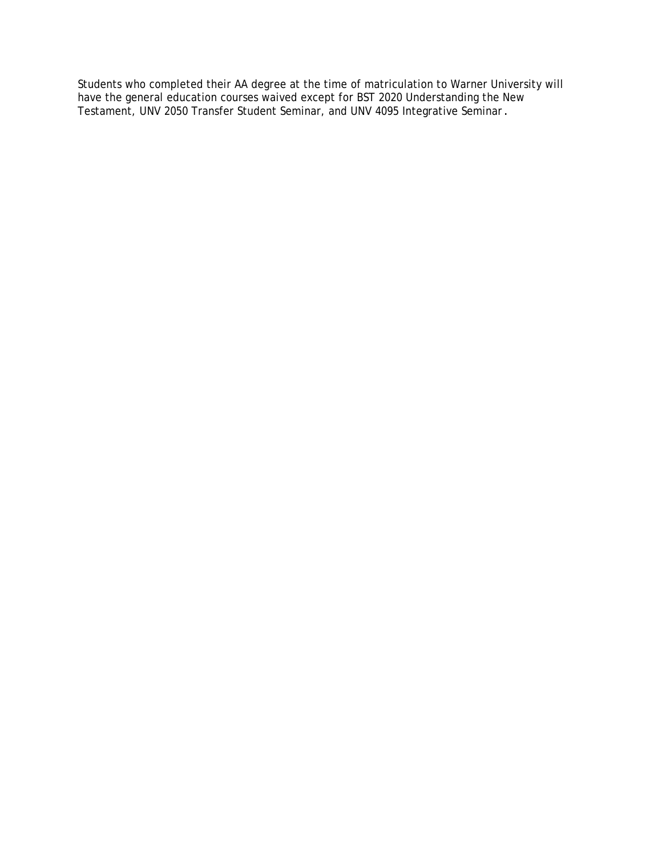Students who completed their AA degree at the time of matriculation to Warner University will have the general education courses waived except for BST 2020 Understanding the New Testament, UNV 2050 Transfer Student Seminar, and UNV 4095 Integrative Seminar.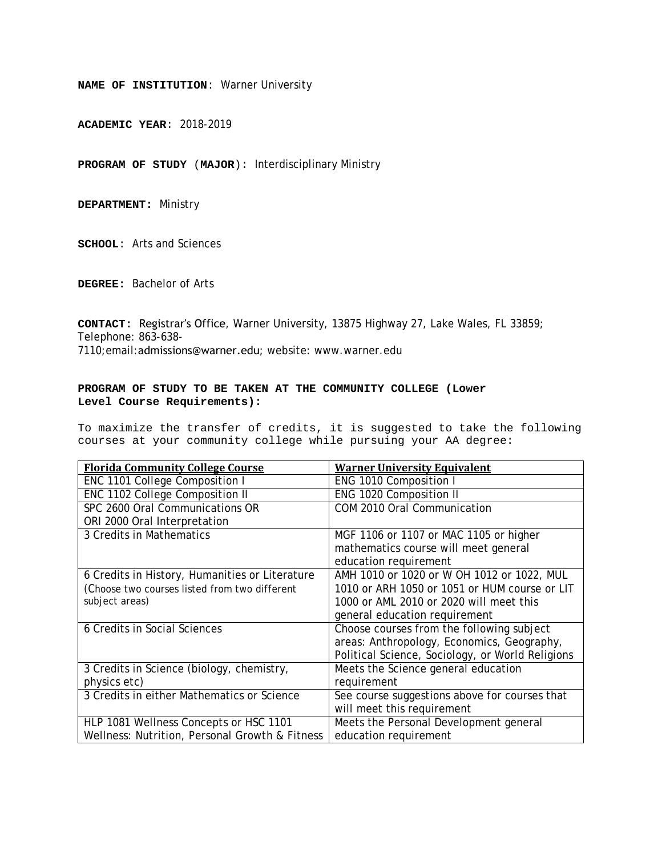**ACADEMIC YEAR**: 2018-2019

**PROGRAM OF STUDY** (**MAJOR**): Interdisciplinary Ministry

**DEPARTMENT:** Ministry

**SCHOOL**: Arts and Sciences

**DEGREE:** Bachelor of Arts

**CONTACT:** Registrar's Office, Warner University, 13875 Highway 27, Lake Wales, FL 33859; Telephone: 863-638- 7110;email:admissions@warner.edu; website: www.warner.edu

#### **PROGRAM OF STUDY TO BE TAKEN AT THE COMMUNITY COLLEGE (Lower Level Course Requirements):**

| <b>Florida Community College Course</b>        | <b>Warner University Equivalent</b>              |
|------------------------------------------------|--------------------------------------------------|
| ENC 1101 College Composition I                 | ENG 1010 Composition I                           |
| ENC 1102 College Composition II                | ENG 1020 Composition II                          |
| SPC 2600 Oral Communications OR                | COM 2010 Oral Communication                      |
| ORI 2000 Oral Interpretation                   |                                                  |
| 3 Credits in Mathematics                       | MGF 1106 or 1107 or MAC 1105 or higher           |
|                                                | mathematics course will meet general             |
|                                                | education requirement                            |
| 6 Credits in History, Humanities or Literature | AMH 1010 or 1020 or W OH 1012 or 1022, MUL       |
| (Choose two courses listed from two different  | 1010 or ARH 1050 or 1051 or HUM course or LIT    |
| subject areas)                                 | 1000 or AML 2010 or 2020 will meet this          |
|                                                | general education requirement                    |
| 6 Credits in Social Sciences                   | Choose courses from the following subject        |
|                                                | areas: Anthropology, Economics, Geography,       |
|                                                | Political Science, Sociology, or World Religions |
| 3 Credits in Science (biology, chemistry,      | Meets the Science general education              |
| physics etc)                                   | requirement                                      |
| 3 Credits in either Mathematics or Science     | See course suggestions above for courses that    |
|                                                | will meet this requirement                       |
| HLP 1081 Wellness Concepts or HSC 1101         | Meets the Personal Development general           |
| Wellness: Nutrition, Personal Growth & Fitness | education requirement                            |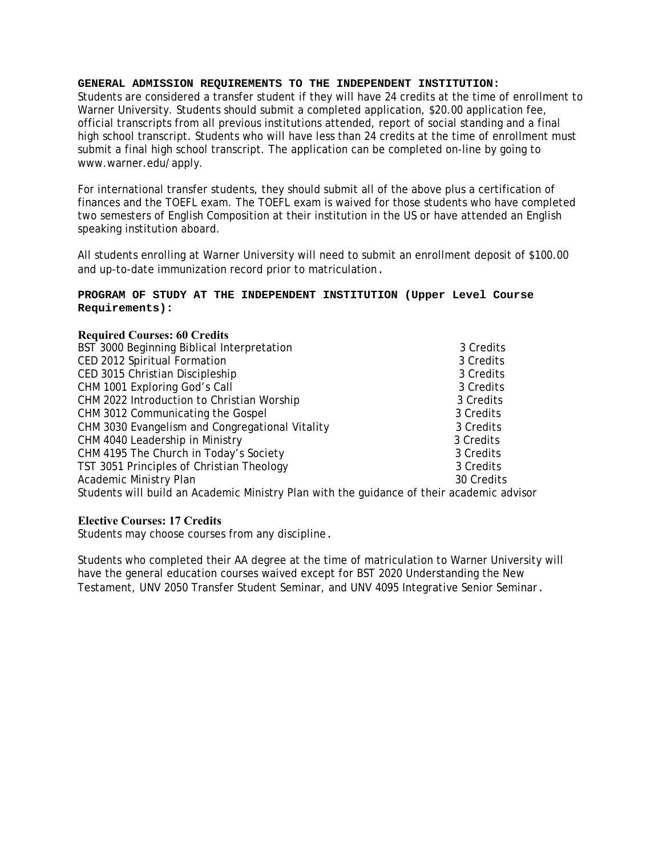Students are considered a transfer student if they will have 24 credits at the time of enrollment to Warner University. Students should submit a completed application, \$20.00 application fee, official transcripts from all previous institutions attended, report of social standing and a final high school transcript. Students who will have less than 24 credits at the time of enrollment must submit a final high school transcript. The application can be completed on-line by going to www.warner.edu/apply.

For international transfer students, they should submit all of the above plus a certification of finances and the TOEFL exam. The TOEFL exam is waived for those students who have completed two semesters of English Composition at their institution in the US or have attended an English speaking institution aboard.

All students enrolling at Warner University will need to submit an enrollment deposit of \$100.00 and up-to-date immunization record prior to matriculation.

#### **PROGRAM OF STUDY AT THE INDEPENDENT INSTITUTION (Upper Level Course Requirements):**

#### **Required Courses: 60 Credits**

| BST 3000 Beginning Biblical Interpretation                                                | 3 Credits  |
|-------------------------------------------------------------------------------------------|------------|
| CED 2012 Spiritual Formation                                                              | 3 Credits  |
| CED 3015 Christian Discipleship                                                           | 3 Credits  |
| CHM 1001 Exploring God's Call                                                             | 3 Credits  |
| CHM 2022 Introduction to Christian Worship                                                | 3 Credits  |
| CHM 3012 Communicating the Gospel                                                         | 3 Credits  |
| CHM 3030 Evangelism and Congregational Vitality                                           | 3 Credits  |
| CHM 4040 Leadership in Ministry                                                           | 3 Credits  |
| CHM 4195 The Church in Today's Society                                                    | 3 Credits  |
| TST 3051 Principles of Christian Theology                                                 | 3 Credits  |
| <b>Academic Ministry Plan</b>                                                             | 30 Credits |
| Students will build an Academic Ministry Plan with the guidance of their academic advisor |            |
|                                                                                           |            |

#### **Elective Courses: 17 Credits**

Students may choose courses from any discipline.

Students who completed their AA degree at the time of matriculation to Warner University will have the general education courses waived except for BST 2020 Understanding the New Testament, UNV 2050 Transfer Student Seminar, and UNV 4095 Integrative Senior Seminar.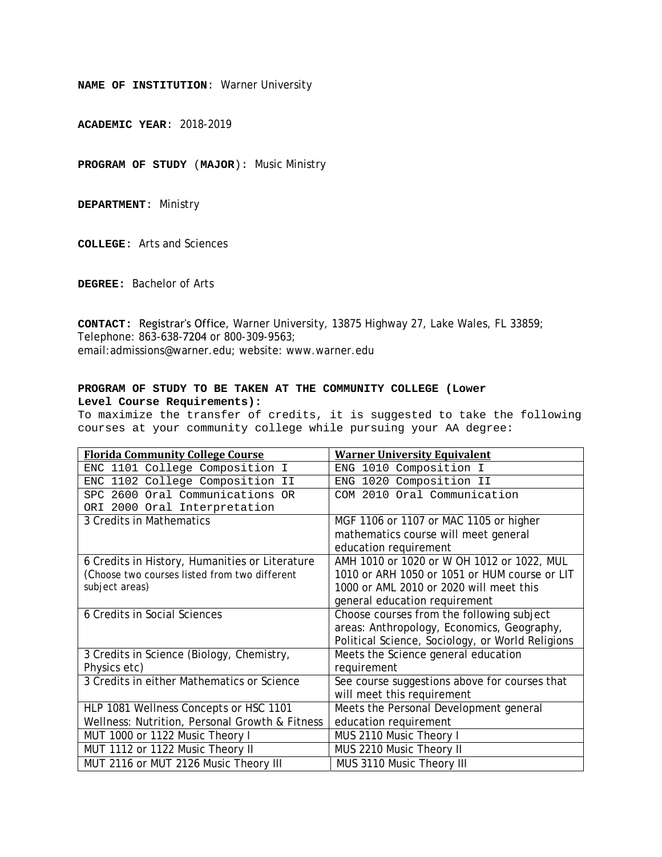**ACADEMIC YEAR**: 2018-2019

**PROGRAM OF STUDY** (**MAJOR**): Music Ministry

**DEPARTMENT**: Ministry

**COLLEGE**: Arts and Sciences

**DEGREE:** Bachelor of Arts

**CONTACT:** Registrar's Office, Warner University, 13875 Highway 27, Lake Wales, FL 33859; Telephone: 863-638-7204 or 800-309-9563; email:admissions@warner.edu; website: www.warner.edu

#### **PROGRAM OF STUDY TO BE TAKEN AT THE COMMUNITY COLLEGE (Lower Level Course Requirements):**

| <b>Florida Community College Course</b>        | <b>Warner University Equivalent</b>              |
|------------------------------------------------|--------------------------------------------------|
| ENC 1101 College Composition I                 | ENG 1010 Composition I                           |
| ENC 1102 College Composition II                | ENG 1020 Composition II                          |
| SPC 2600 Oral Communications OR                | COM 2010 Oral Communication                      |
| ORI 2000 Oral Interpretation                   |                                                  |
| 3 Credits in Mathematics                       | MGF 1106 or 1107 or MAC 1105 or higher           |
|                                                | mathematics course will meet general             |
|                                                | education requirement                            |
| 6 Credits in History, Humanities or Literature | AMH 1010 or 1020 or W OH 1012 or 1022, MUL       |
| (Choose two courses listed from two different  | 1010 or ARH 1050 or 1051 or HUM course or LIT    |
| subject areas)                                 | 1000 or AML 2010 or 2020 will meet this          |
|                                                | general education requirement                    |
| 6 Credits in Social Sciences                   | Choose courses from the following subject        |
|                                                | areas: Anthropology, Economics, Geography,       |
|                                                | Political Science, Sociology, or World Religions |
| 3 Credits in Science (Biology, Chemistry,      | Meets the Science general education              |
| Physics etc)                                   | requirement                                      |
| 3 Credits in either Mathematics or Science     | See course suggestions above for courses that    |
|                                                | will meet this requirement                       |
| HLP 1081 Wellness Concepts or HSC 1101         | Meets the Personal Development general           |
| Wellness: Nutrition, Personal Growth & Fitness | education requirement                            |
| MUT 1000 or 1122 Music Theory I                | MUS 2110 Music Theory I                          |
| MUT 1112 or 1122 Music Theory II               | MUS 2210 Music Theory II                         |
| MUT 2116 or MUT 2126 Music Theory III          | MUS 3110 Music Theory III                        |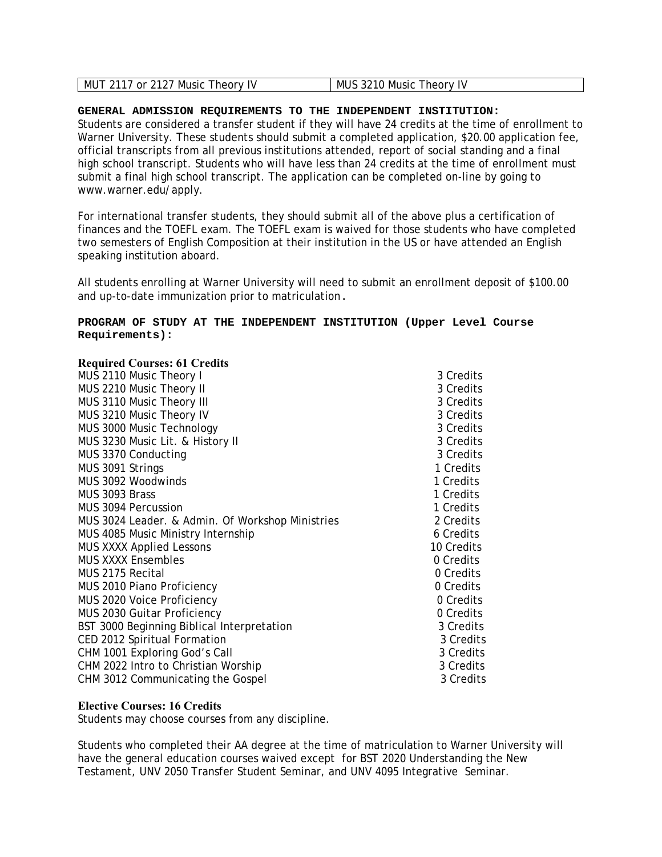| I MUS 3210 Music Theory IV<br>MUT 2117 or 2127 Music Theory IV |
|----------------------------------------------------------------|
|----------------------------------------------------------------|

Students are considered a transfer student if they will have 24 credits at the time of enrollment to Warner University. These students should submit a completed application, \$20.00 application fee, official transcripts from all previous institutions attended, report of social standing and a final high school transcript. Students who will have less than 24 credits at the time of enrollment must submit a final high school transcript. The application can be completed on-line by going to www.warner.edu/apply.

For international transfer students, they should submit all of the above plus a certification of finances and the TOEFL exam. The TOEFL exam is waived for those students who have completed two semesters of English Composition at their institution in the US or have attended an English speaking institution aboard.

All students enrolling at Warner University will need to submit an enrollment deposit of \$100.00 and up-to-date immunization prior to matriculation.

# **PROGRAM OF STUDY AT THE INDEPENDENT INSTITUTION (Upper Level Course Requirements):**

#### **Required Courses: 61 Credits**

| MUS 2110 Music Theory I                          | 3 Credits  |
|--------------------------------------------------|------------|
| MUS 2210 Music Theory II                         | 3 Credits  |
| MUS 3110 Music Theory III                        | 3 Credits  |
| MUS 3210 Music Theory IV                         | 3 Credits  |
| MUS 3000 Music Technology                        | 3 Credits  |
| MUS 3230 Music Lit. & History II                 | 3 Credits  |
| MUS 3370 Conducting                              | 3 Credits  |
| MUS 3091 Strings                                 | 1 Credits  |
| MUS 3092 Woodwinds                               | 1 Credits  |
| MUS 3093 Brass                                   | 1 Credits  |
| MUS 3094 Percussion                              | 1 Credits  |
| MUS 3024 Leader. & Admin. Of Workshop Ministries | 2 Credits  |
| MUS 4085 Music Ministry Internship               | 6 Credits  |
| <b>MUS XXXX Applied Lessons</b>                  | 10 Credits |
| <b>MUS XXXX Ensembles</b>                        | 0 Credits  |
| MUS 2175 Recital                                 | 0 Credits  |
| MUS 2010 Piano Proficiency                       | 0 Credits  |
| MUS 2020 Voice Proficiency                       | 0 Credits  |
| MUS 2030 Guitar Proficiency                      | 0 Credits  |
| BST 3000 Beginning Biblical Interpretation       | 3 Credits  |
| CED 2012 Spiritual Formation                     | 3 Credits  |
| CHM 1001 Exploring God's Call                    | 3 Credits  |
| CHM 2022 Intro to Christian Worship              | 3 Credits  |
| CHM 3012 Communicating the Gospel                | 3 Credits  |

#### **Elective Courses: 16 Credits**

Students may choose courses from any discipline.

Students who completed their AA degree at the time of matriculation to Warner University will have the general education courses waived except for BST 2020 Understanding the New Testament, UNV 2050 Transfer Student Seminar, and UNV 4095 Integrative Seminar.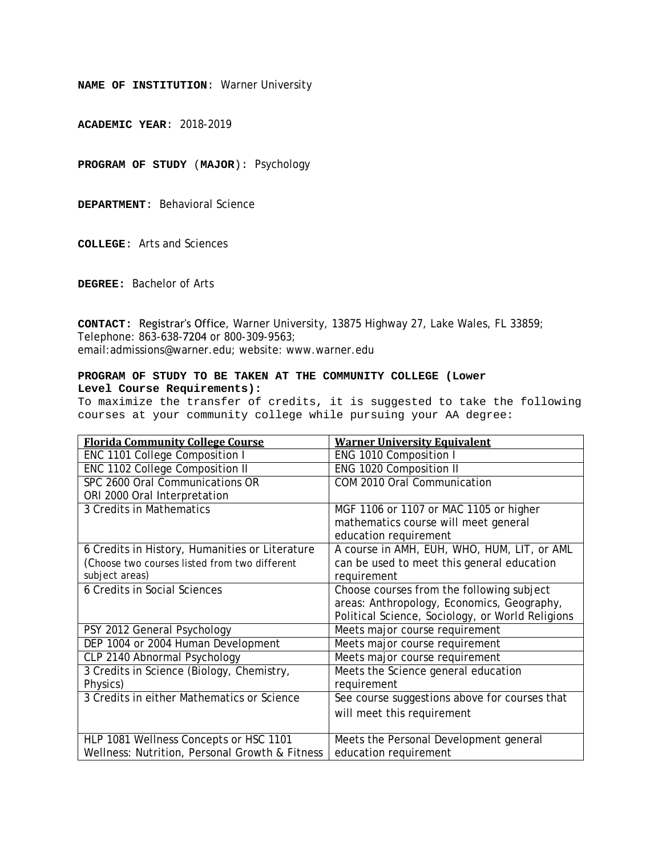**ACADEMIC YEAR**: 2018-2019

**PROGRAM OF STUDY** (**MAJOR**): Psychology

**DEPARTMENT**: Behavioral Science

**COLLEGE**: Arts and Sciences

**DEGREE:** Bachelor of Arts

**CONTACT:** Registrar's Office, Warner University, 13875 Highway 27, Lake Wales, FL 33859; Telephone: 863-638-7204 or 800-309-9563; email:admissions@warner.edu; website: www.warner.edu

#### **PROGRAM OF STUDY TO BE TAKEN AT THE COMMUNITY COLLEGE (Lower Level Course Requirements):**

| <b>Florida Community College Course</b>        | <b>Warner University Equivalent</b>              |
|------------------------------------------------|--------------------------------------------------|
| ENC 1101 College Composition I                 | ENG 1010 Composition I                           |
| ENC 1102 College Composition II                | ENG 1020 Composition II                          |
| SPC 2600 Oral Communications OR                | COM 2010 Oral Communication                      |
| ORI 2000 Oral Interpretation                   |                                                  |
| 3 Credits in Mathematics                       | MGF 1106 or 1107 or MAC 1105 or higher           |
|                                                | mathematics course will meet general             |
|                                                | education requirement                            |
| 6 Credits in History, Humanities or Literature | A course in AMH, EUH, WHO, HUM, LIT, or AML      |
| (Choose two courses listed from two different  | can be used to meet this general education       |
| subject areas)                                 | requirement                                      |
| 6 Credits in Social Sciences                   | Choose courses from the following subject        |
|                                                | areas: Anthropology, Economics, Geography,       |
|                                                | Political Science, Sociology, or World Religions |
| PSY 2012 General Psychology                    | Meets major course requirement                   |
| DEP 1004 or 2004 Human Development             | Meets major course requirement                   |
| CLP 2140 Abnormal Psychology                   | Meets major course requirement                   |
| 3 Credits in Science (Biology, Chemistry,      | Meets the Science general education              |
| Physics)                                       | requirement                                      |
| 3 Credits in either Mathematics or Science     | See course suggestions above for courses that    |
|                                                | will meet this requirement                       |
|                                                |                                                  |
| HLP 1081 Wellness Concepts or HSC 1101         | Meets the Personal Development general           |
| Wellness: Nutrition, Personal Growth & Fitness | education requirement                            |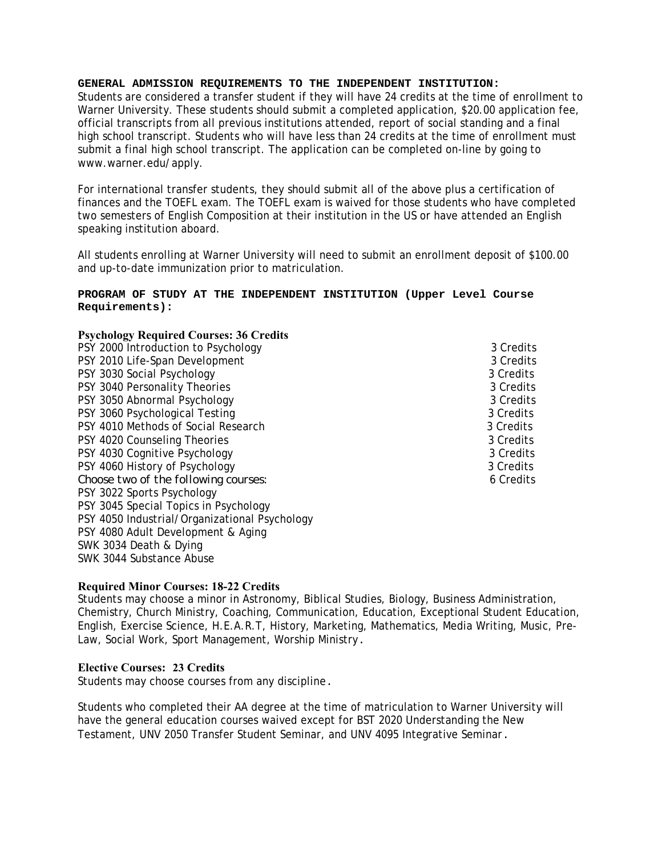Students are considered a transfer student if they will have 24 credits at the time of enrollment to Warner University. These students should submit a completed application, \$20.00 application fee, official transcripts from all previous institutions attended, report of social standing and a final high school transcript. Students who will have less than 24 credits at the time of enrollment must submit a final high school transcript. The application can be completed on-line by going to www.warner.edu/apply.

For international transfer students, they should submit all of the above plus a certification of finances and the TOEFL exam. The TOEFL exam is waived for those students who have completed two semesters of English Composition at their institution in the US or have attended an English speaking institution aboard.

All students enrolling at Warner University will need to submit an enrollment deposit of \$100.00 and up-to-date immunization prior to matriculation.

#### **PROGRAM OF STUDY AT THE INDEPENDENT INSTITUTION (Upper Level Course Requirements):**

# **Psychology Required Courses: 36 Credits**

PSY 2000 Introduction to Psychology 3 Credits 3 Credits PSY 2010 Life-Span Development 3 Credits 3 Credits PSY 3030 Social Psychology 3 Credits 3 Credits PSY 3040 Personality Theories 3 Credits 3 Credits PSY 3050 Abnormal Psychology 3 Credits 3 Credits 3 Credits PSY 3060 Psychological Testing 3 Credits 3 Credits PSY 4010 Methods of Social Research 3 Credits 3 Credits PSY 4020 Counseling Theories 3 Credits 3 Credits 3 Credits PSY 4030 Cognitive Psychology 3 Credits 3 Credits PSY 4060 History of Psychology 3 Credits 3 Credits *Choose two of the following courses:* 6 Credits PSY 3022 Sports Psychology PSY 3045 Special Topics in Psychology PSY 4050 Industrial/Organizational Psychology PSY 4080 Adult Development & Aging SWK 3034 Death & Dying SWK 3044 Substance Abuse

# **Required Minor Courses: 18-22 Credits**

Students may choose a minor in Astronomy, Biblical Studies, Biology, Business Administration, Chemistry, Church Ministry, Coaching, Communication, Education, Exceptional Student Education, English, Exercise Science, H.E.A.R.T, History, Marketing, Mathematics, Media Writing, Music, Pre-Law, Social Work, Sport Management, Worship Ministry.

# **Elective Courses: 23 Credits**

Students may choose courses from any discipline.

Students who completed their AA degree at the time of matriculation to Warner University will have the general education courses waived except for BST 2020 Understanding the New Testament, UNV 2050 Transfer Student Seminar, and UNV 4095 Integrative Seminar.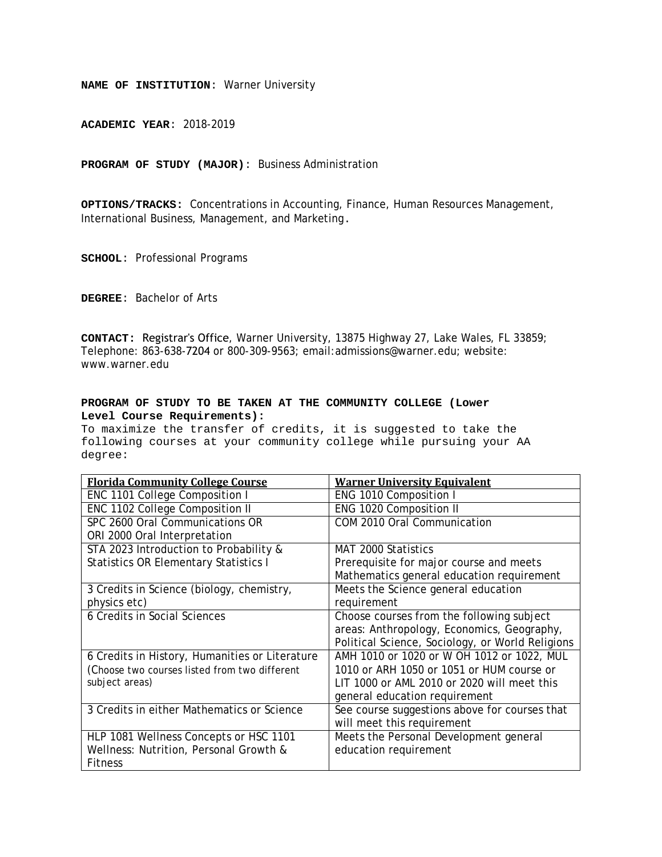**ACADEMIC YEAR**: 2018-2019

**PROGRAM OF STUDY (MAJOR)**: Business Administration

**OPTIONS/TRACKS:** Concentrations in Accounting, Finance, Human Resources Management, International Business, Management, and Marketing.

**SCHOOL**: Professional Programs

**DEGREE**: Bachelor of Arts

**CONTACT:** Registrar's Office, Warner University, 13875 Highway 27, Lake Wales, FL 33859; Telephone: 863-638-7204 or 800-309-9563; email:admissions@warner.edu; website: www.warner.edu

#### **PROGRAM OF STUDY TO BE TAKEN AT THE COMMUNITY COLLEGE (Lower Level Course Requirements):**

| <b>Florida Community College Course</b>        | <b>Warner University Equivalent</b>              |
|------------------------------------------------|--------------------------------------------------|
| ENC 1101 College Composition I                 | ENG 1010 Composition I                           |
| <b>ENC 1102 College Composition II</b>         | ENG 1020 Composition II                          |
| SPC 2600 Oral Communications OR                | COM 2010 Oral Communication                      |
| ORI 2000 Oral Interpretation                   |                                                  |
| STA 2023 Introduction to Probability &         | MAT 2000 Statistics                              |
| <b>Statistics OR Elementary Statistics I</b>   | Prerequisite for major course and meets          |
|                                                | Mathematics general education requirement        |
| 3 Credits in Science (biology, chemistry,      | Meets the Science general education              |
| physics etc)                                   | requirement                                      |
| 6 Credits in Social Sciences                   | Choose courses from the following subject        |
|                                                | areas: Anthropology, Economics, Geography,       |
|                                                | Political Science, Sociology, or World Religions |
| 6 Credits in History, Humanities or Literature | AMH 1010 or 1020 or W OH 1012 or 1022, MUL       |
| (Choose two courses listed from two different  | 1010 or ARH 1050 or 1051 or HUM course or        |
| subject areas)                                 | LIT 1000 or AML 2010 or 2020 will meet this      |
|                                                | general education requirement                    |
| 3 Credits in either Mathematics or Science     | See course suggestions above for courses that    |
|                                                | will meet this requirement                       |
| HLP 1081 Wellness Concepts or HSC 1101         | Meets the Personal Development general           |
| Wellness: Nutrition, Personal Growth &         | education requirement                            |
| <b>Fitness</b>                                 |                                                  |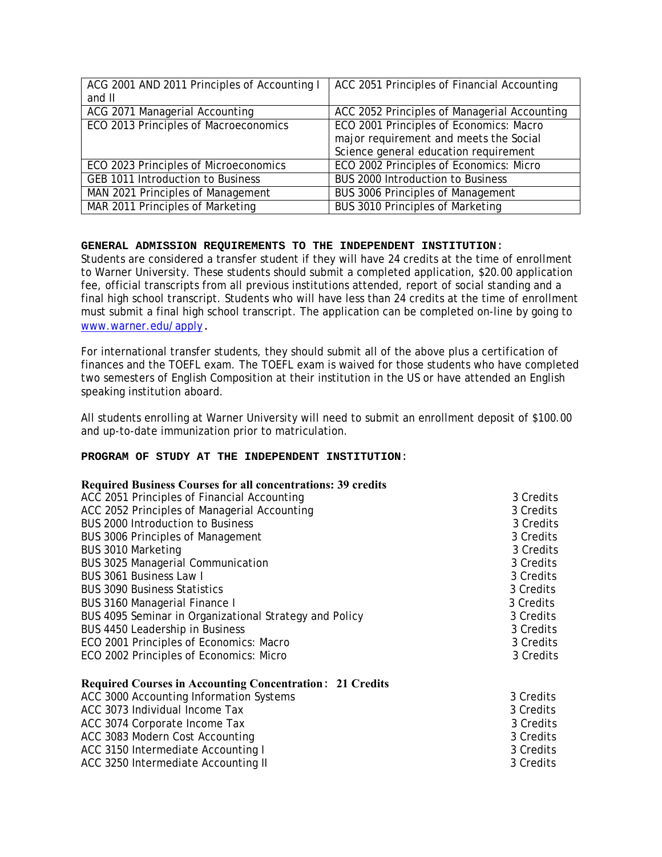| ACG 2001 AND 2011 Principles of Accounting I | ACC 2051 Principles of Financial Accounting  |
|----------------------------------------------|----------------------------------------------|
| and II                                       |                                              |
| ACG 2071 Managerial Accounting               | ACC 2052 Principles of Managerial Accounting |
| ECO 2013 Principles of Macroeconomics        | ECO 2001 Principles of Economics: Macro      |
|                                              | major requirement and meets the Social       |
|                                              | Science general education requirement        |
| ECO 2023 Principles of Microeconomics        | ECO 2002 Principles of Economics: Micro      |
| <b>GEB 1011 Introduction to Business</b>     | <b>BUS 2000 Introduction to Business</b>     |
| MAN 2021 Principles of Management            | <b>BUS 3006 Principles of Management</b>     |
| MAR 2011 Principles of Marketing             | <b>BUS 3010 Principles of Marketing</b>      |

Students are considered a transfer student if they will have 24 credits at the time of enrollment to Warner University. These students should submit a completed application, \$20.00 application fee, official transcripts from all previous institutions attended, report of social standing and a final high school transcript. Students who will have less than 24 credits at the time of enrollment must submit a final high school transcript. The application can be completed on-line by going to www.warner.edu/apply.

For international transfer students, they should submit all of the above plus a certification of finances and the TOEFL exam. The TOEFL exam is waived for those students who have completed two semesters of English Composition at their institution in the US or have attended an English speaking institution aboard.

All students enrolling at Warner University will need to submit an enrollment deposit of \$100.00 and up-to-date immunization prior to matriculation.

#### **PROGRAM OF STUDY AT THE INDEPENDENT INSTITUTION**:

| ACC 2051 Principles of Financial Accounting                     | 3 Credits |
|-----------------------------------------------------------------|-----------|
| ACC 2052 Principles of Managerial Accounting                    | 3 Credits |
| <b>BUS 2000 Introduction to Business</b>                        | 3 Credits |
| <b>BUS 3006 Principles of Management</b>                        | 3 Credits |
| BUS 3010 Marketing                                              | 3 Credits |
| BUS 3025 Managerial Communication                               | 3 Credits |
| BUS 3061 Business Law I                                         | 3 Credits |
| <b>BUS 3090 Business Statistics</b>                             | 3 Credits |
| BUS 3160 Managerial Finance I                                   | 3 Credits |
| BUS 4095 Seminar in Organizational Strategy and Policy          | 3 Credits |
| BUS 4450 Leadership in Business                                 | 3 Credits |
| ECO 2001 Principles of Economics: Macro                         | 3 Credits |
| ECO 2002 Principles of Economics: Micro                         | 3 Credits |
| <b>Required Courses in Accounting Concentration: 21 Credits</b> |           |
| ACC 3000 Accounting Information Systems                         | 3 Credits |
| ACC 3073 Individual Income Tax                                  | 3 Credits |
| ACC 3074 Corporate Income Tax                                   | 3 Credits |
| ACC 3083 Modern Cost Accounting                                 | 3 Credits |
| ACC 3150 Intermediate Accounting I                              | 3 Credits |
| ACC 3250 Intermediate Accounting II                             | 3 Credits |
|                                                                 |           |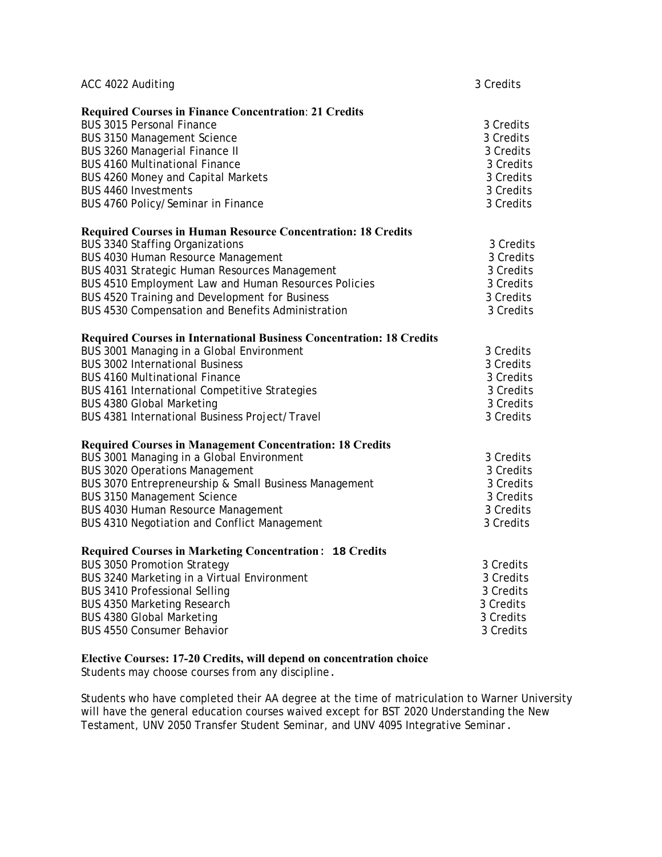| ACC 4022 Auditing |                                                                             | 3 Credits |
|-------------------|-----------------------------------------------------------------------------|-----------|
|                   | <b>Required Courses in Finance Concentration: 21 Credits</b>                |           |
|                   | <b>BUS 3015 Personal Finance</b>                                            | 3 Credits |
|                   | <b>BUS 3150 Management Science</b>                                          | 3 Credits |
|                   | <b>BUS 3260 Managerial Finance II</b>                                       | 3 Credits |
|                   | <b>BUS 4160 Multinational Finance</b>                                       | 3 Credits |
|                   | BUS 4260 Money and Capital Markets                                          | 3 Credits |
|                   | <b>BUS 4460 Investments</b>                                                 | 3 Credits |
|                   | BUS 4760 Policy/Seminar in Finance                                          | 3 Credits |
|                   | <b>Required Courses in Human Resource Concentration: 18 Credits</b>         |           |
|                   | <b>BUS 3340 Staffing Organizations</b>                                      | 3 Credits |
|                   | BUS 4030 Human Resource Management                                          | 3 Credits |
|                   | BUS 4031 Strategic Human Resources Management                               | 3 Credits |
|                   | BUS 4510 Employment Law and Human Resources Policies                        | 3 Credits |
|                   | BUS 4520 Training and Development for Business                              | 3 Credits |
|                   | BUS 4530 Compensation and Benefits Administration                           | 3 Credits |
|                   | <b>Required Courses in International Business Concentration: 18 Credits</b> |           |
|                   | BUS 3001 Managing in a Global Environment                                   | 3 Credits |
|                   | <b>BUS 3002 International Business</b>                                      | 3 Credits |
|                   | <b>BUS 4160 Multinational Finance</b>                                       | 3 Credits |
|                   | BUS 4161 International Competitive Strategies                               | 3 Credits |
|                   | <b>BUS 4380 Global Marketing</b>                                            | 3 Credits |
|                   | BUS 4381 International Business Project/Travel                              | 3 Credits |
|                   | <b>Required Courses in Management Concentration: 18 Credits</b>             |           |
|                   | BUS 3001 Managing in a Global Environment                                   | 3 Credits |
|                   | <b>BUS 3020 Operations Management</b>                                       | 3 Credits |
|                   | BUS 3070 Entrepreneurship & Small Business Management                       | 3 Credits |
|                   | <b>BUS 3150 Management Science</b>                                          | 3 Credits |
|                   | BUS 4030 Human Resource Management                                          | 3 Credits |
|                   | BUS 4310 Negotiation and Conflict Management                                | 3 Credits |
|                   | Required Courses in Marketing Concentration: 18 Credits                     |           |
|                   | <b>BUS 3050 Promotion Strategy</b>                                          | 3 Credits |
|                   | BUS 3240 Marketing in a Virtual Environment                                 | 3 Credits |
|                   | <b>BUS 3410 Professional Selling</b>                                        | 3 Credits |
|                   | <b>BUS 4350 Marketing Research</b>                                          | 3 Credits |
|                   | <b>BUS 4380 Global Marketing</b>                                            | 3 Credits |
|                   | <b>BUS 4550 Consumer Behavior</b>                                           | 3 Credits |

# **Elective Courses: 17-20 Credits, will depend on concentration choice**

Students may choose courses from any discipline.

Students who have completed their AA degree at the time of matriculation to Warner University will have the general education courses waived except for BST 2020 Understanding the New Testament, UNV 2050 Transfer Student Seminar, and UNV 4095 Integrative Seminar.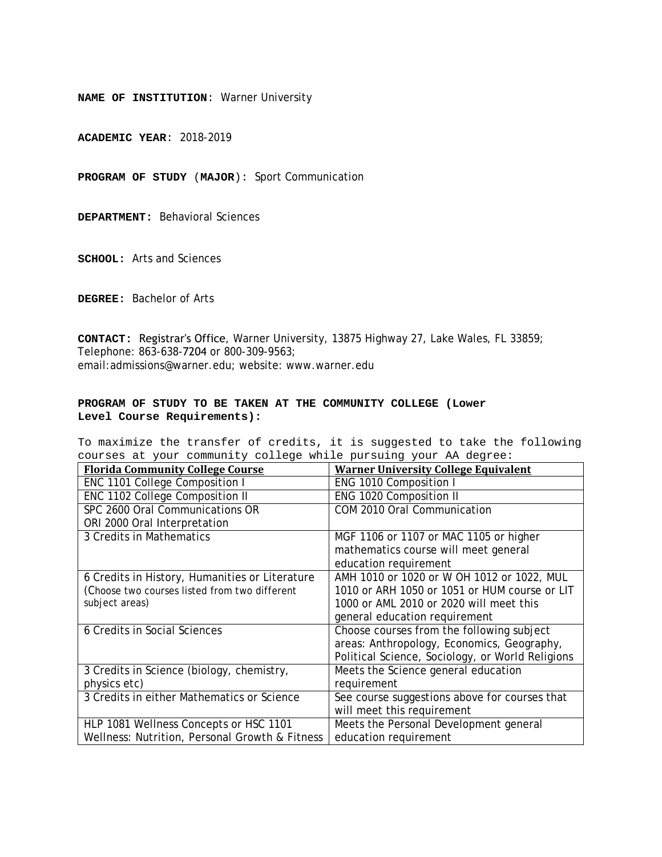**ACADEMIC YEAR**: 2018-2019

**PROGRAM OF STUDY** (**MAJOR**): Sport Communication

**DEPARTMENT:** Behavioral Sciences

**SCHOOL:** Arts and Sciences

**DEGREE:** Bachelor of Arts

**CONTACT:** Registrar's Office, Warner University, 13875 Highway 27, Lake Wales, FL 33859; Telephone: 863-638-7204 or 800-309-9563; email:admissions@warner.edu; website: www.warner.edu

#### **PROGRAM OF STUDY TO BE TAKEN AT THE COMMUNITY COLLEGE (Lower Level Course Requirements):**

| <b>Florida Community College Course</b>        | <b>Warner University College Equivalent</b>      |
|------------------------------------------------|--------------------------------------------------|
| ENC 1101 College Composition I                 | ENG 1010 Composition I                           |
| ENC 1102 College Composition II                | ENG 1020 Composition II                          |
| SPC 2600 Oral Communications OR                | COM 2010 Oral Communication                      |
| ORI 2000 Oral Interpretation                   |                                                  |
| 3 Credits in Mathematics                       | MGF 1106 or 1107 or MAC 1105 or higher           |
|                                                | mathematics course will meet general             |
|                                                | education requirement                            |
| 6 Credits in History, Humanities or Literature | AMH 1010 or 1020 or W OH 1012 or 1022, MUL       |
| (Choose two courses listed from two different  | 1010 or ARH 1050 or 1051 or HUM course or LIT    |
| subject areas)                                 | 1000 or AML 2010 or 2020 will meet this          |
|                                                | general education requirement                    |
| 6 Credits in Social Sciences                   | Choose courses from the following subject        |
|                                                | areas: Anthropology, Economics, Geography,       |
|                                                | Political Science, Sociology, or World Religions |
| 3 Credits in Science (biology, chemistry,      | Meets the Science general education              |
| physics etc)                                   | requirement                                      |
| 3 Credits in either Mathematics or Science     | See course suggestions above for courses that    |
|                                                | will meet this requirement                       |
| HLP 1081 Wellness Concepts or HSC 1101         | Meets the Personal Development general           |
| Wellness: Nutrition, Personal Growth & Fitness | education requirement                            |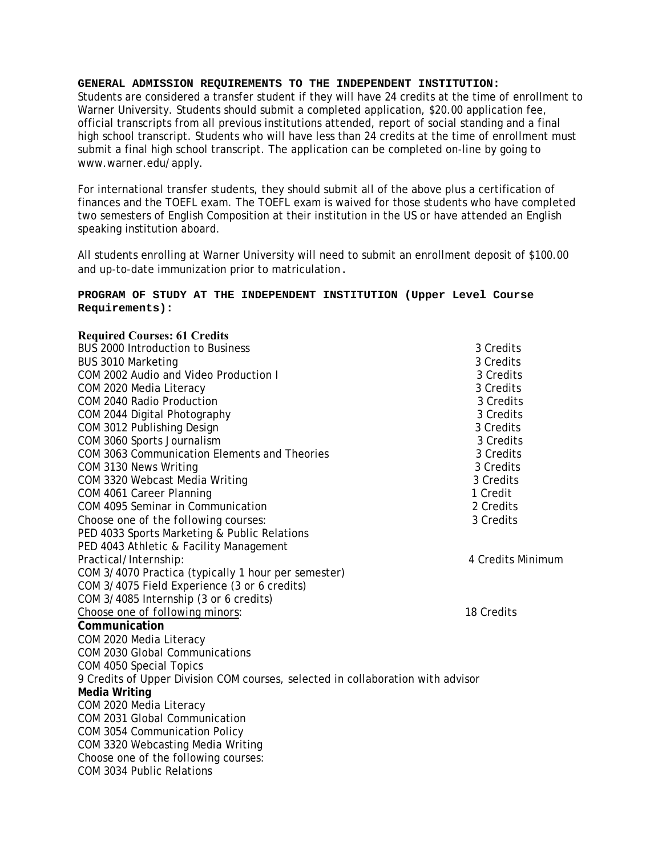Students are considered a transfer student if they will have 24 credits at the time of enrollment to Warner University. Students should submit a completed application, \$20.00 application fee, official transcripts from all previous institutions attended, report of social standing and a final high school transcript. Students who will have less than 24 credits at the time of enrollment must submit a final high school transcript. The application can be completed on-line by going to www.warner.edu/apply.

For international transfer students, they should submit all of the above plus a certification of finances and the TOEFL exam. The TOEFL exam is waived for those students who have completed two semesters of English Composition at their institution in the US or have attended an English speaking institution aboard.

All students enrolling at Warner University will need to submit an enrollment deposit of \$100.00 and up-to-date immunization prior to matriculation.

# **PROGRAM OF STUDY AT THE INDEPENDENT INSTITUTION (Upper Level Course Requirements):**

| <b>Required Courses: 61 Credits</b>                                             |                   |
|---------------------------------------------------------------------------------|-------------------|
| BUS 2000 Introduction to Business                                               | 3 Credits         |
| BUS 3010 Marketing                                                              | 3 Credits         |
| COM 2002 Audio and Video Production I                                           | 3 Credits         |
| COM 2020 Media Literacy                                                         | 3 Credits         |
| COM 2040 Radio Production                                                       | 3 Credits         |
| COM 2044 Digital Photography                                                    | 3 Credits         |
| COM 3012 Publishing Design                                                      | 3 Credits         |
| COM 3060 Sports Journalism                                                      | 3 Credits         |
| COM 3063 Communication Elements and Theories                                    | 3 Credits         |
| COM 3130 News Writing                                                           | 3 Credits         |
| COM 3320 Webcast Media Writing                                                  | 3 Credits         |
| COM 4061 Career Planning                                                        | 1 Credit          |
| COM 4095 Seminar in Communication                                               | 2 Credits         |
| Choose one of the following courses:                                            | 3 Credits         |
| PED 4033 Sports Marketing & Public Relations                                    |                   |
| PED 4043 Athletic & Facility Management                                         |                   |
| Practical/Internship:                                                           | 4 Credits Minimum |
| COM 3/4070 Practica (typically 1 hour per semester)                             |                   |
| COM 3/4075 Field Experience (3 or 6 credits)                                    |                   |
| COM 3/4085 Internship (3 or 6 credits)                                          |                   |
| Choose one of following minors:                                                 | 18 Credits        |
| Communication                                                                   |                   |
| COM 2020 Media Literacy                                                         |                   |
| <b>COM 2030 Global Communications</b>                                           |                   |
| COM 4050 Special Topics                                                         |                   |
| 9 Credits of Upper Division COM courses, selected in collaboration with advisor |                   |
| <b>Media Writing</b>                                                            |                   |
| COM 2020 Media Literacy                                                         |                   |
| COM 2031 Global Communication                                                   |                   |
| COM 3054 Communication Policy                                                   |                   |
| COM 3320 Webcasting Media Writing                                               |                   |
| Choose one of the following courses:                                            |                   |
| <b>COM 3034 Public Relations</b>                                                |                   |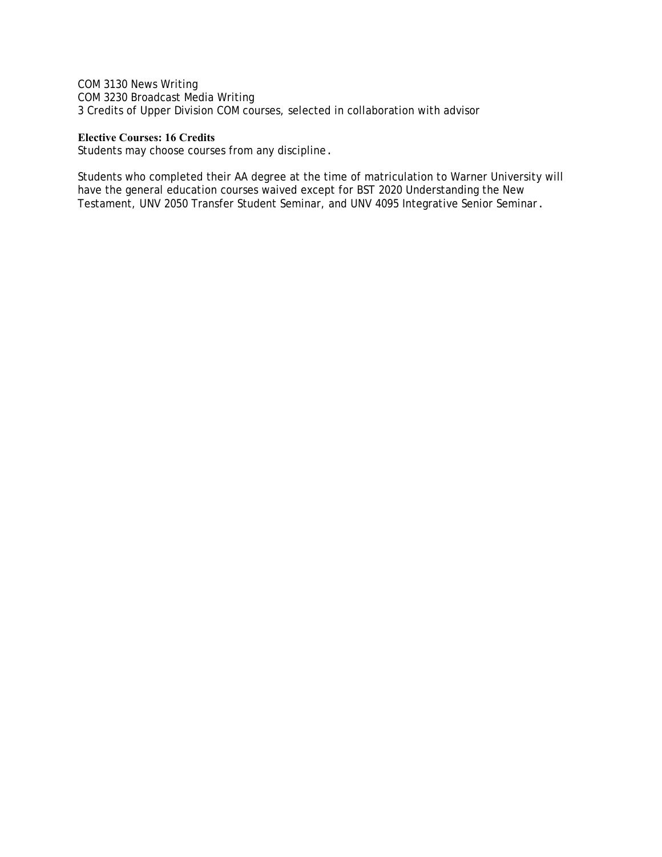COM 3130 News Writing COM 3230 Broadcast Media Writing 3 Credits of Upper Division COM courses, selected in collaboration with advisor

## **Elective Courses: 16 Credits**

Students may choose courses from any discipline.

Students who completed their AA degree at the time of matriculation to Warner University will have the general education courses waived except for BST 2020 Understanding the New Testament, UNV 2050 Transfer Student Seminar, and UNV 4095 Integrative Senior Seminar.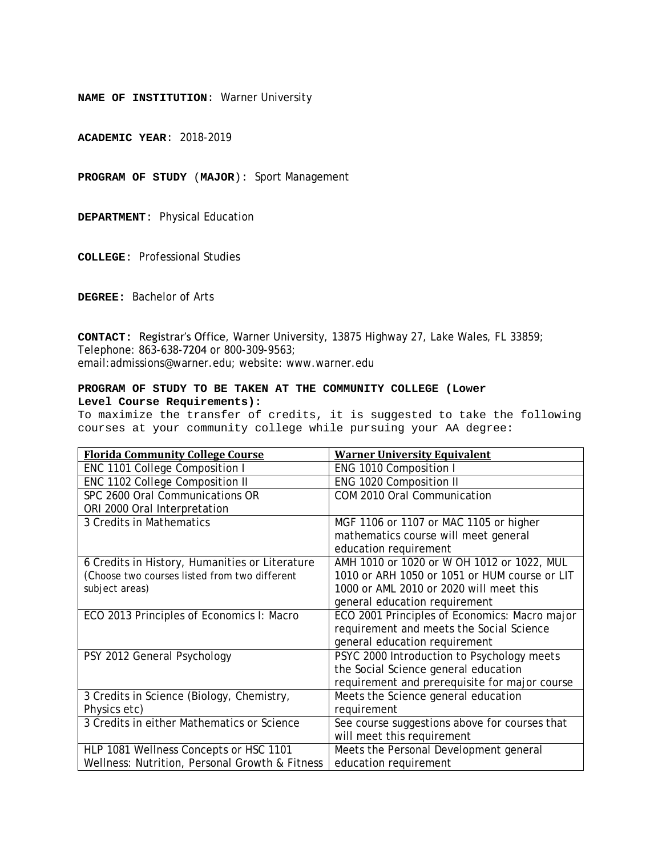**ACADEMIC YEAR**: 2018-2019

**PROGRAM OF STUDY** (**MAJOR**): Sport Management

**DEPARTMENT**: Physical Education

**COLLEGE**: Professional Studies

**DEGREE:** Bachelor of Arts

**CONTACT:** Registrar's Office, Warner University, 13875 Highway 27, Lake Wales, FL 33859; Telephone: 863-638-7204 or 800-309-9563; email:admissions@warner.edu; website: www.warner.edu

#### **PROGRAM OF STUDY TO BE TAKEN AT THE COMMUNITY COLLEGE (Lower Level Course Requirements):**

| <b>Florida Community College Course</b>        | <b>Warner University Equivalent</b>           |
|------------------------------------------------|-----------------------------------------------|
| ENC 1101 College Composition I                 | ENG 1010 Composition I                        |
| ENC 1102 College Composition II                | ENG 1020 Composition II                       |
| SPC 2600 Oral Communications OR                | COM 2010 Oral Communication                   |
| ORI 2000 Oral Interpretation                   |                                               |
| 3 Credits in Mathematics                       | MGF 1106 or 1107 or MAC 1105 or higher        |
|                                                | mathematics course will meet general          |
|                                                | education requirement                         |
| 6 Credits in History, Humanities or Literature | AMH 1010 or 1020 or W OH 1012 or 1022, MUL    |
| (Choose two courses listed from two different  | 1010 or ARH 1050 or 1051 or HUM course or LIT |
| subject areas)                                 | 1000 or AML 2010 or 2020 will meet this       |
|                                                | general education requirement                 |
| ECO 2013 Principles of Economics I: Macro      | ECO 2001 Principles of Economics: Macro major |
|                                                | requirement and meets the Social Science      |
|                                                | general education requirement                 |
| PSY 2012 General Psychology                    | PSYC 2000 Introduction to Psychology meets    |
|                                                | the Social Science general education          |
|                                                | requirement and prerequisite for major course |
| 3 Credits in Science (Biology, Chemistry,      | Meets the Science general education           |
| Physics etc)                                   | requirement                                   |
| 3 Credits in either Mathematics or Science     | See course suggestions above for courses that |
|                                                | will meet this requirement                    |
| HLP 1081 Wellness Concepts or HSC 1101         | Meets the Personal Development general        |
| Wellness: Nutrition, Personal Growth & Fitness | education requirement                         |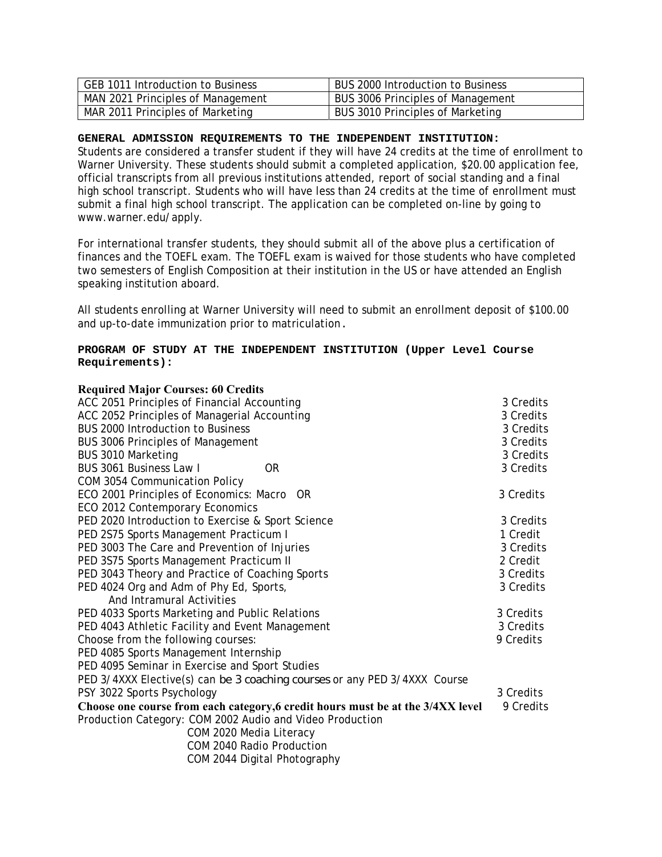| GEB 1011 Introduction to Business | BUS 2000 Introduction to Business        |
|-----------------------------------|------------------------------------------|
| MAN 2021 Principles of Management | <b>BUS 3006 Principles of Management</b> |
| MAR 2011 Principles of Marketing  | BUS 3010 Principles of Marketing         |

Students are considered a transfer student if they will have 24 credits at the time of enrollment to Warner University. These students should submit a completed application, \$20.00 application fee, official transcripts from all previous institutions attended, report of social standing and a final high school transcript. Students who will have less than 24 credits at the time of enrollment must submit a final high school transcript. The application can be completed on-line by going to www.warner.edu/apply.

For international transfer students, they should submit all of the above plus a certification of finances and the TOEFL exam. The TOEFL exam is waived for those students who have completed two semesters of English Composition at their institution in the US or have attended an English speaking institution aboard.

All students enrolling at Warner University will need to submit an enrollment deposit of \$100.00 and up-to-date immunization prior to matriculation.

# **PROGRAM OF STUDY AT THE INDEPENDENT INSTITUTION (Upper Level Course Requirements):**

| <b>Required Major Courses: 60 Credits</b>                                       |           |
|---------------------------------------------------------------------------------|-----------|
| ACC 2051 Principles of Financial Accounting                                     | 3 Credits |
| ACC 2052 Principles of Managerial Accounting                                    | 3 Credits |
| <b>BUS 2000 Introduction to Business</b>                                        | 3 Credits |
| <b>BUS 3006 Principles of Management</b>                                        | 3 Credits |
| <b>BUS 3010 Marketing</b>                                                       | 3 Credits |
| <b>BUS 3061 Business Law I</b><br><b>OR</b>                                     | 3 Credits |
| COM 3054 Communication Policy                                                   |           |
| ECO 2001 Principles of Economics: Macro OR                                      | 3 Credits |
| ECO 2012 Contemporary Economics                                                 |           |
| PED 2020 Introduction to Exercise & Sport Science                               | 3 Credits |
| PED 2S75 Sports Management Practicum I                                          | 1 Credit  |
| PED 3003 The Care and Prevention of Injuries                                    | 3 Credits |
| PED 3S75 Sports Management Practicum II                                         | 2 Credit  |
| PED 3043 Theory and Practice of Coaching Sports                                 | 3 Credits |
| PED 4024 Org and Adm of Phy Ed, Sports,                                         | 3 Credits |
| And Intramural Activities                                                       |           |
| PED 4033 Sports Marketing and Public Relations                                  | 3 Credits |
| PED 4043 Athletic Facility and Event Management                                 | 3 Credits |
| Choose from the following courses:                                              | 9 Credits |
| PED 4085 Sports Management Internship                                           |           |
| PED 4095 Seminar in Exercise and Sport Studies                                  |           |
| PED 3/4XXX Elective(s) can be 3 coaching courses or any PED 3/4XXX Course       |           |
| PSY 3022 Sports Psychology                                                      | 3 Credits |
| Choose one course from each category, 6 credit hours must be at the 3/4XX level | 9 Credits |
| Production Category: COM 2002 Audio and Video Production                        |           |
| COM 2020 Media Literacy                                                         |           |
| COM 2040 Radio Production                                                       |           |
| COM 2044 Digital Photography                                                    |           |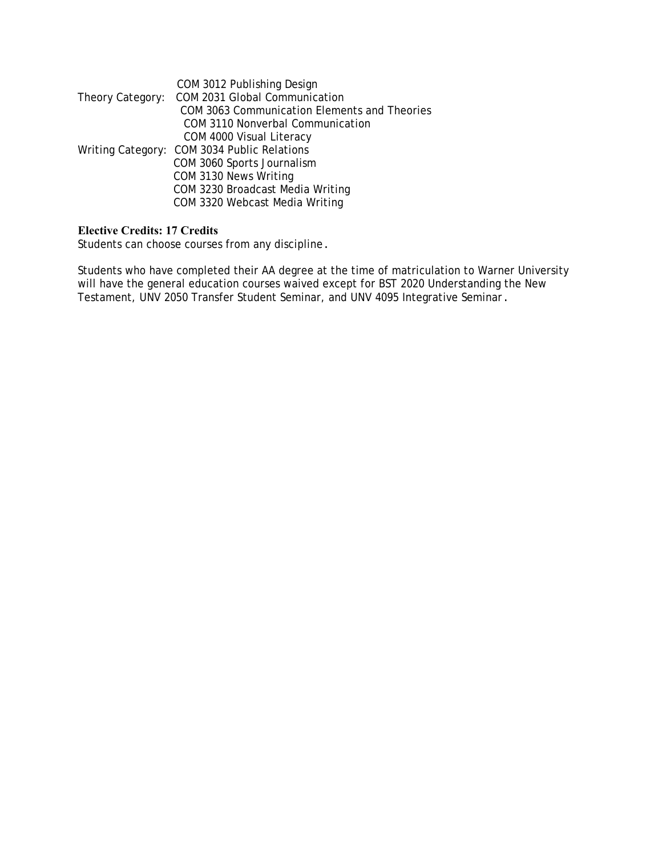| COM 3012 Publishing Design                     |
|------------------------------------------------|
| Theory Category: COM 2031 Global Communication |
| COM 3063 Communication Elements and Theories   |
| <b>COM 3110 Nonverbal Communication</b>        |
| COM 4000 Visual Literacy                       |
| Writing Category: COM 3034 Public Relations    |
| COM 3060 Sports Journalism                     |
| COM 3130 News Writing                          |
| COM 3230 Broadcast Media Writing               |
| COM 3320 Webcast Media Writing                 |
|                                                |

# **Elective Credits: 17 Credits**

Students can choose courses from any discipline.

Students who have completed their AA degree at the time of matriculation to Warner University will have the general education courses waived except for BST 2020 Understanding the New Testament, UNV 2050 Transfer Student Seminar, and UNV 4095 Integrative Seminar.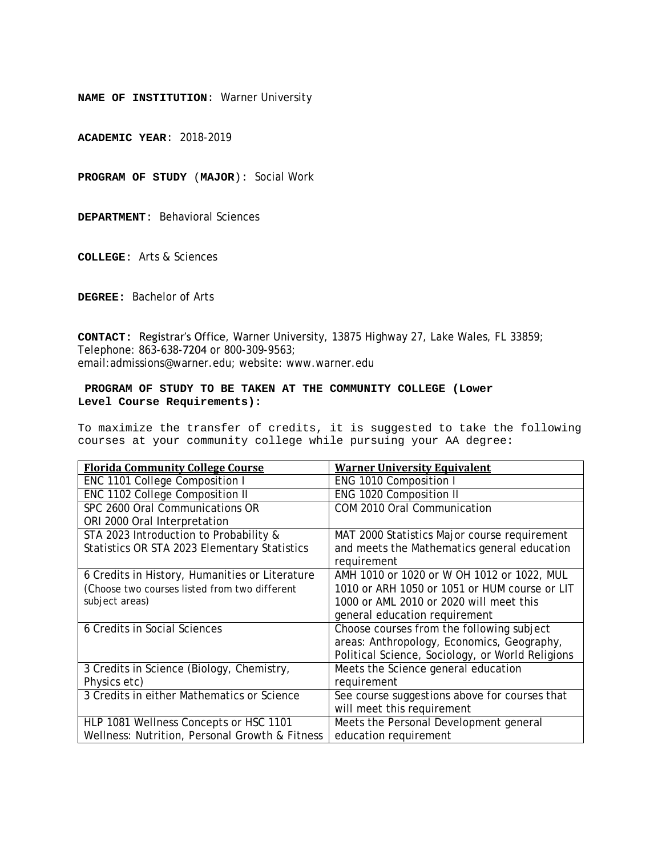**ACADEMIC YEAR**: 2018-2019

**PROGRAM OF STUDY** (**MAJOR**): Social Work

**DEPARTMENT**: Behavioral Sciences

**COLLEGE**: Arts & Sciences

**DEGREE:** Bachelor of Arts

**CONTACT:** Registrar's Office, Warner University, 13875 Highway 27, Lake Wales, FL 33859; Telephone: 863-638-7204 or 800-309-9563; email:admissions@warner.edu; website: www.warner.edu

#### **PROGRAM OF STUDY TO BE TAKEN AT THE COMMUNITY COLLEGE (Lower Level Course Requirements):**

| <b>Florida Community College Course</b>        | <b>Warner University Equivalent</b>              |
|------------------------------------------------|--------------------------------------------------|
| ENC 1101 College Composition I                 | ENG 1010 Composition I                           |
| ENC 1102 College Composition II                | ENG 1020 Composition II                          |
| SPC 2600 Oral Communications OR                | COM 2010 Oral Communication                      |
| ORI 2000 Oral Interpretation                   |                                                  |
| STA 2023 Introduction to Probability &         | MAT 2000 Statistics Major course requirement     |
| Statistics OR STA 2023 Elementary Statistics   | and meets the Mathematics general education      |
|                                                | requirement                                      |
| 6 Credits in History, Humanities or Literature | AMH 1010 or 1020 or W OH 1012 or 1022, MUL       |
| (Choose two courses listed from two different  | 1010 or ARH 1050 or 1051 or HUM course or LIT    |
| subject areas)                                 | 1000 or AML 2010 or 2020 will meet this          |
|                                                | general education requirement                    |
| 6 Credits in Social Sciences                   | Choose courses from the following subject        |
|                                                | areas: Anthropology, Economics, Geography,       |
|                                                | Political Science, Sociology, or World Religions |
| 3 Credits in Science (Biology, Chemistry,      | Meets the Science general education              |
| Physics etc)                                   | requirement                                      |
| 3 Credits in either Mathematics or Science     | See course suggestions above for courses that    |
|                                                | will meet this requirement                       |
| HLP 1081 Wellness Concepts or HSC 1101         | Meets the Personal Development general           |
| Wellness: Nutrition, Personal Growth & Fitness | education requirement                            |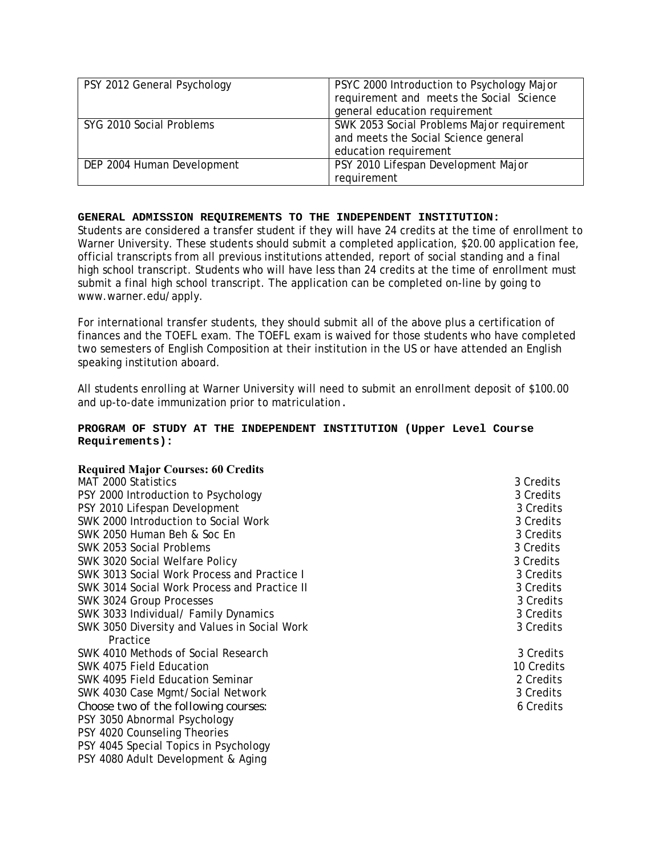| PSY 2012 General Psychology | PSYC 2000 Introduction to Psychology Major |
|-----------------------------|--------------------------------------------|
|                             | requirement and meets the Social Science   |
|                             | general education requirement              |
| SYG 2010 Social Problems    | SWK 2053 Social Problems Major requirement |
|                             | and meets the Social Science general       |
|                             | education requirement                      |
| DEP 2004 Human Development  | PSY 2010 Lifespan Development Major        |
|                             | requirement                                |

Students are considered a transfer student if they will have 24 credits at the time of enrollment to Warner University. These students should submit a completed application, \$20.00 application fee, official transcripts from all previous institutions attended, report of social standing and a final high school transcript. Students who will have less than 24 credits at the time of enrollment must submit a final high school transcript. The application can be completed on-line by going to www.warner.edu/apply.

For international transfer students, they should submit all of the above plus a certification of finances and the TOEFL exam. The TOEFL exam is waived for those students who have completed two semesters of English Composition at their institution in the US or have attended an English speaking institution aboard.

All students enrolling at Warner University will need to submit an enrollment deposit of \$100.00 and up-to-date immunization prior to matriculation.

# **PROGRAM OF STUDY AT THE INDEPENDENT INSTITUTION (Upper Level Course Requirements):**

# **Required Major Courses: 60 Credits**

| MAT 2000 Statistics                          | 3 Credits  |
|----------------------------------------------|------------|
| PSY 2000 Introduction to Psychology          | 3 Credits  |
| PSY 2010 Lifespan Development                | 3 Credits  |
| SWK 2000 Introduction to Social Work         | 3 Credits  |
| SWK 2050 Human Beh & Soc En                  | 3 Credits  |
| SWK 2053 Social Problems                     | 3 Credits  |
| SWK 3020 Social Welfare Policy               | 3 Credits  |
| SWK 3013 Social Work Process and Practice I  | 3 Credits  |
| SWK 3014 Social Work Process and Practice II | 3 Credits  |
| SWK 3024 Group Processes                     | 3 Credits  |
| SWK 3033 Individual/ Family Dynamics         | 3 Credits  |
| SWK 3050 Diversity and Values in Social Work | 3 Credits  |
| Practice                                     |            |
| SWK 4010 Methods of Social Research          | 3 Credits  |
| SWK 4075 Field Education                     | 10 Credits |
| SWK 4095 Field Education Seminar             | 2 Credits  |
| SWK 4030 Case Mgmt/Social Network            | 3 Credits  |
| Choose two of the following courses:         | 6 Credits  |
| PSY 3050 Abnormal Psychology                 |            |
| PSY 4020 Counseling Theories                 |            |
| PSY 4045 Special Topics in Psychology        |            |
| PSY 4080 Adult Development & Aging           |            |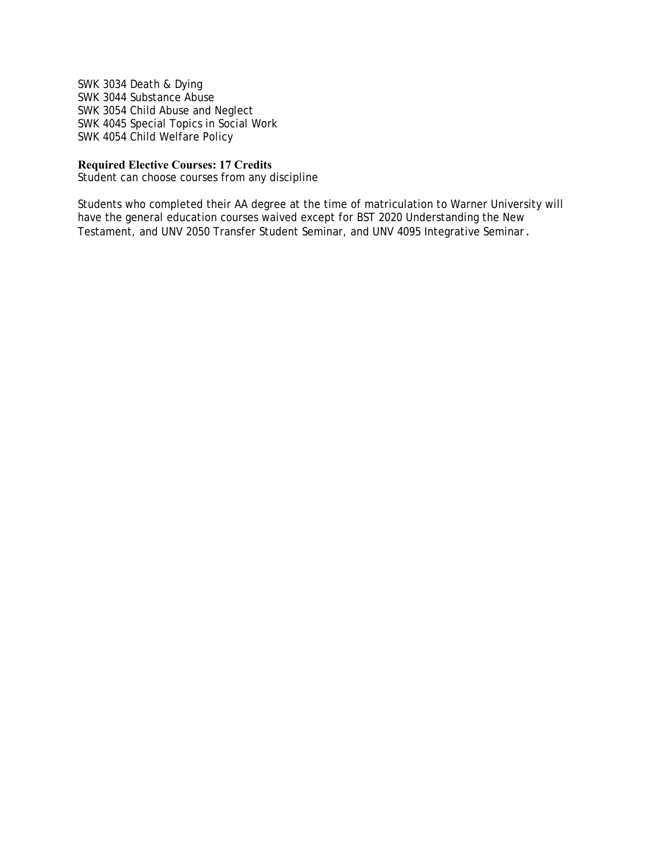SWK 3034 Death & Dying SWK 3044 Substance Abuse SWK 3054 Child Abuse and Neglect SWK 4045 Special Topics in Social Work SWK 4054 Child Welfare Policy

# **Required Elective Courses: 17 Credits**

Student can choose courses from any discipline

Students who completed their AA degree at the time of matriculation to Warner University will have the general education courses waived except for BST 2020 Understanding the New Testament, and UNV 2050 Transfer Student Seminar, and UNV 4095 Integrative Seminar.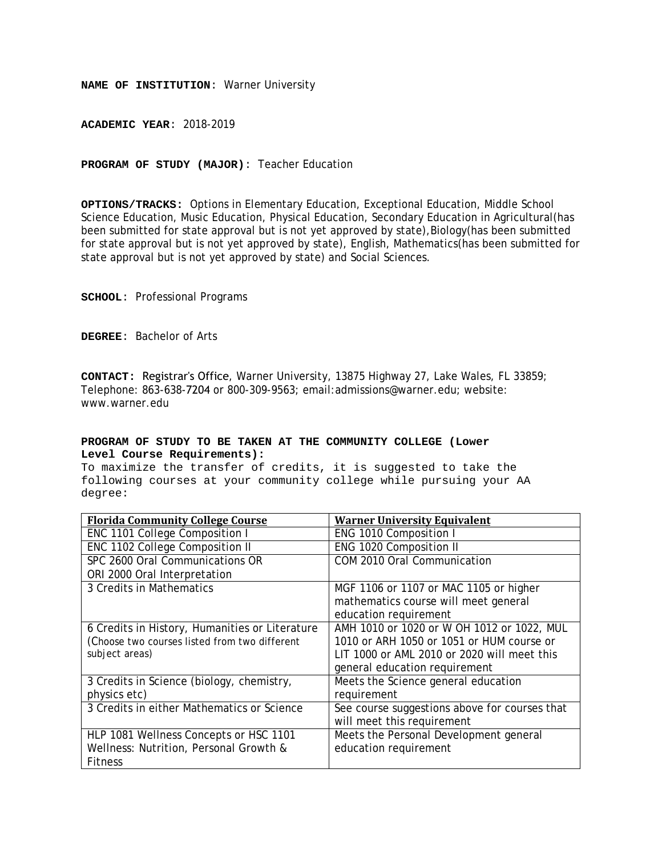**ACADEMIC YEAR**: 2018-2019

**PROGRAM OF STUDY (MAJOR)**: Teacher Education

**OPTIONS/TRACKS:** Options in Elementary Education, Exceptional Education, Middle School Science Education, Music Education, Physical Education, Secondary Education in Agricultural(has been submitted for state approval but is not yet approved by state), Biology (has been submitted for state approval but is not yet approved by state), English, Mathematics(has been submitted for state approval but is not yet approved by state) and Social Sciences.

**SCHOOL**: Professional Programs

**DEGREE**: Bachelor of Arts

**CONTACT:** Registrar's Office, Warner University, 13875 Highway 27, Lake Wales, FL 33859; Telephone: 863-638-7204 or 800-309-9563; email:admissions@warner.edu; website: www.warner.edu

#### **PROGRAM OF STUDY TO BE TAKEN AT THE COMMUNITY COLLEGE (Lower Level Course Requirements):**

| <b>Florida Community College Course</b>        | <b>Warner University Equivalent</b>           |
|------------------------------------------------|-----------------------------------------------|
| ENC 1101 College Composition I                 | ENG 1010 Composition I                        |
| ENC 1102 College Composition II                | ENG 1020 Composition II                       |
| SPC 2600 Oral Communications OR                | COM 2010 Oral Communication                   |
| ORI 2000 Oral Interpretation                   |                                               |
| 3 Credits in Mathematics                       | MGF 1106 or 1107 or MAC 1105 or higher        |
|                                                | mathematics course will meet general          |
|                                                | education requirement                         |
| 6 Credits in History, Humanities or Literature | AMH 1010 or 1020 or W OH 1012 or 1022, MUL    |
| (Choose two courses listed from two different  | 1010 or ARH 1050 or 1051 or HUM course or     |
| subject areas)                                 | LIT 1000 or AML 2010 or 2020 will meet this   |
|                                                | general education requirement                 |
| 3 Credits in Science (biology, chemistry,      | Meets the Science general education           |
| physics etc)                                   | requirement                                   |
| 3 Credits in either Mathematics or Science     | See course suggestions above for courses that |
|                                                | will meet this requirement                    |
| HLP 1081 Wellness Concepts or HSC 1101         | Meets the Personal Development general        |
| Wellness: Nutrition, Personal Growth &         | education requirement                         |
| <b>Fitness</b>                                 |                                               |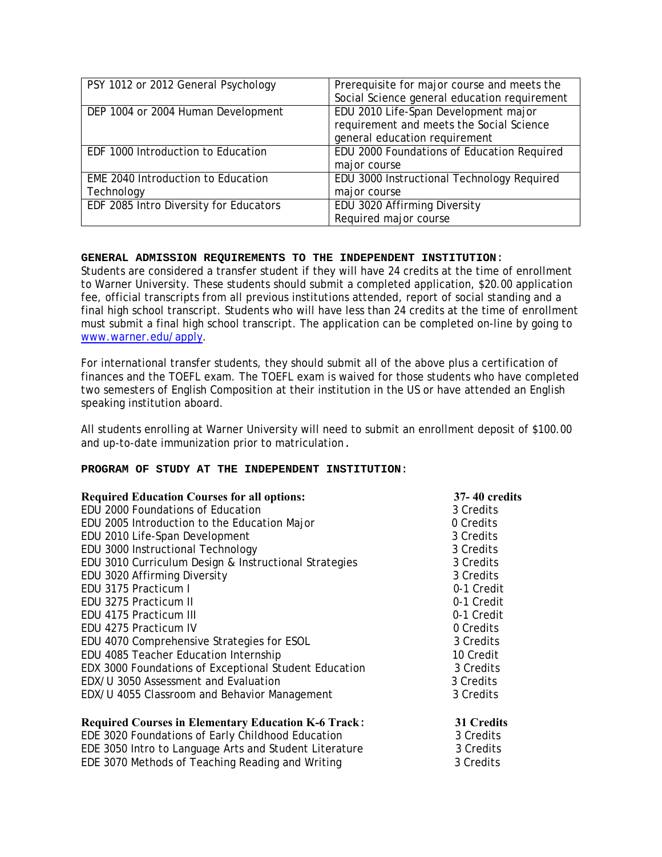| PSY 1012 or 2012 General Psychology    | Prerequisite for major course and meets the  |
|----------------------------------------|----------------------------------------------|
|                                        | Social Science general education requirement |
| DEP 1004 or 2004 Human Development     | EDU 2010 Life-Span Development major         |
|                                        | requirement and meets the Social Science     |
|                                        | general education requirement                |
| EDF 1000 Introduction to Education     | EDU 2000 Foundations of Education Required   |
|                                        | major course                                 |
| EME 2040 Introduction to Education     | EDU 3000 Instructional Technology Required   |
| Technology                             | major course                                 |
| EDF 2085 Intro Diversity for Educators | EDU 3020 Affirming Diversity                 |
|                                        | Required major course                        |

Students are considered a transfer student if they will have 24 credits at the time of enrollment to Warner University. These students should submit a completed application, \$20.00 application fee, official transcripts from all previous institutions attended, report of social standing and a final high school transcript. Students who will have less than 24 credits at the time of enrollment must submit a final high school transcript. The application can be completed on-line by going to www.warner.edu/apply.

For international transfer students, they should submit all of the above plus a certification of finances and the TOEFL exam. The TOEFL exam is waived for those students who have completed two semesters of English Composition at their institution in the US or have attended an English speaking institution aboard.

All students enrolling at Warner University will need to submit an enrollment deposit of \$100.00 and up-to-date immunization prior to matriculation.

#### **PROGRAM OF STUDY AT THE INDEPENDENT INSTITUTION**:

EDE 3070 Methods of  $\overline{T}$ eaching Reading and Writing

| <b>Required Education Courses for all options:</b>         | <b>37-40 credits</b> |
|------------------------------------------------------------|----------------------|
| EDU 2000 Foundations of Education                          | 3 Credits            |
| EDU 2005 Introduction to the Education Major               | 0 Credits            |
| EDU 2010 Life-Span Development                             | 3 Credits            |
| EDU 3000 Instructional Technology                          | 3 Credits            |
| EDU 3010 Curriculum Design & Instructional Strategies      | 3 Credits            |
| EDU 3020 Affirming Diversity                               | 3 Credits            |
| EDU 3175 Practicum I                                       | 0-1 Credit           |
| EDU 3275 Practicum II                                      | 0-1 Credit           |
| EDU 4175 Practicum III                                     | 0-1 Credit           |
| EDU 4275 Practicum IV                                      | 0 Credits            |
| EDU 4070 Comprehensive Strategies for ESOL                 | 3 Credits            |
| EDU 4085 Teacher Education Internship                      | 10 Credit            |
| EDX 3000 Foundations of Exceptional Student Education      | 3 Credits            |
| EDX/U 3050 Assessment and Evaluation                       | 3 Credits            |
| EDX/U 4055 Classroom and Behavior Management               | 3 Credits            |
| <b>Required Courses in Elementary Education K-6 Track:</b> | 31 Credits           |
| EDE 3020 Foundations of Early Childhood Education          | 3 Credits            |
| EDE 3050 Intro to Language Arts and Student Literature     | 3 Credits            |
| EDE 3070 Methods of Teaching Reading and Writing           | 3 Credits            |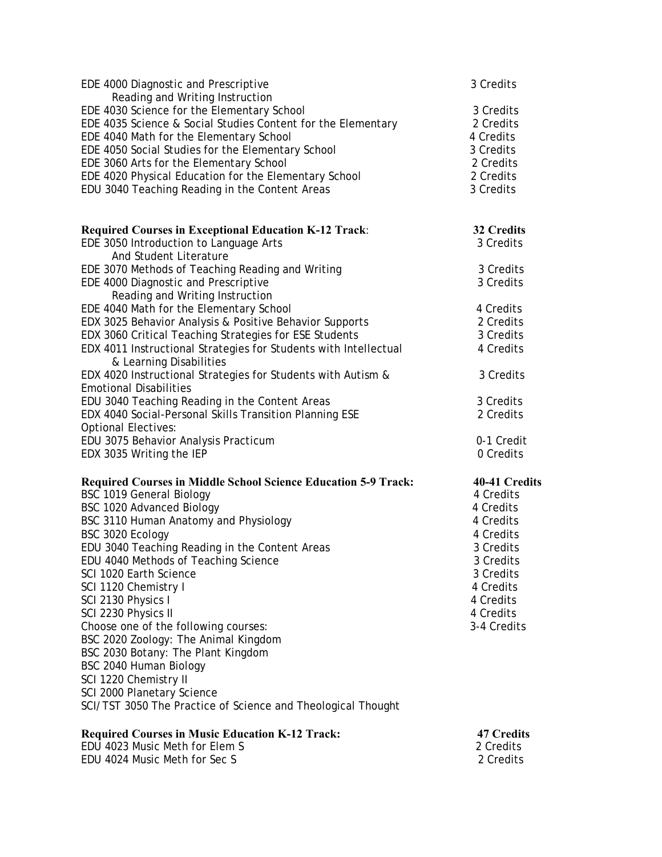| <b>Required Courses in Music Education K-12 Track:</b>                                                   | <b>47 Credits</b>          |
|----------------------------------------------------------------------------------------------------------|----------------------------|
| SCI 2000 Planetary Science<br>SCI/TST 3050 The Practice of Science and Theological Thought               |                            |
| SCI 1220 Chemistry II                                                                                    |                            |
| BSC 2040 Human Biology                                                                                   |                            |
| BSC 2030 Botany: The Plant Kingdom                                                                       |                            |
| BSC 2020 Zoology: The Animal Kingdom                                                                     |                            |
| Choose one of the following courses:                                                                     | 3-4 Credits                |
| SCI 2230 Physics II                                                                                      | 4 Credits                  |
| SCI 2130 Physics I                                                                                       | 4 Credits                  |
| SCI 1120 Chemistry I                                                                                     | 4 Credits                  |
| SCI 1020 Earth Science                                                                                   | 3 Credits                  |
| EDU 4040 Methods of Teaching Science                                                                     | 3 Credits                  |
| EDU 3040 Teaching Reading in the Content Areas                                                           | 3 Credits                  |
| BSC 3020 Ecology                                                                                         | 4 Credits                  |
| BSC 3110 Human Anatomy and Physiology                                                                    | 4 Credits                  |
| BSC 1020 Advanced Biology                                                                                | 4 Credits                  |
| <b>Required Courses in Middle School Science Education 5-9 Track:</b><br><b>BSC 1019 General Biology</b> | 40-41 Credits<br>4 Credits |
|                                                                                                          |                            |
| EDX 3035 Writing the IEP                                                                                 | 0 Credits                  |
| EDU 3075 Behavior Analysis Practicum                                                                     | 0-1 Credit                 |
| <b>Optional Electives:</b>                                                                               |                            |
| EDX 4040 Social-Personal Skills Transition Planning ESE                                                  | 2 Credits                  |
| EDU 3040 Teaching Reading in the Content Areas                                                           | 3 Credits                  |
| <b>Emotional Disabilities</b>                                                                            |                            |
| EDX 4020 Instructional Strategies for Students with Autism &                                             | 3 Credits                  |
| & Learning Disabilities                                                                                  |                            |
| EDX 4011 Instructional Strategies for Students with Intellectual                                         | 4 Credits                  |
| EDX 3060 Critical Teaching Strategies for ESE Students                                                   | 3 Credits                  |
| EDX 3025 Behavior Analysis & Positive Behavior Supports                                                  | 2 Credits                  |
| Reading and Writing Instruction<br>EDE 4040 Math for the Elementary School                               | 4 Credits                  |
| EDE 4000 Diagnostic and Prescriptive                                                                     | 3 Credits                  |
| EDE 3070 Methods of Teaching Reading and Writing                                                         | 3 Credits                  |
| And Student Literature                                                                                   |                            |
| EDE 3050 Introduction to Language Arts                                                                   | 3 Credits                  |
| <b>Required Courses in Exceptional Education K-12 Track:</b>                                             | 32 Credits                 |
|                                                                                                          |                            |
| EDU 3040 Teaching Reading in the Content Areas                                                           | 3 Credits                  |
| EDE 4020 Physical Education for the Elementary School                                                    | 2 Credits                  |
| EDE 3060 Arts for the Elementary School                                                                  | 2 Credits                  |
| EDE 4050 Social Studies for the Elementary School                                                        | 3 Credits                  |
| EDE 4035 Science & Social Studies Content for the Elementary<br>EDE 4040 Math for the Elementary School  | 2 Credits<br>4 Credits     |
| EDE 4030 Science for the Elementary School                                                               | 3 Credits                  |
| Reading and Writing Instruction                                                                          |                            |
| EDE 4000 Diagnostic and Prescriptive                                                                     | 3 Credits                  |
|                                                                                                          |                            |

EDU 4023 Music Meth for Elem S<br>
EDU 4024 Music Meth for Sec S<br>
2 Credits
2 2 Credits EDU 4024 Music Meth for Sec S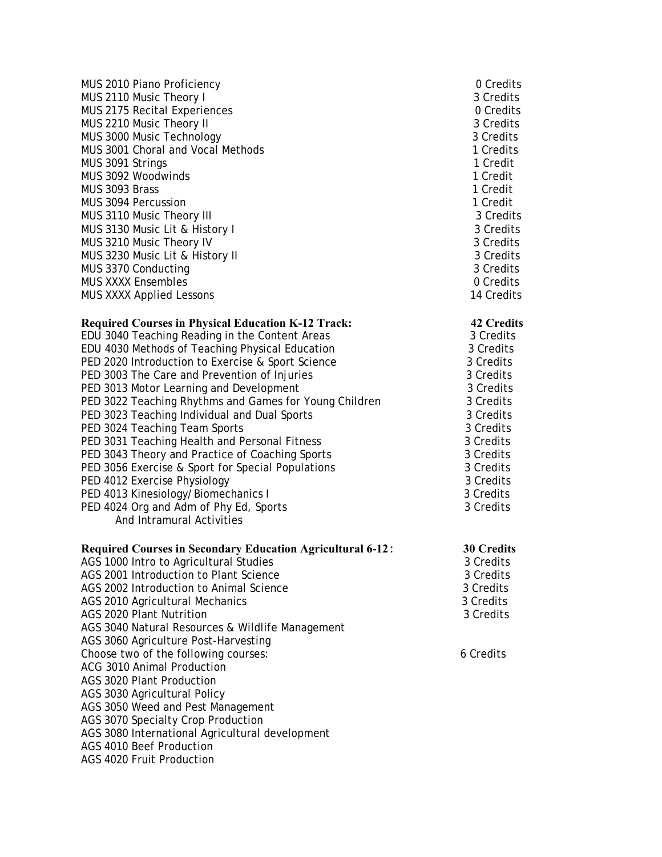| MUS 2010 Piano Proficiency          | 0 Credits  |
|-------------------------------------|------------|
| MUS 2110 Music Theory I             | 3 Credits  |
| <b>MUS 2175 Recital Experiences</b> | 0 Credits  |
| MUS 2210 Music Theory II            | 3 Credits  |
| MUS 3000 Music Technology           | 3 Credits  |
| MUS 3001 Choral and Vocal Methods   | 1 Credits  |
| MUS 3091 Strings                    | 1 Credit   |
| MUS 3092 Woodwinds                  | 1 Credit   |
| MUS 3093 Brass                      | 1 Credit   |
| MUS 3094 Percussion                 | 1 Credit   |
| MUS 3110 Music Theory III           | 3 Credits  |
| MUS 3130 Music Lit & History I      | 3 Credits  |
| MUS 3210 Music Theory IV            | 3 Credits  |
| MUS 3230 Music Lit & History II     | 3 Credits  |
| MUS 3370 Conducting                 | 3 Credits  |
| <b>MUS XXXX Ensembles</b>           | 0 Credits  |
| <b>MUS XXXX Applied Lessons</b>     | 14 Credits |
|                                     |            |

# 3 Credits 0 Credits 3 Credits 1 Credits 3 Credits<br>3 Credits 3 Credits 3 Credits<br>0 Credits

3 Credits 3 Credits 3 Credits

# **Required Courses in Physical Education K-12 Track: 42 Credits**

| EDU 3040 Teaching Reading in the Content Areas         | 3 Credits |
|--------------------------------------------------------|-----------|
| EDU 4030 Methods of Teaching Physical Education        | 3 Credits |
| PED 2020 Introduction to Exercise & Sport Science      | 3 Credits |
| PED 3003 The Care and Prevention of Injuries           | 3 Credits |
| PED 3013 Motor Learning and Development                | 3 Credits |
| PED 3022 Teaching Rhythms and Games for Young Children | 3 Credits |
| PED 3023 Teaching Individual and Dual Sports           | 3 Credits |
| PED 3024 Teaching Team Sports                          | 3 Credits |
| PED 3031 Teaching Health and Personal Fitness          | 3 Credits |
| PED 3043 Theory and Practice of Coaching Sports        | 3 Credits |
| PED 3056 Exercise & Sport for Special Populations      | 3 Credits |
| PED 4012 Exercise Physiology                           | 3 Credits |
| PED 4013 Kinesiology/Biomechanics I                    | 3 Credits |
| PED 4024 Org and Adm of Phy Ed, Sports                 | 3 Credits |
| And Intramural Activities                              |           |

# **Required Courses in Secondary Education Agricultural 6-12**: **30 Credits**

| AGS 1000 Intro to Agricultural Studies           | 3 Credits |
|--------------------------------------------------|-----------|
| AGS 2001 Introduction to Plant Science           | 3 Credits |
| AGS 2002 Introduction to Animal Science          | 3 Credits |
| AGS 2010 Agricultural Mechanics                  | 3 Credits |
| AGS 2020 Plant Nutrition                         | 3 Credits |
| AGS 3040 Natural Resources & Wildlife Management |           |
| AGS 3060 Agriculture Post-Harvesting             |           |
| Choose two of the following courses:             | 6 Credits |
| ACG 3010 Animal Production                       |           |
| AGS 3020 Plant Production                        |           |
| AGS 3030 Agricultural Policy                     |           |
| AGS 3050 Weed and Pest Management                |           |
| AGS 3070 Specialty Crop Production               |           |
| AGS 3080 International Agricultural development  |           |
| AGS 4010 Beef Production                         |           |
| AGS 4020 Fruit Production                        |           |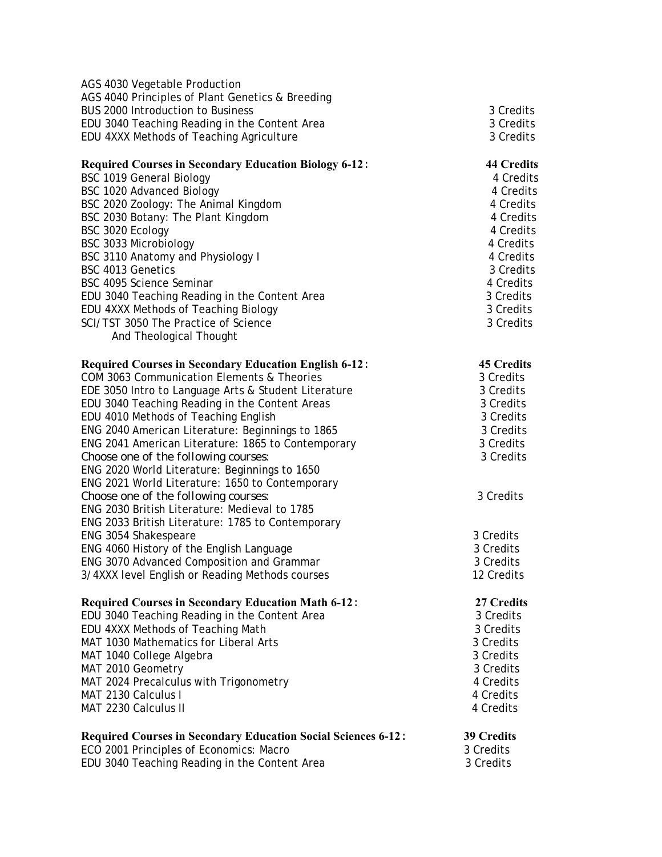| <b>Required Courses in Secondary Education Social Sciences 6-12:</b><br>ECO 2001 Principles of Economics: Macro<br>EDU 3040 Teaching Reading in the Content Area | <b>39 Credits</b><br>3 Credits<br>3 Credits |
|------------------------------------------------------------------------------------------------------------------------------------------------------------------|---------------------------------------------|
|                                                                                                                                                                  |                                             |
| MAT 2230 Calculus II                                                                                                                                             | 4 Credits<br>4 Credits                      |
| MAT 2024 Precalculus with Trigonometry<br>MAT 2130 Calculus I                                                                                                    | 4 Credits                                   |
| MAT 2010 Geometry                                                                                                                                                | 3 Credits                                   |
| MAT 1040 College Algebra                                                                                                                                         | 3 Credits                                   |
| MAT 1030 Mathematics for Liberal Arts                                                                                                                            | 3 Credits                                   |
| EDU 4XXX Methods of Teaching Math                                                                                                                                | 3 Credits                                   |
| EDU 3040 Teaching Reading in the Content Area                                                                                                                    | 3 Credits                                   |
| <b>Required Courses in Secondary Education Math 6-12:</b>                                                                                                        | 27 Credits                                  |
|                                                                                                                                                                  |                                             |
| 3/4XXX level English or Reading Methods courses                                                                                                                  | 12 Credits                                  |
| ENG 3070 Advanced Composition and Grammar                                                                                                                        | 3 Credits                                   |
| ENG 4060 History of the English Language                                                                                                                         | 3 Credits                                   |
| ENG 2033 British Literature: 1785 to Contemporary<br>ENG 3054 Shakespeare                                                                                        | 3 Credits                                   |
|                                                                                                                                                                  |                                             |
| Choose one of the following courses:<br>ENG 2030 British Literature: Medieval to 1785                                                                            | 3 Credits                                   |
| ENG 2021 World Literature: 1650 to Contemporary                                                                                                                  |                                             |
| ENG 2020 World Literature: Beginnings to 1650                                                                                                                    |                                             |
| Choose one of the following courses:                                                                                                                             | 3 Credits                                   |
| ENG 2041 American Literature: 1865 to Contemporary                                                                                                               | 3 Credits                                   |
| ENG 2040 American Literature: Beginnings to 1865                                                                                                                 | 3 Credits                                   |
| EDU 4010 Methods of Teaching English                                                                                                                             | 3 Credits                                   |
| EDU 3040 Teaching Reading in the Content Areas                                                                                                                   | 3 Credits                                   |
| EDE 3050 Intro to Language Arts & Student Literature                                                                                                             | 3 Credits                                   |
| COM 3063 Communication Elements & Theories                                                                                                                       | 3 Credits                                   |
| <b>Required Courses in Secondary Education English 6-12:</b>                                                                                                     | <b>45 Credits</b>                           |
| And Theological Thought                                                                                                                                          |                                             |
|                                                                                                                                                                  | 3 Credits                                   |
| EDU 4XXX Methods of Teaching Biology<br>SCI/TST 3050 The Practice of Science                                                                                     | 3 Credits                                   |
| EDU 3040 Teaching Reading in the Content Area                                                                                                                    | 3 Credits                                   |
| BSC 4095 Science Seminar                                                                                                                                         | 4 Credits                                   |
| BSC 4013 Genetics                                                                                                                                                | 3 Credits                                   |
| BSC 3110 Anatomy and Physiology I                                                                                                                                | 4 Credits                                   |
| BSC 3033 Microbiology                                                                                                                                            | 4 Credits                                   |
| BSC 3020 Ecology                                                                                                                                                 | 4 Credits                                   |
| BSC 2030 Botany: The Plant Kingdom                                                                                                                               | 4 Credits                                   |
| BSC 2020 Zoology: The Animal Kingdom                                                                                                                             | 4 Credits                                   |
| BSC 1020 Advanced Biology                                                                                                                                        | 4 Credits                                   |
| <b>BSC 1019 General Biology</b>                                                                                                                                  | 4 Credits                                   |
| <b>Required Courses in Secondary Education Biology 6-12:</b>                                                                                                     | <b>44 Credits</b>                           |
|                                                                                                                                                                  |                                             |
| EDU 4XXX Methods of Teaching Agriculture                                                                                                                         | 3 Credits                                   |
| EDU 3040 Teaching Reading in the Content Area                                                                                                                    | 3 Credits                                   |
| AGS 4040 Principles of Plant Genetics & Breeding<br><b>BUS 2000 Introduction to Business</b>                                                                     | 3 Credits                                   |
| AGS 4030 Vegetable Production                                                                                                                                    |                                             |
|                                                                                                                                                                  |                                             |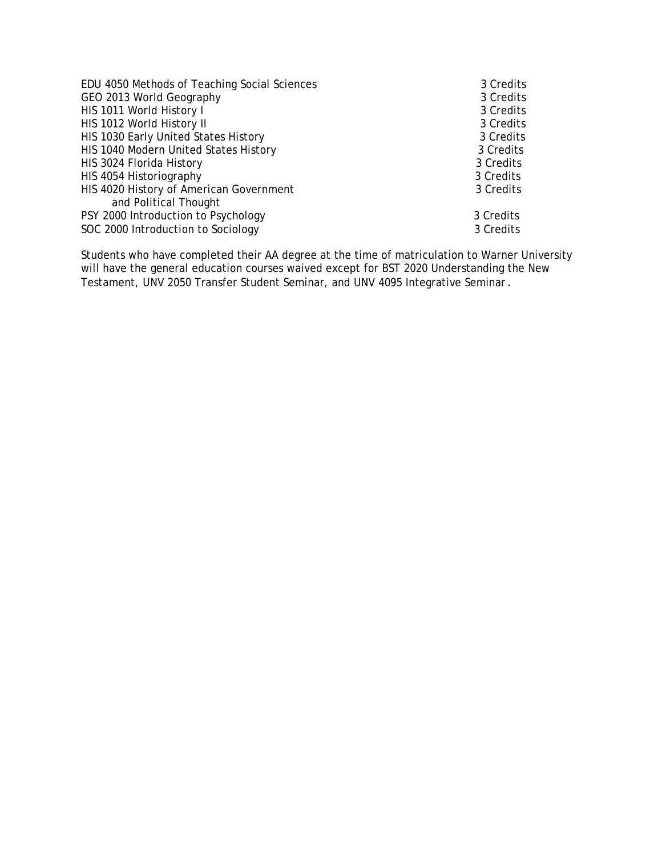| EDU 4050 Methods of Teaching Social Sciences | 3 Credits |
|----------------------------------------------|-----------|
| GEO 2013 World Geography                     | 3 Credits |
| HIS 1011 World History I                     | 3 Credits |
| HIS 1012 World History II                    | 3 Credits |
| HIS 1030 Early United States History         | 3 Credits |
| HIS 1040 Modern United States History        | 3 Credits |
| HIS 3024 Florida History                     | 3 Credits |
| HIS 4054 Historiography                      | 3 Credits |
| HIS 4020 History of American Government      | 3 Credits |
| and Political Thought                        |           |
| PSY 2000 Introduction to Psychology          | 3 Credits |
| SOC 2000 Introduction to Sociology           | 3 Credits |

Students who have completed their AA degree at the time of matriculation to Warner University will have the general education courses waived except for BST 2020 Understanding the New Testament, UNV 2050 Transfer Student Seminar, and UNV 4095 Integrative Seminar.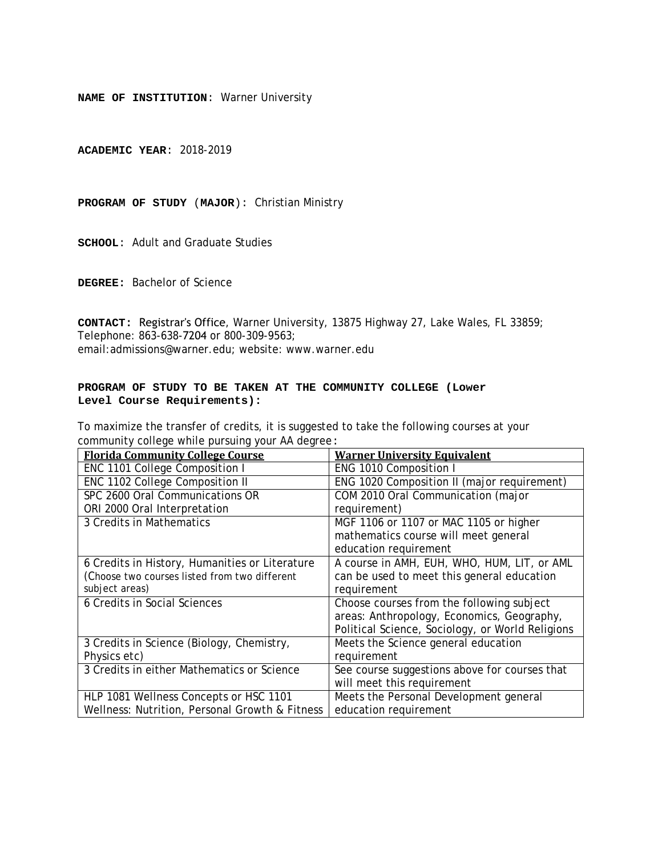**ACADEMIC YEAR**: 2018-2019

**PROGRAM OF STUDY** (**MAJOR**): Christian Ministry

**SCHOOL**: Adult and Graduate Studies

**DEGREE:** Bachelor of Science

**CONTACT:** Registrar's Office, Warner University, 13875 Highway 27, Lake Wales, FL 33859; Telephone: 863-638-7204 or 800-309-9563; email:admissions@warner.edu; website: www.warner.edu

# **PROGRAM OF STUDY TO BE TAKEN AT THE COMMUNITY COLLEGE (Lower Level Course Requirements):**

| <b>Florida Community College Course</b>        | <b>Warner University Equivalent</b>              |
|------------------------------------------------|--------------------------------------------------|
| ENC 1101 College Composition I                 | ENG 1010 Composition I                           |
| ENC 1102 College Composition II                | ENG 1020 Composition II (major requirement)      |
| SPC 2600 Oral Communications OR                | COM 2010 Oral Communication (major               |
| ORI 2000 Oral Interpretation                   | requirement)                                     |
| 3 Credits in Mathematics                       | MGF 1106 or 1107 or MAC 1105 or higher           |
|                                                | mathematics course will meet general             |
|                                                | education requirement                            |
| 6 Credits in History, Humanities or Literature | A course in AMH, EUH, WHO, HUM, LIT, or AML      |
| (Choose two courses listed from two different  | can be used to meet this general education       |
| subject areas)                                 | requirement                                      |
| 6 Credits in Social Sciences                   | Choose courses from the following subject        |
|                                                | areas: Anthropology, Economics, Geography,       |
|                                                | Political Science, Sociology, or World Religions |
| 3 Credits in Science (Biology, Chemistry,      | Meets the Science general education              |
| Physics etc)                                   | requirement                                      |
| 3 Credits in either Mathematics or Science     | See course suggestions above for courses that    |
|                                                | will meet this requirement                       |
| HLP 1081 Wellness Concepts or HSC 1101         | Meets the Personal Development general           |
| Wellness: Nutrition, Personal Growth & Fitness | education requirement                            |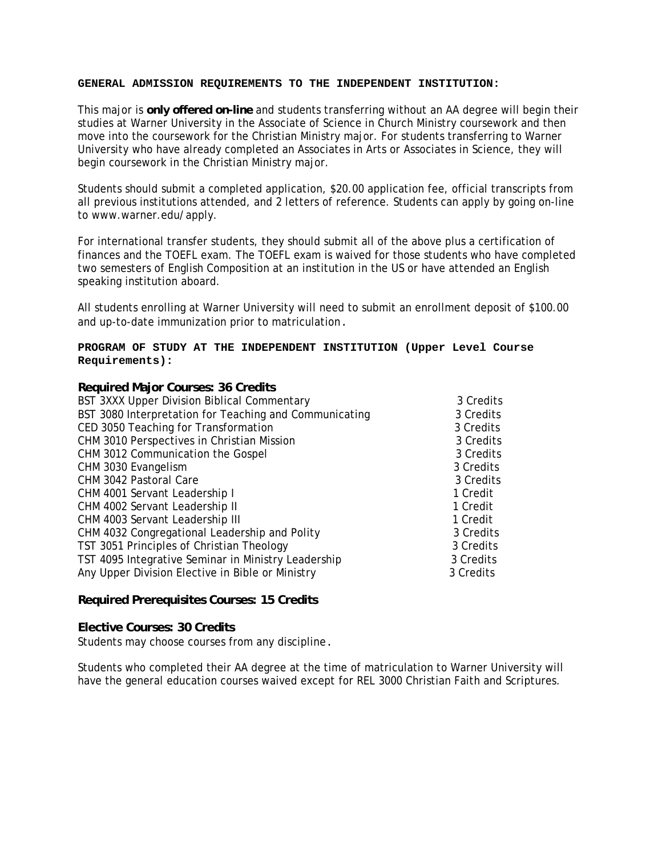This major is **only offered on-line** and students transferring without an AA degree will begin their studies at Warner University in the Associate of Science in Church Ministry coursework and then move into the coursework for the Christian Ministry major. For students transferring to Warner University who have already completed an Associates in Arts or Associates in Science, they will begin coursework in the Christian Ministry major.

Students should submit a completed application, \$20.00 application fee, official transcripts from all previous institutions attended, and 2 letters of reference. Students can apply by going on-line to www.warner.edu/apply.

For international transfer students, they should submit all of the above plus a certification of finances and the TOEFL exam. The TOEFL exam is waived for those students who have completed two semesters of English Composition at an institution in the US or have attended an English speaking institution aboard.

All students enrolling at Warner University will need to submit an enrollment deposit of \$100.00 and up-to-date immunization prior to matriculation.

#### **PROGRAM OF STUDY AT THE INDEPENDENT INSTITUTION (Upper Level Course Requirements):**

| 3 Credits |
|-----------|
| 3 Credits |
| 3 Credits |
| 3 Credits |
| 3 Credits |
| 3 Credits |
| 3 Credits |
| 1 Credit  |
| 1 Credit  |
| 1 Credit  |
| 3 Credits |
| 3 Credits |
| 3 Credits |
| 3 Credits |
|           |

#### **Required Prerequisites Courses: 15 Credits**

# **Elective Courses: 30 Credits**

Students may choose courses from any discipline.

Students who completed their AA degree at the time of matriculation to Warner University will have the general education courses waived except for REL 3000 Christian Faith and Scriptures.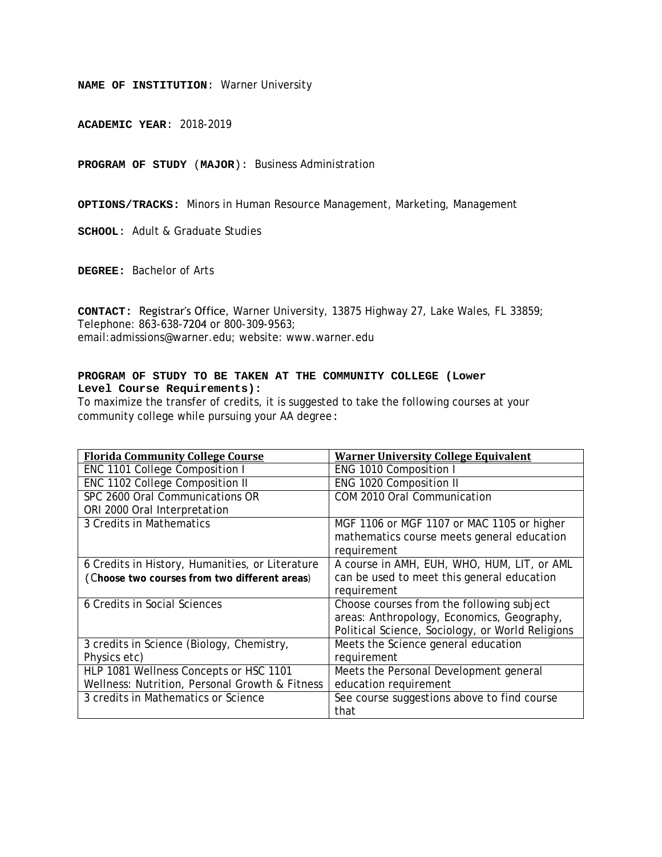**ACADEMIC YEAR**: 2018-2019

**PROGRAM OF STUDY** (**MAJOR**): Business Administration

**OPTIONS/TRACKS:** Minors in Human Resource Management, Marketing, Management

**SCHOOL**: Adult & Graduate Studies

**DEGREE:** Bachelor of Arts

**CONTACT:** Registrar's Office, Warner University, 13875 Highway 27, Lake Wales, FL 33859; Telephone: 863-638-7204 or 800-309-9563; email:admissions@warner.edu; website: www.warner.edu

# **PROGRAM OF STUDY TO BE TAKEN AT THE COMMUNITY COLLEGE (Lower Level Course Requirements):**

| <b>Florida Community College Course</b>         | <b>Warner University College Equivalent</b>      |
|-------------------------------------------------|--------------------------------------------------|
| ENC 1101 College Composition I                  | ENG 1010 Composition I                           |
| ENC 1102 College Composition II                 | ENG 1020 Composition II                          |
| SPC 2600 Oral Communications OR                 | COM 2010 Oral Communication                      |
| ORI 2000 Oral Interpretation                    |                                                  |
| 3 Credits in Mathematics                        | MGF 1106 or MGF 1107 or MAC 1105 or higher       |
|                                                 | mathematics course meets general education       |
|                                                 | requirement                                      |
| 6 Credits in History, Humanities, or Literature | A course in AMH, EUH, WHO, HUM, LIT, or AML      |
| (Choose two courses from two different areas)   | can be used to meet this general education       |
|                                                 | requirement                                      |
| 6 Credits in Social Sciences                    | Choose courses from the following subject        |
|                                                 | areas: Anthropology, Economics, Geography,       |
|                                                 | Political Science, Sociology, or World Religions |
| 3 credits in Science (Biology, Chemistry,       | Meets the Science general education              |
| Physics etc)                                    | requirement                                      |
| HLP 1081 Wellness Concepts or HSC 1101          | Meets the Personal Development general           |
| Wellness: Nutrition, Personal Growth & Fitness  | education requirement                            |
| 3 credits in Mathematics or Science             | See course suggestions above to find course      |
|                                                 | that                                             |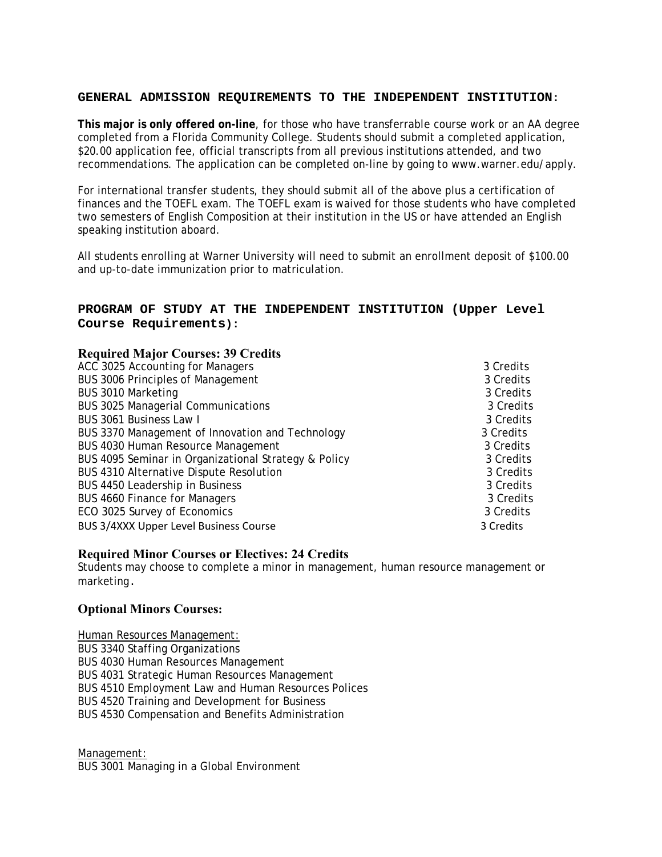**This major is only offered on-line**, for those who have transferrable course work or an AA degree completed from a Florida Community College. Students should submit a completed application, \$20.00 application fee, official transcripts from all previous institutions attended, and two recommendations. The application can be completed on-line by going to www.warner.edu/apply.

For international transfer students, they should submit all of the above plus a certification of finances and the TOEFL exam. The TOEFL exam is waived for those students who have completed two semesters of English Composition at their institution in the US or have attended an English speaking institution aboard.

All students enrolling at Warner University will need to submit an enrollment deposit of \$100.00 and up-to-date immunization prior to matriculation.

# **PROGRAM OF STUDY AT THE INDEPENDENT INSTITUTION (Upper Level Course Requirements):**

| <b>Required Major Courses: 39 Credits</b>            |           |
|------------------------------------------------------|-----------|
| ACC 3025 Accounting for Managers                     | 3 Credits |
| <b>BUS 3006 Principles of Management</b>             | 3 Credits |
| BUS 3010 Marketing                                   | 3 Credits |
| <b>BUS 3025 Managerial Communications</b>            | 3 Credits |
| BUS 3061 Business Law I                              | 3 Credits |
| BUS 3370 Management of Innovation and Technology     | 3 Credits |
| <b>BUS 4030 Human Resource Management</b>            | 3 Credits |
| BUS 4095 Seminar in Organizational Strategy & Policy | 3 Credits |
| BUS 4310 Alternative Dispute Resolution              | 3 Credits |
| BUS 4450 Leadership in Business                      | 3 Credits |
| <b>BUS 4660 Finance for Managers</b>                 | 3 Credits |
| ECO 3025 Survey of Economics                         | 3 Credits |
| BUS 3/4XXX Upper Level Business Course               | 3 Credits |

#### **Required Minor Courses or Electives: 24 Credits**

Students may choose to complete a minor in management, human resource management or marketing.

# **Optional Minors Courses:**

*Human Resources Management:*  BUS 3340 Staffing Organizations BUS 4030 Human Resources Management BUS 4031 Strategic Human Resources Management BUS 4510 Employment Law and Human Resources Polices BUS 4520 Training and Development for Business BUS 4530 Compensation and Benefits Administration

*Management:* 

BUS 3001 Managing in a Global Environment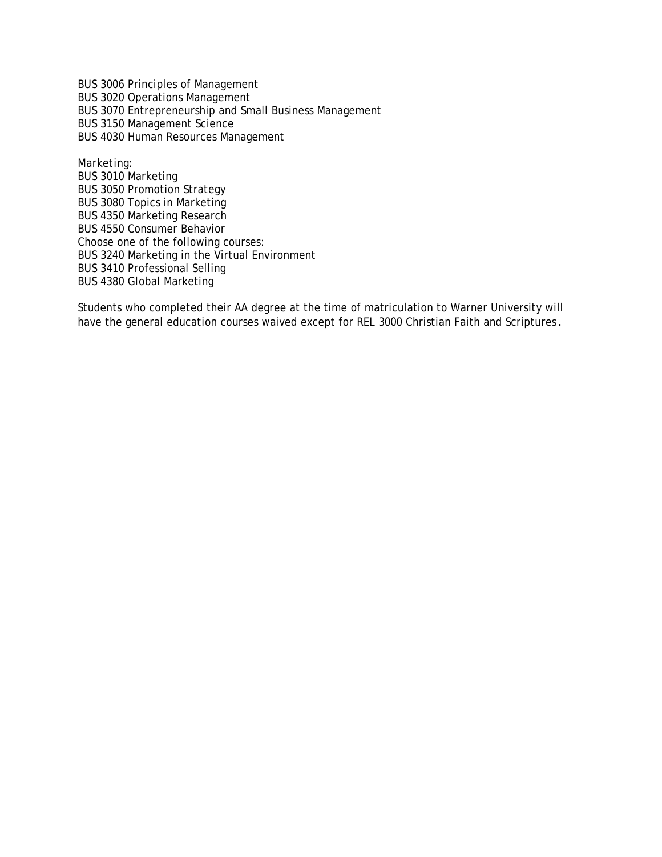BUS 3006 Principles of Management BUS 3020 Operations Management BUS 3070 Entrepreneurship and Small Business Management BUS 3150 Management Science BUS 4030 Human Resources Management

*Marketing:*  BUS 3010 Marketing BUS 3050 Promotion Strategy BUS 3080 Topics in Marketing BUS 4350 Marketing Research BUS 4550 Consumer Behavior Choose one of the following courses: BUS 3240 Marketing in the Virtual Environment BUS 3410 Professional Selling BUS 4380 Global Marketing

Students who completed their AA degree at the time of matriculation to Warner University will have the general education courses waived except for REL 3000 Christian Faith and Scriptures.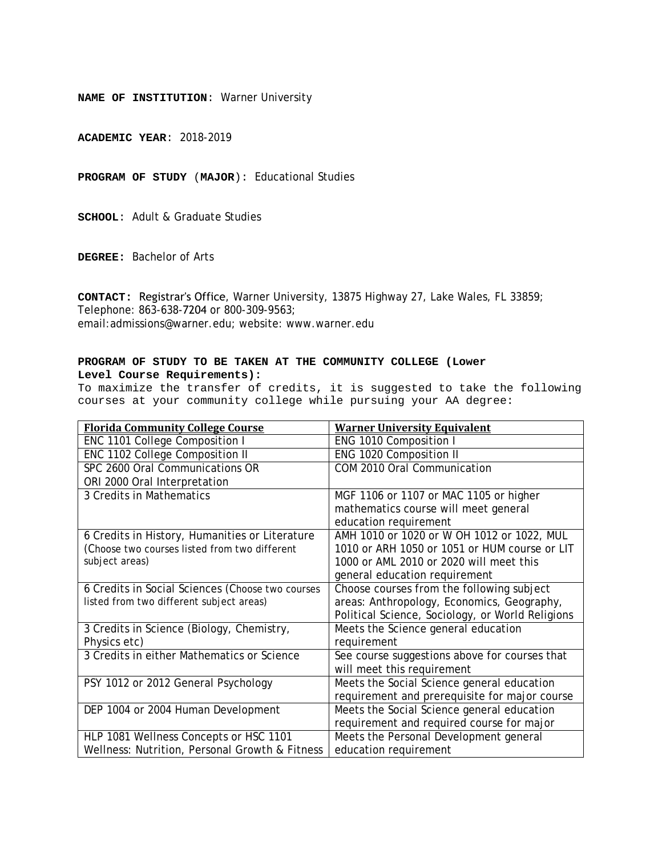**ACADEMIC YEAR**: 2018-2019

**PROGRAM OF STUDY** (**MAJOR**): Educational Studies

**SCHOOL**: Adult & Graduate Studies

**DEGREE:** Bachelor of Arts

**CONTACT:** Registrar's Office, Warner University, 13875 Highway 27, Lake Wales, FL 33859; Telephone: 863-638-7204 or 800-309-9563; email:admissions@warner.edu; website: www.warner.edu

#### **PROGRAM OF STUDY TO BE TAKEN AT THE COMMUNITY COLLEGE (Lower Level Course Requirements):**

| <b>Florida Community College Course</b>          | <b>Warner University Equivalent</b>              |
|--------------------------------------------------|--------------------------------------------------|
| ENC 1101 College Composition I                   | ENG 1010 Composition I                           |
| ENC 1102 College Composition II                  | ENG 1020 Composition II                          |
| SPC 2600 Oral Communications OR                  | COM 2010 Oral Communication                      |
| ORI 2000 Oral Interpretation                     |                                                  |
| 3 Credits in Mathematics                         | MGF 1106 or 1107 or MAC 1105 or higher           |
|                                                  | mathematics course will meet general             |
|                                                  | education requirement                            |
| 6 Credits in History, Humanities or Literature   | AMH 1010 or 1020 or W OH 1012 or 1022, MUL       |
| (Choose two courses listed from two different    | 1010 or ARH 1050 or 1051 or HUM course or LIT    |
| subject areas)                                   | 1000 or AML 2010 or 2020 will meet this          |
|                                                  | general education requirement                    |
| 6 Credits in Social Sciences (Choose two courses | Choose courses from the following subject        |
| listed from two different subject areas)         | areas: Anthropology, Economics, Geography,       |
|                                                  | Political Science, Sociology, or World Religions |
| 3 Credits in Science (Biology, Chemistry,        | Meets the Science general education              |
| Physics etc)                                     | requirement                                      |
| 3 Credits in either Mathematics or Science       | See course suggestions above for courses that    |
|                                                  | will meet this requirement                       |
| PSY 1012 or 2012 General Psychology              | Meets the Social Science general education       |
|                                                  | requirement and prerequisite for major course    |
| DEP 1004 or 2004 Human Development               | Meets the Social Science general education       |
|                                                  | requirement and required course for major        |
| HLP 1081 Wellness Concepts or HSC 1101           | Meets the Personal Development general           |
| Wellness: Nutrition, Personal Growth & Fitness   | education requirement                            |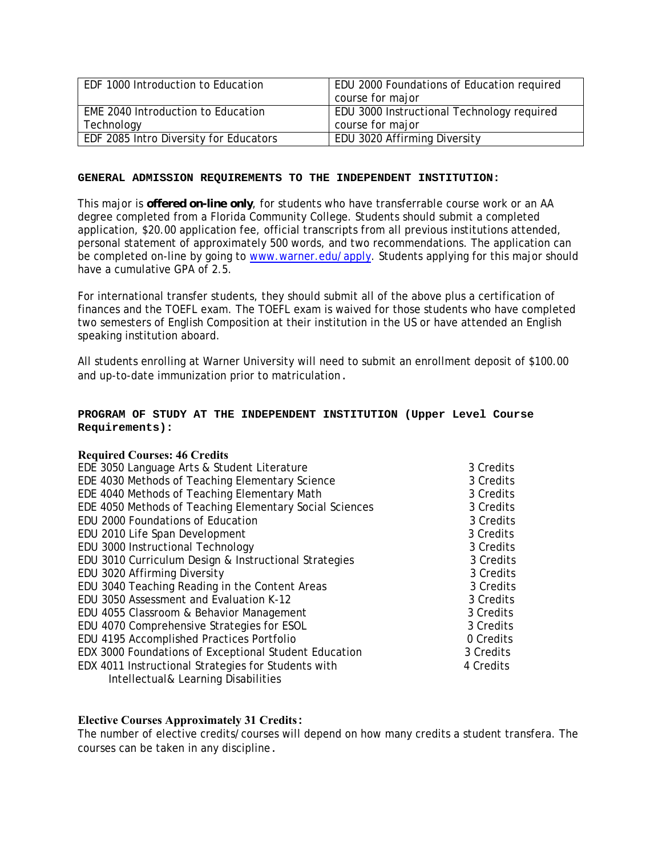| EDF 1000 Introduction to Education     | EDU 2000 Foundations of Education required |
|----------------------------------------|--------------------------------------------|
|                                        | course for major                           |
| EME 2040 Introduction to Education     | EDU 3000 Instructional Technology required |
| Technology                             | course for major                           |
| EDF 2085 Intro Diversity for Educators | EDU 3020 Affirming Diversity               |

This major is **offered on-line only**, for students who have transferrable course work or an AA degree completed from a Florida Community College. Students should submit a completed application, \$20.00 application fee, official transcripts from all previous institutions attended, personal statement of approximately 500 words, and two recommendations. The application can be completed on-line by going to www.warner.edu/apply. Students applying for this major should have a cumulative GPA of 2.5.

For international transfer students, they should submit all of the above plus a certification of finances and the TOEFL exam. The TOEFL exam is waived for those students who have completed two semesters of English Composition at their institution in the US or have attended an English speaking institution aboard.

All students enrolling at Warner University will need to submit an enrollment deposit of \$100.00 and up-to-date immunization prior to matriculation.

# **PROGRAM OF STUDY AT THE INDEPENDENT INSTITUTION (Upper Level Course Requirements):**

#### **Required Courses: 46 Credits**

| EDE 3050 Language Arts & Student Literature             | 3 Credits |
|---------------------------------------------------------|-----------|
| EDE 4030 Methods of Teaching Elementary Science         | 3 Credits |
| EDE 4040 Methods of Teaching Elementary Math            | 3 Credits |
| EDE 4050 Methods of Teaching Elementary Social Sciences | 3 Credits |
| EDU 2000 Foundations of Education                       | 3 Credits |
| EDU 2010 Life Span Development                          | 3 Credits |
| EDU 3000 Instructional Technology                       | 3 Credits |
| EDU 3010 Curriculum Design & Instructional Strategies   | 3 Credits |
| EDU 3020 Affirming Diversity                            | 3 Credits |
| EDU 3040 Teaching Reading in the Content Areas          | 3 Credits |
| EDU 3050 Assessment and Evaluation K-12                 | 3 Credits |
| EDU 4055 Classroom & Behavior Management                | 3 Credits |
| EDU 4070 Comprehensive Strategies for ESOL              | 3 Credits |
| EDU 4195 Accomplished Practices Portfolio               | 0 Credits |
| EDX 3000 Foundations of Exceptional Student Education   | 3 Credits |
| EDX 4011 Instructional Strategies for Students with     | 4 Credits |
| Intellectual& Learning Disabilities                     |           |

#### **Elective Courses Approximately 31 Credits:**

The number of elective credits/courses will depend on how many credits a student transfera. The courses can be taken in any discipline.